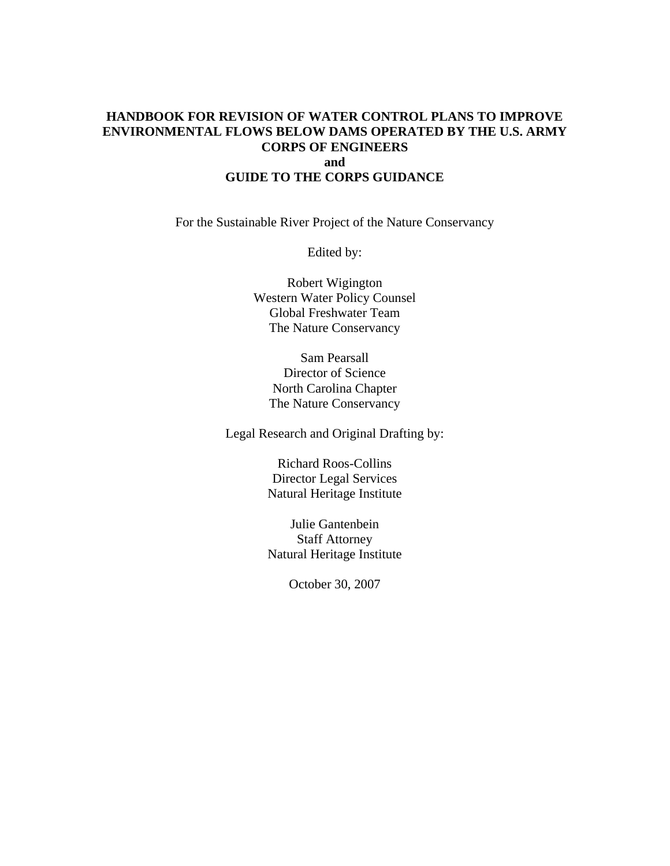# **HANDBOOK FOR REVISION OF WATER CONTROL PLANS TO IMPROVE ENVIRONMENTAL FLOWS BELOW DAMS OPERATED BY THE U.S. ARMY CORPS OF ENGINEERS and GUIDE TO THE CORPS GUIDANCE**

For the Sustainable River Project of the Nature Conservancy

Edited by:

Robert Wigington Western Water Policy Counsel Global Freshwater Team The Nature Conservancy

Sam Pearsall Director of Science North Carolina Chapter The Nature Conservancy

Legal Research and Original Drafting by:

Richard Roos-Collins Director Legal Services Natural Heritage Institute

Julie Gantenbein Staff Attorney Natural Heritage Institute

October 30, 2007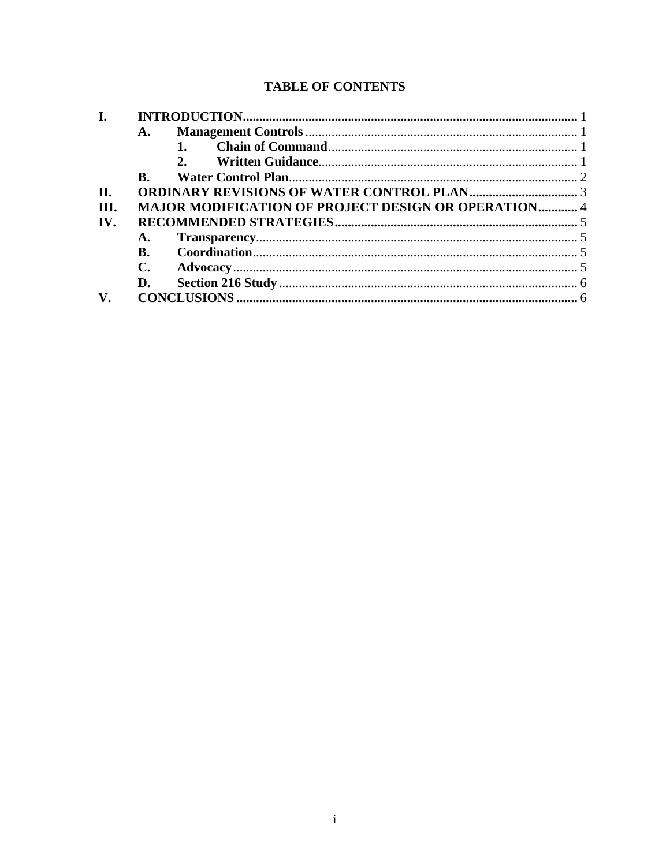# **TABLE OF CONTENTS**

| I.   |                |                                                            |  |  |  |
|------|----------------|------------------------------------------------------------|--|--|--|
|      | A.             |                                                            |  |  |  |
|      |                |                                                            |  |  |  |
|      |                | $2^{n}$                                                    |  |  |  |
|      | B.             |                                                            |  |  |  |
| II.  |                |                                                            |  |  |  |
| III. |                | <b>MAJOR MODIFICATION OF PROJECT DESIGN OR OPERATION 4</b> |  |  |  |
| IV.  |                |                                                            |  |  |  |
|      | A.             |                                                            |  |  |  |
|      | B.             |                                                            |  |  |  |
|      | $\mathbf{C}$ . |                                                            |  |  |  |
|      | D.             |                                                            |  |  |  |
|      |                |                                                            |  |  |  |
|      |                |                                                            |  |  |  |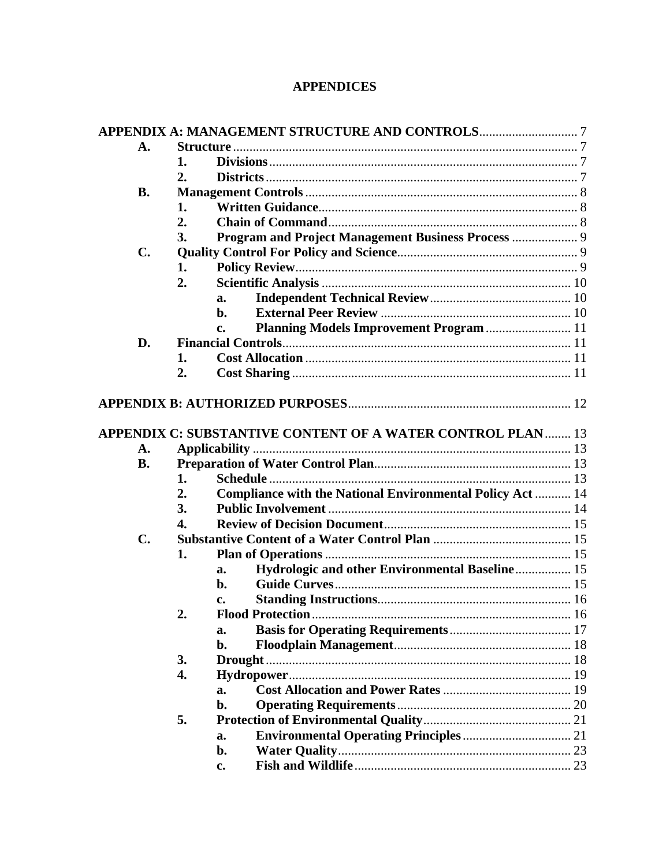# **APPENDICES**

| A.             |    |                                                                   |  |
|----------------|----|-------------------------------------------------------------------|--|
|                | 1. |                                                                   |  |
|                | 2. |                                                                   |  |
| <b>B.</b>      |    |                                                                   |  |
|                | 1. |                                                                   |  |
|                | 2. |                                                                   |  |
|                | 3. |                                                                   |  |
| $\mathbf{C}$ . |    |                                                                   |  |
|                | 1. |                                                                   |  |
|                | 2. |                                                                   |  |
|                |    | a.                                                                |  |
|                |    | b.                                                                |  |
|                |    | Planning Models Improvement Program  11<br>c.                     |  |
| D.             |    |                                                                   |  |
|                | 1. |                                                                   |  |
|                | 2. |                                                                   |  |
|                |    |                                                                   |  |
|                |    | <b>APPENDIX C: SUBSTANTIVE CONTENT OF A WATER CONTROL PLAN 13</b> |  |
| A.             |    |                                                                   |  |
| <b>B.</b>      |    |                                                                   |  |
|                | 1. |                                                                   |  |
|                | 2. | <b>Compliance with the National Environmental Policy Act  14</b>  |  |
|                | 3. |                                                                   |  |
|                | 4. |                                                                   |  |
| $\mathbf{C}$ . |    |                                                                   |  |
|                | 1. |                                                                   |  |
|                |    | Hydrologic and other Environmental Baseline 15<br>a.              |  |
|                |    | $\mathbf{b}$ .                                                    |  |
|                |    | c.                                                                |  |
|                | 2. |                                                                   |  |
|                |    | a.                                                                |  |
|                |    | b.                                                                |  |
|                | 3. |                                                                   |  |
|                | 4. |                                                                   |  |
|                |    | a.                                                                |  |
|                |    | b.                                                                |  |
|                | 5. |                                                                   |  |
|                |    | a.                                                                |  |
|                |    | b.                                                                |  |
|                |    | $c_{\bullet}$                                                     |  |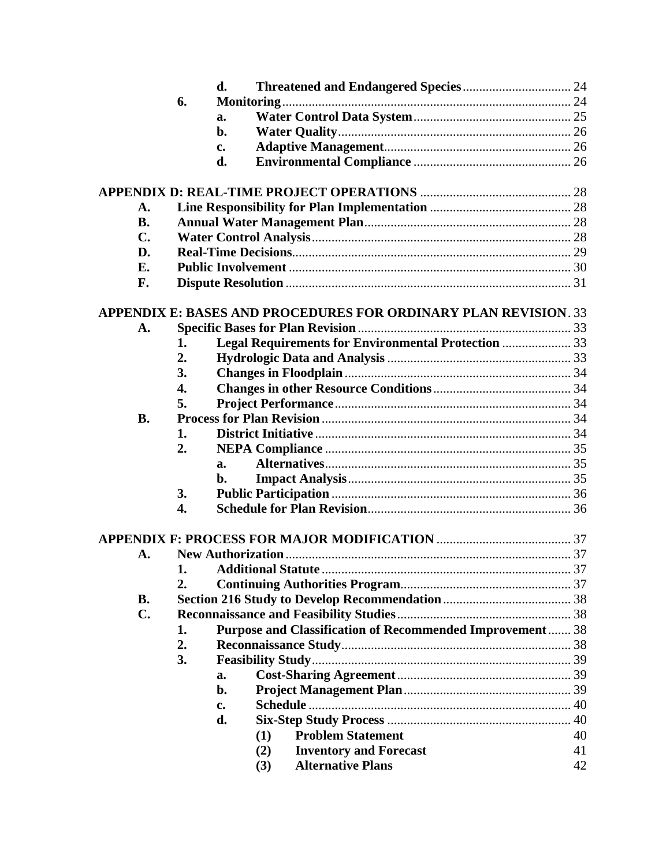|                |    | d.            |                                                                        |    |  |
|----------------|----|---------------|------------------------------------------------------------------------|----|--|
|                | 6. |               |                                                                        |    |  |
|                |    | a.            |                                                                        |    |  |
|                |    | b.            |                                                                        |    |  |
|                |    | c.            |                                                                        |    |  |
|                |    | d.            |                                                                        |    |  |
|                |    |               |                                                                        |    |  |
|                |    |               |                                                                        |    |  |
| A.             |    |               |                                                                        |    |  |
| <b>B.</b>      |    |               |                                                                        |    |  |
| $\mathbf{C}$ . |    |               |                                                                        |    |  |
| D.             |    |               |                                                                        |    |  |
| E.             |    |               |                                                                        |    |  |
| F.             |    |               |                                                                        |    |  |
|                |    |               |                                                                        |    |  |
|                |    |               | <b>APPENDIX E: BASES AND PROCEDURES FOR ORDINARY PLAN REVISION. 33</b> |    |  |
| А.             |    |               |                                                                        |    |  |
|                | 1. |               | Legal Requirements for Environmental Protection  33                    |    |  |
|                | 2. |               |                                                                        |    |  |
|                | 3. |               |                                                                        |    |  |
|                | 4. |               |                                                                        |    |  |
|                | 5. |               |                                                                        |    |  |
| <b>B.</b>      |    |               |                                                                        |    |  |
|                | 1. |               |                                                                        |    |  |
|                | 2. |               |                                                                        |    |  |
|                |    | a.            |                                                                        |    |  |
|                |    | b.            |                                                                        |    |  |
|                | 3. |               |                                                                        |    |  |
|                | 4. |               |                                                                        |    |  |
|                |    |               |                                                                        |    |  |
| A.             |    |               |                                                                        |    |  |
|                | 1. |               |                                                                        |    |  |
|                | 2. |               |                                                                        |    |  |
| <b>B.</b>      |    |               |                                                                        |    |  |
| $\mathbf{C}$ . |    |               |                                                                        |    |  |
|                | 1. |               | <b>Purpose and Classification of Recommended Improvement 38</b>        |    |  |
|                | 2. |               |                                                                        |    |  |
|                | 3. |               |                                                                        |    |  |
|                |    | a.            |                                                                        |    |  |
|                |    | b.            |                                                                        |    |  |
|                |    | $c_{\bullet}$ |                                                                        |    |  |
|                |    | d.            |                                                                        |    |  |
|                |    |               | <b>Problem Statement</b><br>(1)                                        | 40 |  |
|                |    |               | <b>Inventory and Forecast</b><br>(2)                                   | 41 |  |
|                |    |               | <b>Alternative Plans</b><br>(3)                                        | 42 |  |
|                |    |               |                                                                        |    |  |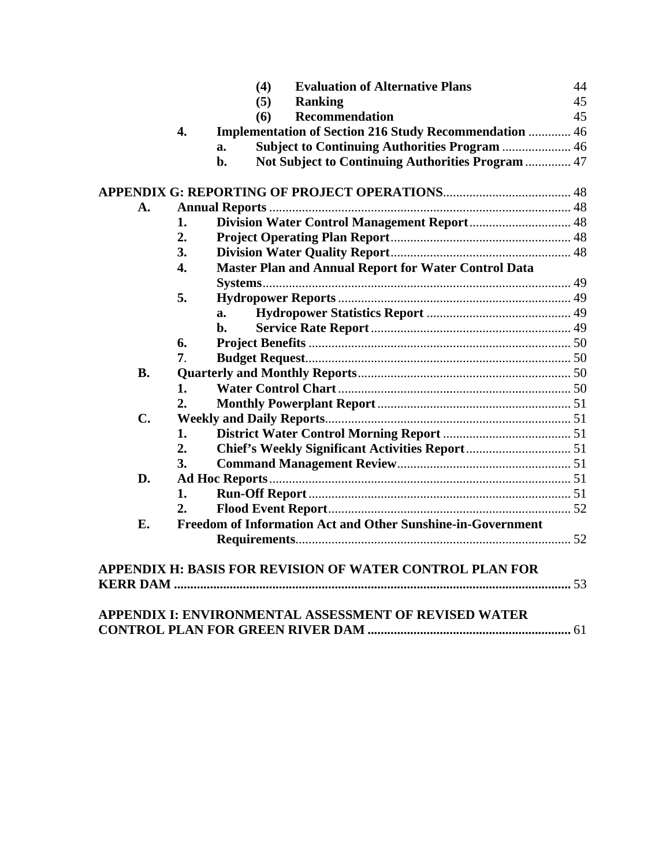|           |                  | (4) | <b>Evaluation of Alternative Plans</b>                          | 44 |  |
|-----------|------------------|-----|-----------------------------------------------------------------|----|--|
|           |                  | (5) | <b>Ranking</b>                                                  | 45 |  |
|           |                  | (6) | Recommendation                                                  | 45 |  |
|           | 4.               |     | <b>Implementation of Section 216 Study Recommendation  46</b>   |    |  |
|           |                  | a.  | <b>Subject to Continuing Authorities Program  46</b>            |    |  |
|           |                  | b.  | Not Subject to Continuing Authorities Program  47               |    |  |
|           |                  |     |                                                                 |    |  |
| A.        |                  |     |                                                                 |    |  |
|           | 1.               |     |                                                                 |    |  |
|           | 2.               |     |                                                                 |    |  |
|           | 3.               |     |                                                                 |    |  |
|           | $\overline{4}$ . |     | <b>Master Plan and Annual Report for Water Control Data</b>     |    |  |
|           |                  |     |                                                                 |    |  |
|           | 5.               |     |                                                                 |    |  |
|           |                  | a.  |                                                                 |    |  |
|           |                  | h.  |                                                                 |    |  |
|           | 6.               |     |                                                                 |    |  |
|           | 7.               |     |                                                                 |    |  |
| <b>B.</b> |                  |     |                                                                 |    |  |
|           | 1.               |     |                                                                 |    |  |
|           | 2.               |     |                                                                 |    |  |
| C.        |                  |     |                                                                 |    |  |
|           | 1.               |     |                                                                 |    |  |
|           | 2.               |     |                                                                 |    |  |
|           | 3.               |     |                                                                 |    |  |
| D.        |                  |     |                                                                 |    |  |
|           | 1.               |     |                                                                 |    |  |
|           | 2.               |     |                                                                 |    |  |
| E.        |                  |     | Freedom of Information Act and Other Sunshine-in-Government     |    |  |
|           |                  |     |                                                                 |    |  |
|           |                  |     | <b>APPENDIX H: BASIS FOR REVISION OF WATER CONTROL PLAN FOR</b> |    |  |
|           |                  |     |                                                                 |    |  |
|           |                  |     |                                                                 |    |  |
|           |                  |     | APPENDIX I: ENVIRONMENTAL ASSESSMENT OF REVISED WATER           |    |  |
|           |                  |     |                                                                 |    |  |
|           |                  |     |                                                                 |    |  |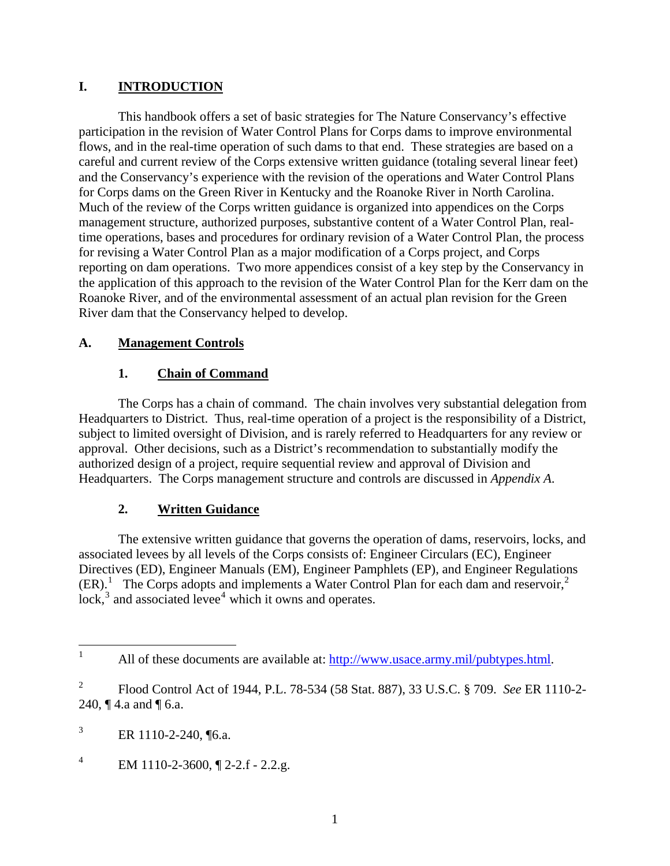# <span id="page-5-0"></span>**I. INTRODUCTION**

This handbook offers a set of basic strategies for The Nature Conservancy's effective participation in the revision of Water Control Plans for Corps dams to improve environmental flows, and in the real-time operation of such dams to that end. These strategies are based on a careful and current review of the Corps extensive written guidance (totaling several linear feet) and the Conservancy's experience with the revision of the operations and Water Control Plans for Corps dams on the Green River in Kentucky and the Roanoke River in North Carolina. Much of the review of the Corps written guidance is organized into appendices on the Corps management structure, authorized purposes, substantive content of a Water Control Plan, realtime operations, bases and procedures for ordinary revision of a Water Control Plan, the process for revising a Water Control Plan as a major modification of a Corps project, and Corps reporting on dam operations. Two more appendices consist of a key step by the Conservancy in the application of this approach to the revision of the Water Control Plan for the Kerr dam on the Roanoke River, and of the environmental assessment of an actual plan revision for the Green River dam that the Conservancy helped to develop.

### **A. Management Controls**

# **1. Chain of Command**

The Corps has a chain of command. The chain involves very substantial delegation from Headquarters to District. Thus, real-time operation of a project is the responsibility of a District, subject to limited oversight of Division, and is rarely referred to Headquarters for any review or approval. Other decisions, such as a District's recommendation to substantially modify the authorized design of a project, require sequential review and approval of Division and Headquarters. The Corps management structure and controls are discussed in *Appendix A*.

# **2. Written Guidance**

 The extensive written guidance that governs the operation of dams, reservoirs, locks, and associated levees by all levels of the Corps consists of: Engineer Circulars (EC), Engineer Directives (ED), Engineer Manuals (EM), Engineer Pamphlets (EP), and Engineer Regulations  $(ER).$ <sup>[1](#page-5-1)</sup> The Corps adopts and implements a Water Control Plan for each dam and reservoir,<sup>[2](#page-5-2)</sup>  $lock<sup>3</sup>$  $lock<sup>3</sup>$  $lock<sup>3</sup>$  and associated levee<sup>[4](#page-5-4)</sup> which it owns and operates.

<span id="page-5-1"></span> $\frac{1}{1}$ All of these documents are available at: [http://www.usace.army.mil/pubtypes.html.](http://www.usace.army.mil/pubtypes.html)

<span id="page-5-2"></span><sup>2</sup> Flood Control Act of 1944, P.L. 78-534 (58 Stat. 887), 33 U.S.C. § 709. *See* ER 1110-2- 240, ¶ 4.a and ¶ 6.a.

<span id="page-5-3"></span><sup>3</sup> ER 1110-2-240, ¶6.a.

<span id="page-5-4"></span><sup>4</sup> EM 1110-2-3600, ¶ 2-2.f - 2.2.g.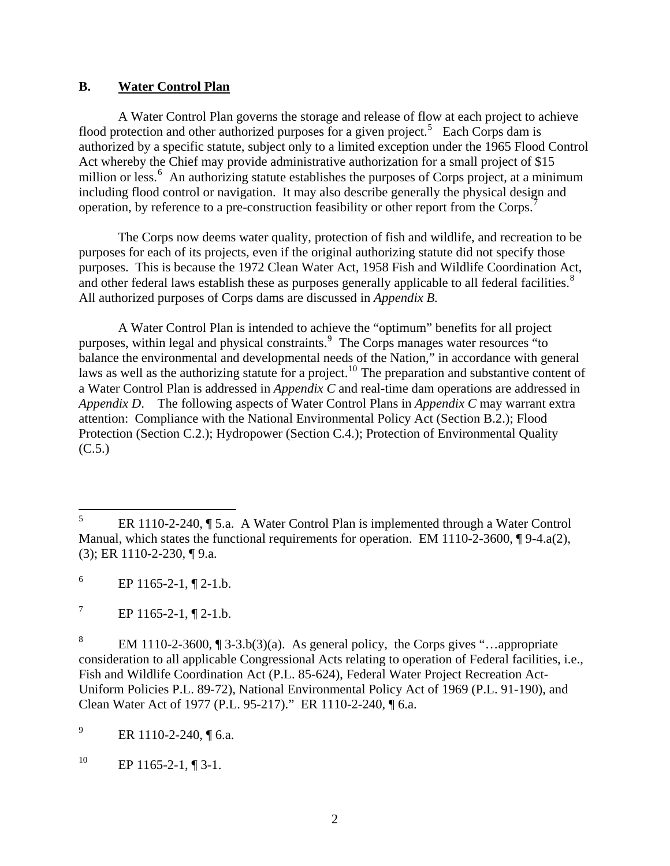#### <span id="page-6-0"></span>**B. Water Control Plan**

A Water Control Plan governs the storage and release of flow at each project to achieve flood protection and other authorized purposes for a given project.<sup>[5](#page-6-1)</sup> Each Corps dam is authorized by a specific statute, subject only to a limited exception under the 1965 Flood Control Act whereby the Chief may provide administrative authorization for a small project of \$15 million or less.<sup>[6](#page-6-2)</sup> An authorizing statute establishes the purposes of Corps project, at a minimum including flood control or navigation. It may also describe generally the physical design and operation, by reference to a pre-construction feasibility or other report from the Corps.[7](#page-6-3)

The Corps now deems water quality, protection of fish and wildlife, and recreation to be purposes for each of its projects, even if the original authorizing statute did not specify those purposes. This is because the 1972 Clean Water Act, 1958 Fish and Wildlife Coordination Act, and other federal laws establish these as purposes generally applicable to all federal facilities.<sup>[8](#page-6-4)</sup> All authorized purposes of Corps dams are discussed in *Appendix B.*

 A Water Control Plan is intended to achieve the "optimum" benefits for all project purposes, within legal and physical constraints.<sup>[9](#page-6-5)</sup> The Corps manages water resources "to balance the environmental and developmental needs of the Nation," in accordance with general laws as well as the authorizing statute for a project.<sup>[10](#page-6-6)</sup> The preparation and substantive content of a Water Control Plan is addressed in *Appendix C* and real-time dam operations are addressed in *Appendix D*. The following aspects of Water Control Plans in *Appendix C* may warrant extra attention: Compliance with the National Environmental Policy Act (Section B.2.); Flood Protection (Section C.2.); Hydropower (Section C.4.); Protection of Environmental Quality  $(C.5.)$ 

<span id="page-6-3"></span>7 EP 1165-2-1, ¶ 2-1.b.

<span id="page-6-4"></span>8 EM 1110-2-3600, ¶ 3-3.b(3)(a). As general policy, the Corps gives "…appropriate consideration to all applicable Congressional Acts relating to operation of Federal facilities, i.e., Fish and Wildlife Coordination Act (P.L. 85-624), Federal Water Project Recreation Act-Uniform Policies P.L. 89-72), National Environmental Policy Act of 1969 (P.L. 91-190), and Clean Water Act of 1977 (P.L. 95-217)." ER 1110-2-240, ¶ 6.a.

<span id="page-6-5"></span>9 ER 1110-2-240, ¶ 6.a.

<span id="page-6-6"></span><sup>10</sup> EP 1165-2-1, ¶ 3-1.

<span id="page-6-1"></span> 5 ER 1110-2-240, ¶ 5.a. A Water Control Plan is implemented through a Water Control Manual, which states the functional requirements for operation. EM 1110-2-3600,  $\P$ 9-4.a(2), (3); ER 1110-2-230, ¶ 9.a.

<span id="page-6-2"></span><sup>6</sup> EP 1165-2-1, ¶ 2-1.b.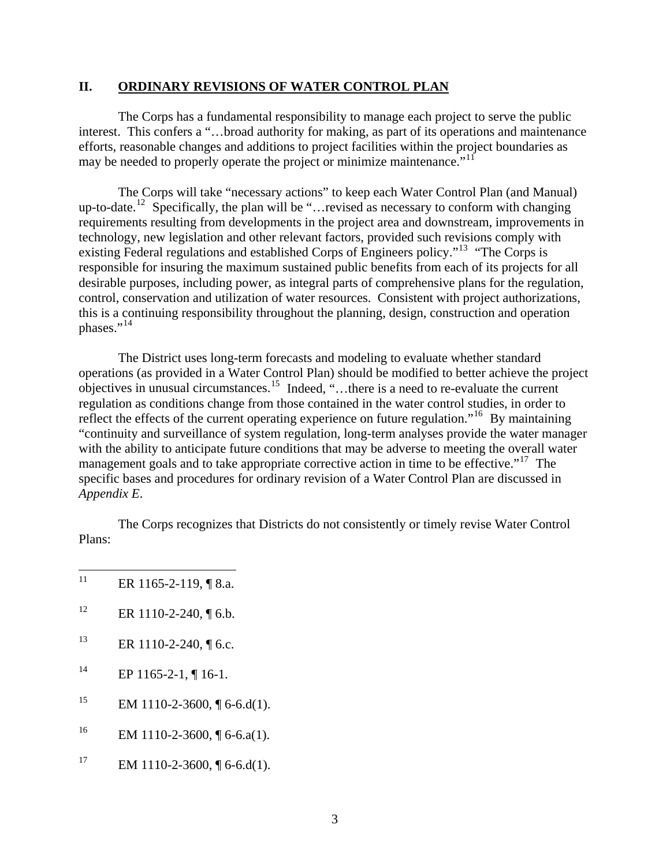#### <span id="page-7-0"></span>**II. ORDINARY REVISIONS OF WATER CONTROL PLAN**

 The Corps has a fundamental responsibility to manage each project to serve the public interest. This confers a "...broad authority for making, as part of its operations and maintenance efforts, reasonable changes and additions to project facilities within the project boundaries as may be needed to properly operate the project or minimize maintenance."<sup>[11](#page-7-1)</sup>

 The Corps will take "necessary actions" to keep each Water Control Plan (and Manual) up-to-date.<sup>[12](#page-7-2)</sup> Specifically, the plan will be "…revised as necessary to conform with changing requirements resulting from developments in the project area and downstream, improvements in technology, new legislation and other relevant factors, provided such revisions comply with existing Federal regulations and established Corps of Engineers policy."<sup>[13](#page-7-3)</sup> "The Corps is responsible for insuring the maximum sustained public benefits from each of its projects for all desirable purposes, including power, as integral parts of comprehensive plans for the regulation, control, conservation and utilization of water resources. Consistent with project authorizations, this is a continuing responsibility throughout the planning, design, construction and operation phases."<sup>[14](#page-7-4)</sup>

 The District uses long-term forecasts and modeling to evaluate whether standard operations (as provided in a Water Control Plan) should be modified to better achieve the project objectives in unusual circumstances.<sup>[15](#page-7-5)</sup> Indeed, "...there is a need to re-evaluate the current regulation as conditions change from those contained in the water control studies, in order to reflect the effects of the current operating experience on future regulation."<sup>[16](#page-7-6)</sup> By maintaining "continuity and surveillance of system regulation, long-term analyses provide the water manager with the ability to anticipate future conditions that may be adverse to meeting the overall water management goals and to take appropriate corrective action in time to be effective."<sup>[17](#page-7-7)</sup> The specific bases and procedures for ordinary revision of a Water Control Plan are discussed in *Appendix E*.

 The Corps recognizes that Districts do not consistently or timely revise Water Control Plans:

- <span id="page-7-1"></span> $11$ ER 1165-2-119, ¶ 8.a.
- <span id="page-7-2"></span><sup>12</sup> ER 1110-2-240,  $\P$  6.b.
- <span id="page-7-3"></span><sup>13</sup> ER 1110-2-240, ¶ 6.c.
- <span id="page-7-4"></span> $^{14}$  EP 1165-2-1, ¶ 16-1.
- <span id="page-7-5"></span><sup>15</sup> EM 1110-2-3600,  $\sqrt{6}$ -6.d(1).
- <span id="page-7-6"></span><sup>16</sup> EM 1110-2-3600,  $\sqrt{6}$ -6.a(1).
- <span id="page-7-7"></span><sup>17</sup> EM 1110-2-3600,  $\sqrt{6}$ -6.d(1).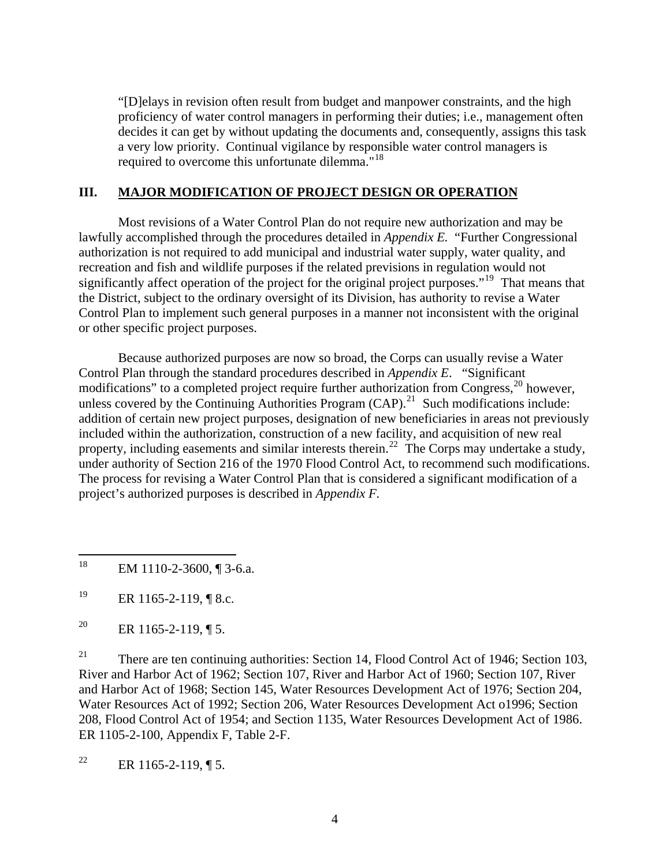<span id="page-8-0"></span>"[D]elays in revision often result from budget and manpower constraints, and the high proficiency of water control managers in performing their duties; i.e., management often decides it can get by without updating the documents and, consequently, assigns this task a very low priority. Continual vigilance by responsible water control managers is required to overcome this unfortunate dilemma."<sup>[18](#page-8-1)</sup>

# **III. MAJOR MODIFICATION OF PROJECT DESIGN OR OPERATION**

 Most revisions of a Water Control Plan do not require new authorization and may be lawfully accomplished through the procedures detailed in *Appendix E.* "Further Congressional authorization is not required to add municipal and industrial water supply, water quality, and recreation and fish and wildlife purposes if the related previsions in regulation would not significantly affect operation of the project for the original project purposes."<sup>[19](#page-8-2)</sup> That means that the District, subject to the ordinary oversight of its Division, has authority to revise a Water Control Plan to implement such general purposes in a manner not inconsistent with the original or other specific project purposes.

 Because authorized purposes are now so broad, the Corps can usually revise a Water Control Plan through the standard procedures described in *Appendix E*. "Significant modifications" to a completed project require further authorization from Congress,<sup>[20](#page-8-3)</sup> however, unless covered by the Continuing Authorities Program  $(CAP)$ .<sup>[21](#page-8-4)</sup> Such modifications include: addition of certain new project purposes, designation of new beneficiaries in areas not previously included within the authorization, construction of a new facility, and acquisition of new real property, including easements and similar interests therein.<sup>[22](#page-8-5)</sup> The Corps may undertake a study, under authority of Section 216 of the 1970 Flood Control Act, to recommend such modifications. The process for revising a Water Control Plan that is considered a significant modification of a project's authorized purposes is described in *Appendix F.* 

<span id="page-8-4"></span><sup>21</sup> There are ten continuing authorities: Section 14, Flood Control Act of 1946; Section 103, River and Harbor Act of 1962; Section 107, River and Harbor Act of 1960; Section 107, River and Harbor Act of 1968; Section 145, Water Resources Development Act of 1976; Section 204, Water Resources Act of 1992; Section 206, Water Resources Development Act o1996; Section 208, Flood Control Act of 1954; and Section 1135, Water Resources Development Act of 1986. ER 1105-2-100, Appendix F, Table 2-F.

<span id="page-8-5"></span><sup>22</sup> ER 1165-2-119, ¶ 5.

<span id="page-8-1"></span><sup>18</sup> EM 1110-2-3600, ¶ 3-6.a.

<span id="page-8-2"></span><sup>19</sup> ER 1165-2-119,  $\sqrt{8}$  8.c.

<span id="page-8-3"></span><sup>&</sup>lt;sup>20</sup> ER 1165-2-119, ¶ 5.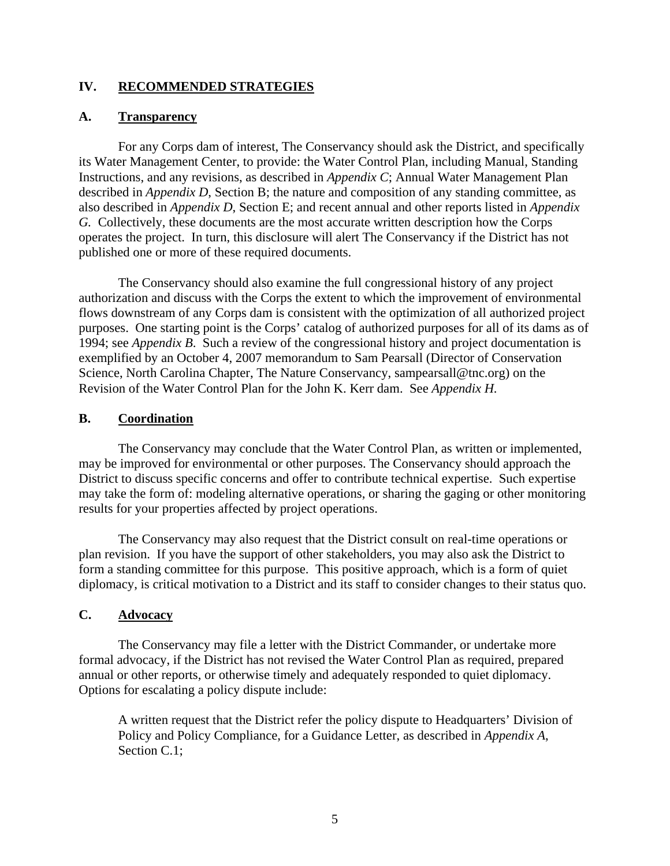#### <span id="page-9-0"></span>**IV. RECOMMENDED STRATEGIES**

#### **A. Transparency**

 For any Corps dam of interest, The Conservancy should ask the District, and specifically its Water Management Center, to provide: the Water Control Plan, including Manual, Standing Instructions, and any revisions, as described in *Appendix C*; Annual Water Management Plan described in *Appendix D*, Section B; the nature and composition of any standing committee, as also described in *Appendix D*, Section E; and recent annual and other reports listed in *Appendix G.* Collectively, these documents are the most accurate written description how the Corps operates the project. In turn, this disclosure will alert The Conservancy if the District has not published one or more of these required documents.

The Conservancy should also examine the full congressional history of any project authorization and discuss with the Corps the extent to which the improvement of environmental flows downstream of any Corps dam is consistent with the optimization of all authorized project purposes. One starting point is the Corps' catalog of authorized purposes for all of its dams as of 1994; see *Appendix B*. Such a review of the congressional history and project documentation is exemplified by an October 4, 2007 memorandum to Sam Pearsall (Director of Conservation Science, North Carolina Chapter, The Nature Conservancy, sampearsall@tnc.org) on the Revision of the Water Control Plan for the John K. Kerr dam. See *Appendix H.*

#### **B. Coordination**

 The Conservancy may conclude that the Water Control Plan, as written or implemented, may be improved for environmental or other purposes. The Conservancy should approach the District to discuss specific concerns and offer to contribute technical expertise. Such expertise may take the form of: modeling alternative operations, or sharing the gaging or other monitoring results for your properties affected by project operations.

The Conservancy may also request that the District consult on real-time operations or plan revision. If you have the support of other stakeholders, you may also ask the District to form a standing committee for this purpose. This positive approach, which is a form of quiet diplomacy, is critical motivation to a District and its staff to consider changes to their status quo.

#### **C. Advocacy**

The Conservancy may file a letter with the District Commander, or undertake more formal advocacy, if the District has not revised the Water Control Plan as required, prepared annual or other reports, or otherwise timely and adequately responded to quiet diplomacy. Options for escalating a policy dispute include:

A written request that the District refer the policy dispute to Headquarters' Division of Policy and Policy Compliance, for a Guidance Letter, as described in *Appendix A*, Section C.1: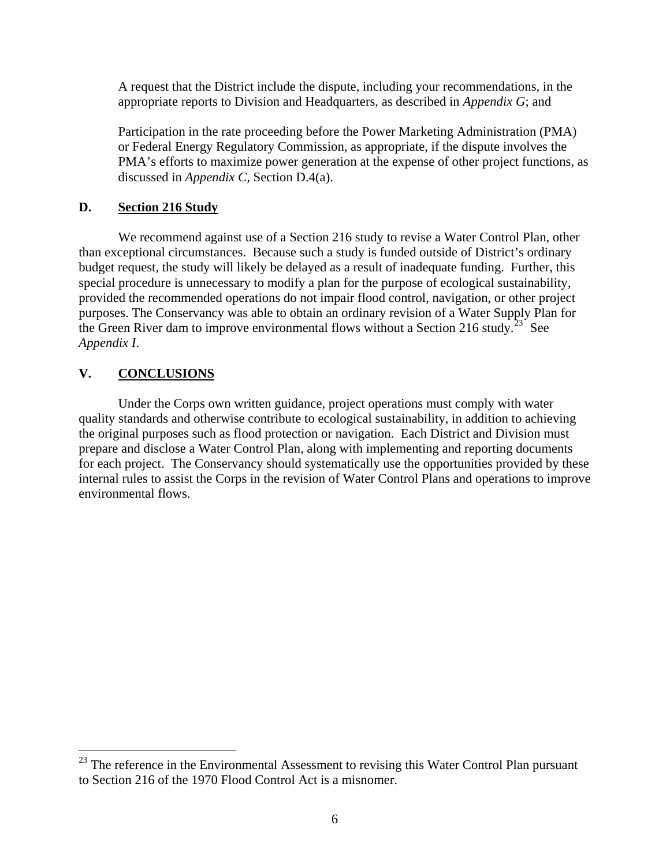<span id="page-10-0"></span>A request that the District include the dispute, including your recommendations, in the appropriate reports to Division and Headquarters, as described in *Appendix G*; and

Participation in the rate proceeding before the Power Marketing Administration (PMA) or Federal Energy Regulatory Commission, as appropriate, if the dispute involves the PMA's efforts to maximize power generation at the expense of other project functions, as discussed in *Appendix C,* Section D.4(a).

# **D. Section 216 Study**

We recommend against use of a Section 216 study to revise a Water Control Plan, other than exceptional circumstances. Because such a study is funded outside of District's ordinary budget request, the study will likely be delayed as a result of inadequate funding. Further, this special procedure is unnecessary to modify a plan for the purpose of ecological sustainability, provided the recommended operations do not impair flood control, navigation, or other project purposes. The Conservancy was able to obtain an ordinary revision of a Water Supply Plan for the Green River dam to improve environmental flows without a Section 216 study.<sup>[23](#page-10-1)</sup> See *Appendix I*.

# **V. CONCLUSIONS**

 $\overline{a}$ 

 Under the Corps own written guidance, project operations must comply with water quality standards and otherwise contribute to ecological sustainability, in addition to achieving the original purposes such as flood protection or navigation. Each District and Division must prepare and disclose a Water Control Plan, along with implementing and reporting documents for each project. The Conservancy should systematically use the opportunities provided by these internal rules to assist the Corps in the revision of Water Control Plans and operations to improve environmental flows.

<span id="page-10-1"></span> $23$  The reference in the Environmental Assessment to revising this Water Control Plan pursuant to Section 216 of the 1970 Flood Control Act is a misnomer.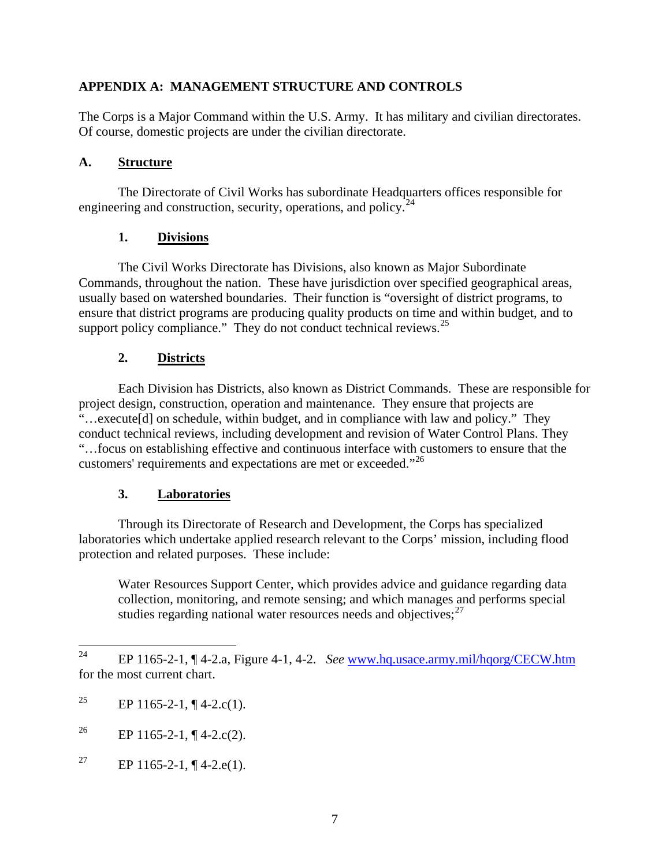# <span id="page-11-0"></span>**APPENDIX A: MANAGEMENT STRUCTURE AND CONTROLS**

The Corps is a Major Command within the U.S. Army. It has military and civilian directorates. Of course, domestic projects are under the civilian directorate.

#### **A. Structure**

The Directorate of Civil Works has subordinate Headquarters offices responsible for engineering and construction, security, operations, and policy. $^{24}$  $^{24}$  $^{24}$ 

# **1. Divisions**

The Civil Works Directorate has Divisions, also known as Major Subordinate Commands, throughout the nation. These have jurisdiction over specified geographical areas, usually based on watershed boundaries. Their function is "oversight of district programs, to ensure that district programs are producing quality products on time and within budget, and to support policy compliance." They do not conduct technical reviews. $^{25}$  $^{25}$  $^{25}$ 

### **2. Districts**

Each Division has Districts, also known as District Commands. These are responsible for project design, construction, operation and maintenance. They ensure that projects are "…execute[d] on schedule, within budget, and in compliance with law and policy." They conduct technical reviews, including development and revision of Water Control Plans. They "…focus on establishing effective and continuous interface with customers to ensure that the customers' requirements and expectations are met or exceeded."[26](#page-11-3)

# **3. Laboratories**

 Through its Directorate of Research and Development, the Corps has specialized laboratories which undertake applied research relevant to the Corps' mission, including flood protection and related purposes. These include:

Water Resources Support Center, which provides advice and guidance regarding data collection, monitoring, and remote sensing; and which manages and performs special studies regarding national water resources needs and objectives; $27$ 

<span id="page-11-1"></span> $24$ 24 EP 1165-2-1, ¶ 4-2.a, Figure 4-1, 4-2. *See* [www.hq.usace.army.mil/hqorg/CECW.htm](http://www.hq.usace.army.mil/hqorg/CECW.htm) for the most current chart.

<span id="page-11-2"></span><sup>&</sup>lt;sup>25</sup> EP 1165-2-1, ¶ 4-2.c(1).

<span id="page-11-3"></span><sup>&</sup>lt;sup>26</sup> EP 1165-2-1, ¶ 4-2.c(2).

<span id="page-11-4"></span><sup>&</sup>lt;sup>27</sup> EP 1165-2-1, ¶ 4-2.e(1).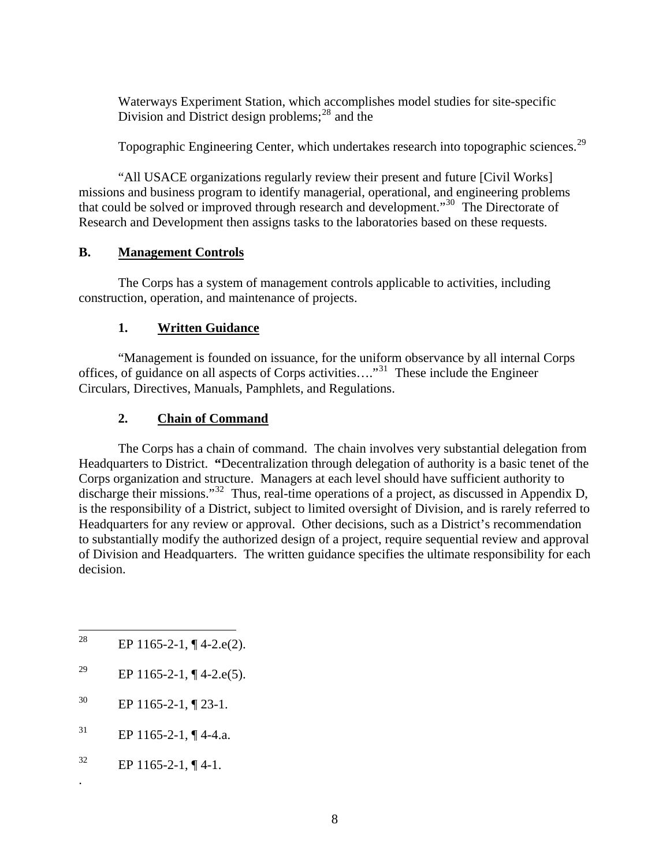<span id="page-12-0"></span>Waterways Experiment Station, which accomplishes model studies for site-specific Division and District design problems; $^{28}$  $^{28}$  $^{28}$  and the

Topographic Engineering Center, which undertakes research into topographic sciences.<sup>[29](#page-12-2)</sup>

"All USACE organizations regularly review their present and future [Civil Works] missions and business program to identify managerial, operational, and engineering problems that could be solved or improved through research and development.<sup>[30](#page-12-3)</sup> The Directorate of Research and Development then assigns tasks to the laboratories based on these requests.

### **B. Management Controls**

The Corps has a system of management controls applicable to activities, including construction, operation, and maintenance of projects.

# **1. Written Guidance**

 "Management is founded on issuance, for the uniform observance by all internal Corps offices, of guidance on all aspects of Corps activities…."[31](#page-12-4) These include the Engineer Circulars, Directives, Manuals, Pamphlets, and Regulations.

### **2. Chain of Command**

The Corps has a chain of command. The chain involves very substantial delegation from Headquarters to District. **"**Decentralization through delegation of authority is a basic tenet of the Corps organization and structure. Managers at each level should have sufficient authority to discharge their missions."<sup>[32](#page-12-5)</sup> Thus, real-time operations of a project, as discussed in Appendix D, is the responsibility of a District, subject to limited oversight of Division, and is rarely referred to Headquarters for any review or approval. Other decisions, such as a District's recommendation to substantially modify the authorized design of a project, require sequential review and approval of Division and Headquarters. The written guidance specifies the ultimate responsibility for each decision.

- <span id="page-12-3"></span> $^{30}$  EP 1165-2-1, ¶ 23-1.
- <span id="page-12-4"></span> $^{31}$  EP 1165-2-1, ¶ 4-4.a.
- <span id="page-12-5"></span> $^{32}$  EP 1165-2-1, ¶4-1.

.

<span id="page-12-1"></span><sup>28</sup> EP  $1165-2-1$ ,  $\P$  4-2.e(2).

<span id="page-12-2"></span><sup>&</sup>lt;sup>29</sup> EP 1165-2-1, ¶ 4-2.e(5).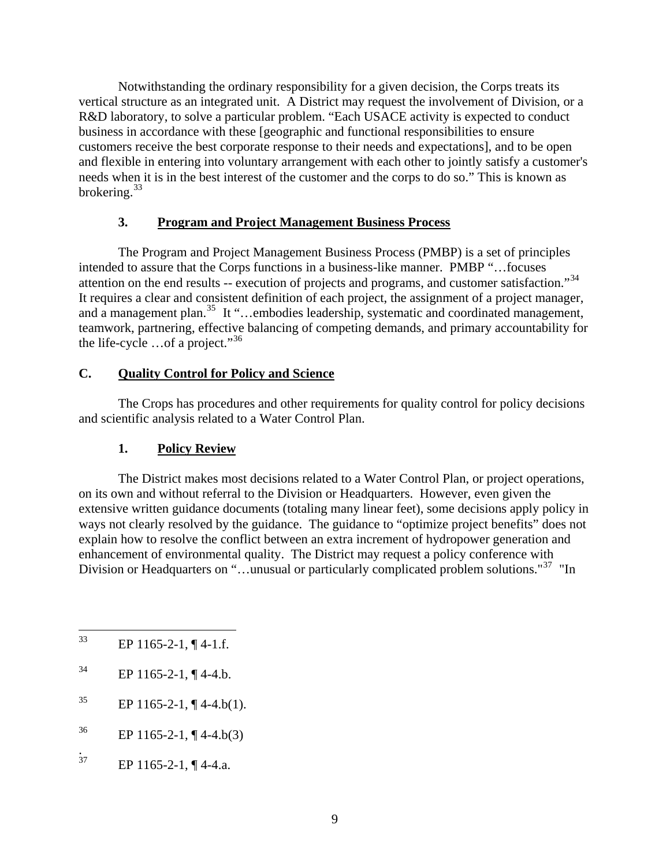<span id="page-13-0"></span>Notwithstanding the ordinary responsibility for a given decision, the Corps treats its vertical structure as an integrated unit. A District may request the involvement of Division, or a R&D laboratory, to solve a particular problem. "Each USACE activity is expected to conduct business in accordance with these [geographic and functional responsibilities to ensure customers receive the best corporate response to their needs and expectations], and to be open and flexible in entering into voluntary arrangement with each other to jointly satisfy a customer's needs when it is in the best interest of the customer and the corps to do so." This is known as brokering.<sup>[33](#page-13-1)</sup>

### **3. Program and Project Management Business Process**

The Program and Project Management Business Process (PMBP) is a set of principles intended to assure that the Corps functions in a business-like manner. PMBP "…focuses attention on the end results -- execution of projects and programs, and customer satisfaction."[34](#page-13-2) It requires a clear and consistent definition of each project, the assignment of a project manager, and a management plan.<sup>[35](#page-13-3)</sup> It "...embodies leadership, systematic and coordinated management, teamwork, partnering, effective balancing of competing demands, and primary accountability for the life-cycle  $\ldots$  of a project."<sup>[36](#page-13-4)</sup>

# **C. Quality Control for Policy and Science**

 The Crops has procedures and other requirements for quality control for policy decisions and scientific analysis related to a Water Control Plan.

# **1. Policy Review**

The District makes most decisions related to a Water Control Plan, or project operations, on its own and without referral to the Division or Headquarters. However, even given the extensive written guidance documents (totaling many linear feet), some decisions apply policy in ways not clearly resolved by the guidance. The guidance to "optimize project benefits" does not explain how to resolve the conflict between an extra increment of hydropower generation and enhancement of environmental quality. The District may request a policy conference with Division or Headquarters on "...unusual or particularly complicated problem solutions."<sup>[37](#page-13-5)</sup> "In

- <span id="page-13-2"></span> $^{34}$  EP 1165-2-1, ¶ 4-4.b.
- <span id="page-13-3"></span> $^{35}$  EP 1165-2-1, ¶ 4-4.b(1).
- <span id="page-13-4"></span> $^{36}$  EP 1165-2-1, ¶ 4-4.b(3)
- <span id="page-13-5"></span> $\overline{37}$ EP  $1165-2-1$ ,  $\P$  4-4.a.

<span id="page-13-1"></span> $33$ EP 1165-2-1,  $\P$  4-1.f.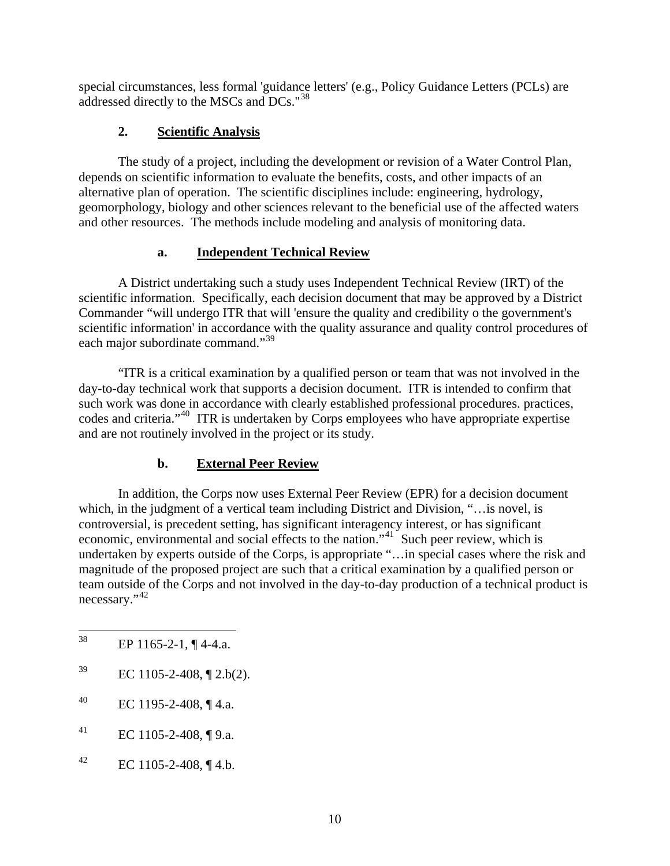<span id="page-14-0"></span>special circumstances, less formal 'guidance letters' (e.g., Policy Guidance Letters (PCLs) are addressed directly to the MSCs and DCs."[38](#page-14-1)

# **2. Scientific Analysis**

The study of a project, including the development or revision of a Water Control Plan, depends on scientific information to evaluate the benefits, costs, and other impacts of an alternative plan of operation. The scientific disciplines include: engineering, hydrology, geomorphology, biology and other sciences relevant to the beneficial use of the affected waters and other resources. The methods include modeling and analysis of monitoring data.

# **a. Independent Technical Review**

A District undertaking such a study uses Independent Technical Review (IRT) of the scientific information. Specifically, each decision document that may be approved by a District Commander "will undergo ITR that will 'ensure the quality and credibility o the government's scientific information' in accordance with the quality assurance and quality control procedures of each major subordinate command."<sup>[39](#page-14-2)</sup>

"ITR is a critical examination by a qualified person or team that was not involved in the day-to-day technical work that supports a decision document. ITR is intended to confirm that such work was done in accordance with clearly established professional procedures. practices, codes and criteria."[40](#page-14-3) ITR is undertaken by Corps employees who have appropriate expertise and are not routinely involved in the project or its study.

# **b. External Peer Review**

In addition, the Corps now uses External Peer Review (EPR) for a decision document which, in the judgment of a vertical team including District and Division, "…is novel, is controversial, is precedent setting, has significant interagency interest, or has significant economic, environmental and social effects to the nation."[41](#page-14-4) Such peer review, which is undertaken by experts outside of the Corps, is appropriate "…in special cases where the risk and magnitude of the proposed project are such that a critical examination by a qualified person or team outside of the Corps and not involved in the day-to-day production of a technical product is necessary."<sup>[42](#page-14-5)</sup>

- <span id="page-14-2"></span> $^{39}$  EC 1105-2-408, [2.b(2).
- <span id="page-14-3"></span> $^{40}$  EC 1195-2-408, ¶ 4.a.
- <span id="page-14-4"></span> $^{41}$  EC 1105-2-408, ¶ 9.a.
- <span id="page-14-5"></span> $^{42}$  EC 1105-2-408, ¶ 4.b.

<span id="page-14-1"></span><sup>38</sup> EP 1165-2-1,  $\P$  4-4.a.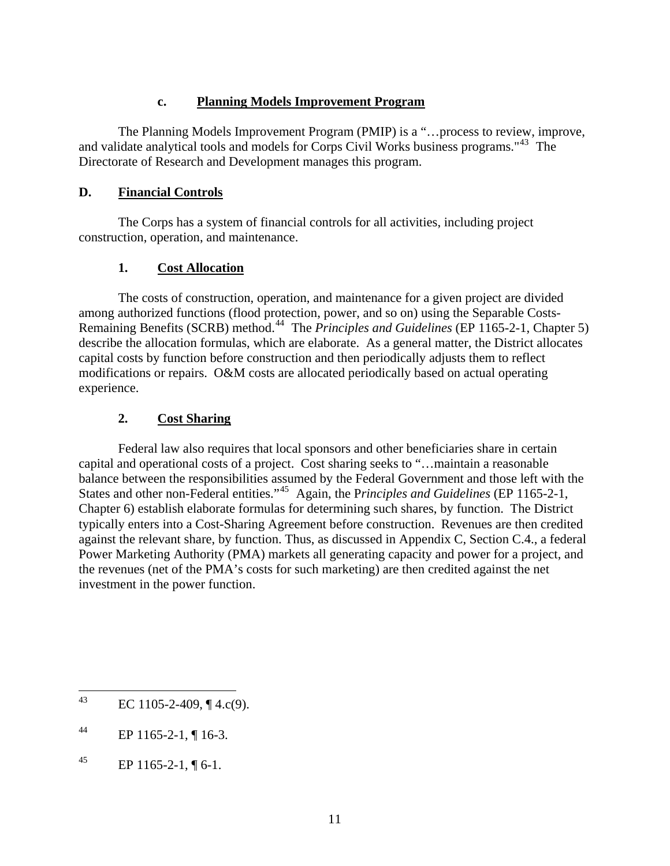### **c. Planning Models Improvement Program**

<span id="page-15-0"></span>The Planning Models Improvement Program (PMIP) is a "…process to review, improve, and validate analytical tools and models for Corps Civil Works business programs."[43](#page-15-1) The Directorate of Research and Development manages this program.

### **D. Financial Controls**

 The Corps has a system of financial controls for all activities, including project construction, operation, and maintenance.

# **1. Cost Allocation**

The costs of construction, operation, and maintenance for a given project are divided among authorized functions (flood protection, power, and so on) using the Separable Costs-Remaining Benefits (SCRB) method.[44](#page-15-2) The *Principles and Guidelines* (EP 1165-2-1, Chapter 5) describe the allocation formulas, which are elaborate. As a general matter, the District allocates capital costs by function before construction and then periodically adjusts them to reflect modifications or repairs. O&M costs are allocated periodically based on actual operating experience.

# **2. Cost Sharing**

Federal law also requires that local sponsors and other beneficiaries share in certain capital and operational costs of a project. Cost sharing seeks to "…maintain a reasonable balance between the responsibilities assumed by the Federal Government and those left with the States and other non-Federal entities."[45](#page-15-3) Again, the P*rinciples and Guidelines* (EP 1165-2-1, Chapter 6) establish elaborate formulas for determining such shares, by function. The District typically enters into a Cost-Sharing Agreement before construction. Revenues are then credited against the relevant share, by function. Thus, as discussed in Appendix C, Section C.4., a federal Power Marketing Authority (PMA) markets all generating capacity and power for a project, and the revenues (net of the PMA's costs for such marketing) are then credited against the net investment in the power function.

<span id="page-15-1"></span><sup>43</sup> EC 1105-2-409,  $\P$  4.c(9).

<span id="page-15-2"></span> $^{44}$  EP 1165-2-1, ¶ 16-3.

<span id="page-15-3"></span><sup>45</sup> EP 1165-2-1,  $\P$  6-1.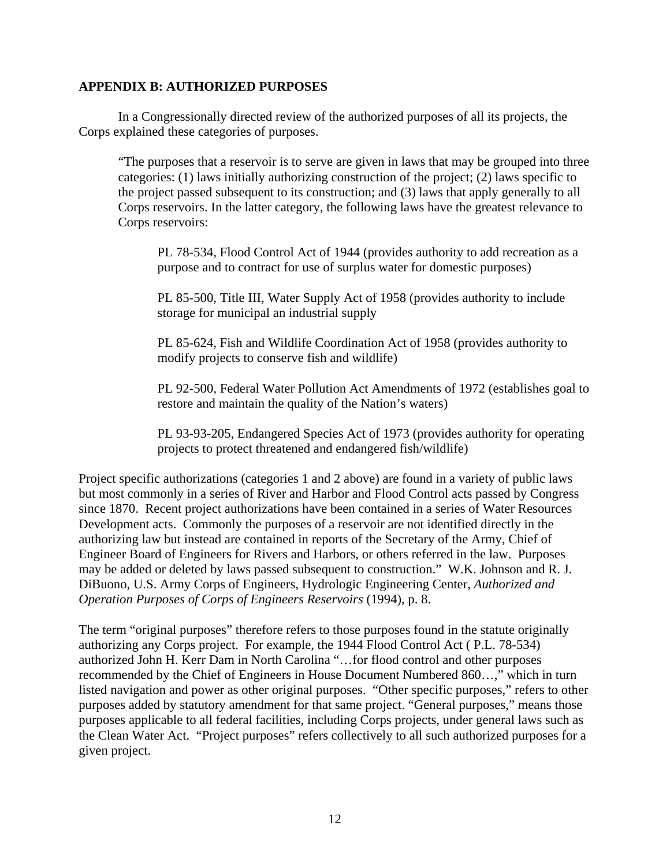### <span id="page-16-0"></span>**APPENDIX B: AUTHORIZED PURPOSES**

In a Congressionally directed review of the authorized purposes of all its projects, the Corps explained these categories of purposes.

"The purposes that a reservoir is to serve are given in laws that may be grouped into three categories: (1) laws initially authorizing construction of the project; (2) laws specific to the project passed subsequent to its construction; and (3) laws that apply generally to all Corps reservoirs. In the latter category, the following laws have the greatest relevance to Corps reservoirs:

PL 78-534, Flood Control Act of 1944 (provides authority to add recreation as a purpose and to contract for use of surplus water for domestic purposes)

PL 85-500, Title III, Water Supply Act of 1958 (provides authority to include storage for municipal an industrial supply

PL 85-624, Fish and Wildlife Coordination Act of 1958 (provides authority to modify projects to conserve fish and wildlife)

PL 92-500, Federal Water Pollution Act Amendments of 1972 (establishes goal to restore and maintain the quality of the Nation's waters)

PL 93-93-205, Endangered Species Act of 1973 (provides authority for operating projects to protect threatened and endangered fish/wildlife)

Project specific authorizations (categories 1 and 2 above) are found in a variety of public laws but most commonly in a series of River and Harbor and Flood Control acts passed by Congress since 1870. Recent project authorizations have been contained in a series of Water Resources Development acts. Commonly the purposes of a reservoir are not identified directly in the authorizing law but instead are contained in reports of the Secretary of the Army, Chief of Engineer Board of Engineers for Rivers and Harbors, or others referred in the law. Purposes may be added or deleted by laws passed subsequent to construction." W.K. Johnson and R. J. DiBuono, U.S. Army Corps of Engineers, Hydrologic Engineering Center, *Authorized and Operation Purposes of Corps of Engineers Reservoirs* (1994), p. 8.

The term "original purposes" therefore refers to those purposes found in the statute originally authorizing any Corps project. For example, the 1944 Flood Control Act ( P.L. 78-534) authorized John H. Kerr Dam in North Carolina "…for flood control and other purposes recommended by the Chief of Engineers in House Document Numbered 860…," which in turn listed navigation and power as other original purposes. "Other specific purposes," refers to other purposes added by statutory amendment for that same project. "General purposes," means those purposes applicable to all federal facilities, including Corps projects, under general laws such as the Clean Water Act. "Project purposes" refers collectively to all such authorized purposes for a given project.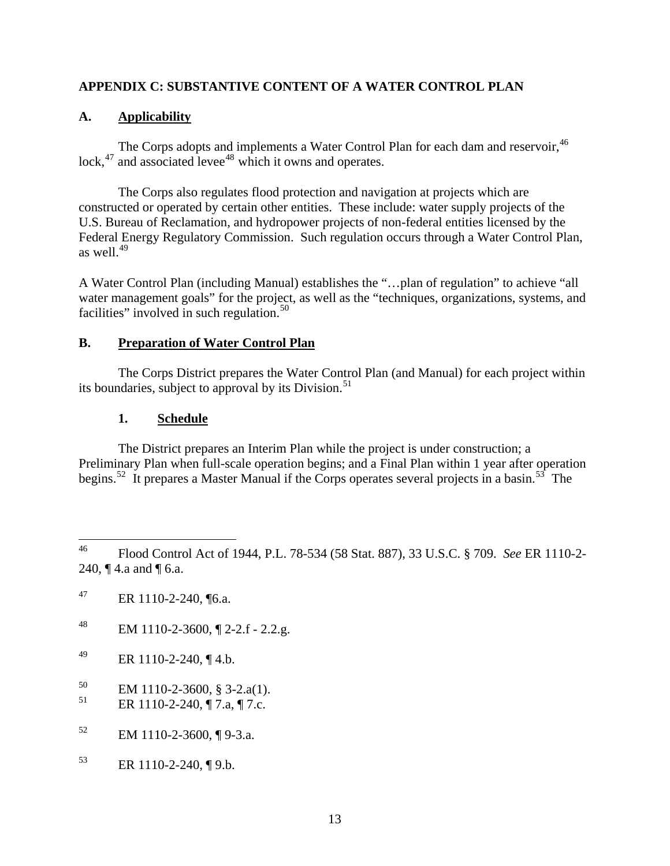# <span id="page-17-0"></span>**APPENDIX C: SUBSTANTIVE CONTENT OF A WATER CONTROL PLAN**

# **A. Applicability**

The Corps adopts and implements a Water Control Plan for each dam and reservoir, <sup>[46](#page-17-1)</sup> lock, $47$  and associated levee<sup>[48](#page-17-3)</sup> which it owns and operates.

 The Corps also regulates flood protection and navigation at projects which are constructed or operated by certain other entities. These include: water supply projects of the U.S. Bureau of Reclamation, and hydropower projects of non-federal entities licensed by the Federal Energy Regulatory Commission. Such regulation occurs through a Water Control Plan, as well. $^{49}$  $^{49}$  $^{49}$ 

A Water Control Plan (including Manual) establishes the "…plan of regulation" to achieve "all water management goals" for the project, as well as the "techniques, organizations, systems, and facilities" involved in such regulation.<sup>[50](#page-17-5)</sup>

# **B. Preparation of Water Control Plan**

 The Corps District prepares the Water Control Plan (and Manual) for each project within its boundaries, subject to approval by its Division.<sup>[51](#page-17-6)</sup>

# **1. Schedule**

 The District prepares an Interim Plan while the project is under construction; a Preliminary Plan when full-scale operation begins; and a Final Plan within 1 year after operation begins.<sup>[52](#page-17-7)</sup> It prepares a Master Manual if the Corps operates several projects in a basin.<sup>[53](#page-17-8)</sup> The

- <span id="page-17-3"></span>48 EM 1110-2-3600,  $\sqrt{2}$ -2.f - 2.2.g.
- <span id="page-17-4"></span>49 ER 1110-2-240,  $\P$  4.b.
- <span id="page-17-5"></span> $^{50}$  EM 1110-2-3600, § 3-2.a(1).<br> $^{51}$  EP 1110.2.240.17.a.17.a.
- <span id="page-17-6"></span>51 ER 1110-2-240, ¶ 7.a, ¶ 7.c.
- <span id="page-17-7"></span> $52$  EM 1110-2-3600, ¶ 9-3.a.
- <span id="page-17-8"></span> $53$  ER 1110-2-240,  $\P$  9.b.

<span id="page-17-1"></span><sup>46</sup> 46 Flood Control Act of 1944, P.L. 78-534 (58 Stat. 887), 33 U.S.C. § 709. *See* ER 1110-2- 240, ¶ 4.a and ¶ 6.a.

<span id="page-17-2"></span> $^{47}$  ER 1110-2-240, [6.a.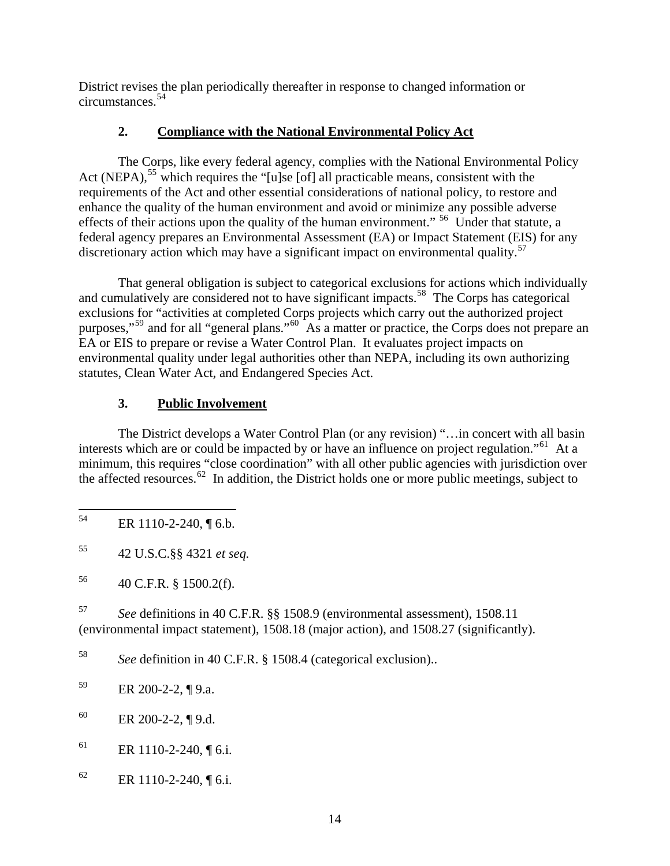<span id="page-18-0"></span>District revises the plan periodically thereafter in response to changed information or circumstances.[54](#page-18-1)

# **2. Compliance with the National Environmental Policy Act**

 The Corps, like every federal agency, complies with the National Environmental Policy Act (NEPA),<sup>[55](#page-18-2)</sup> which requires the "[u]se [of] all practicable means, consistent with the requirements of the Act and other essential considerations of national policy, to restore and enhance the quality of the human environment and avoid or minimize any possible adverse effects of their actions upon the quality of the human environment." <sup>[56](#page-18-3)</sup> Under that statute, a federal agency prepares an Environmental Assessment (EA) or Impact Statement (EIS) for any discretionary action which may have a significant impact on environmental quality.<sup>[57](#page-18-4)</sup>

 That general obligation is subject to categorical exclusions for actions which individually and cumulatively are considered not to have significant impacts.<sup>[58](#page-18-5)</sup> The Corps has categorical exclusions for "activities at completed Corps projects which carry out the authorized project purposes,"<sup>[59](#page-18-6)</sup> and for all "general plans."<sup>[60](#page-18-7)</sup> As a matter or practice, the Corps does not prepare an EA or EIS to prepare or revise a Water Control Plan. It evaluates project impacts on environmental quality under legal authorities other than NEPA, including its own authorizing statutes, Clean Water Act, and Endangered Species Act.

# **3. Public Involvement**

 The District develops a Water Control Plan (or any revision) "…in concert with all basin interests which are or could be impacted by or have an influence on project regulation."<sup>[61](#page-18-8)</sup> At a minimum, this requires "close coordination" with all other public agencies with jurisdiction over the affected resources.<sup>[62](#page-18-9)</sup> In addition, the District holds one or more public meetings, subject to

<span id="page-18-4"></span>57 *See* definitions in 40 C.F.R. §§ 1508.9 (environmental assessment), 1508.11 (environmental impact statement), 1508.18 (major action), and 1508.27 (significantly).

<span id="page-18-5"></span>58 *See* definition in 40 C.F.R. § 1508.4 (categorical exclusion)..

<span id="page-18-7"></span> $E$ R 200-2-2, ¶ 9.d.

<span id="page-18-8"></span> $61$  ER 1110-2-240, [6.i.

<span id="page-18-1"></span><sup>54</sup> ER 1110-2-240, ¶ 6.b.

<span id="page-18-2"></span><sup>55 42</sup> U.S.C.§§ 4321 *et seq.*

<span id="page-18-3"></span><sup>56 40</sup> C.F.R. § 1500.2(f).

<span id="page-18-6"></span> $E$ R 200-2-2, ¶ 9.a.

<span id="page-18-9"></span><sup>62</sup> ER 1110-2-240, ¶ 6.i.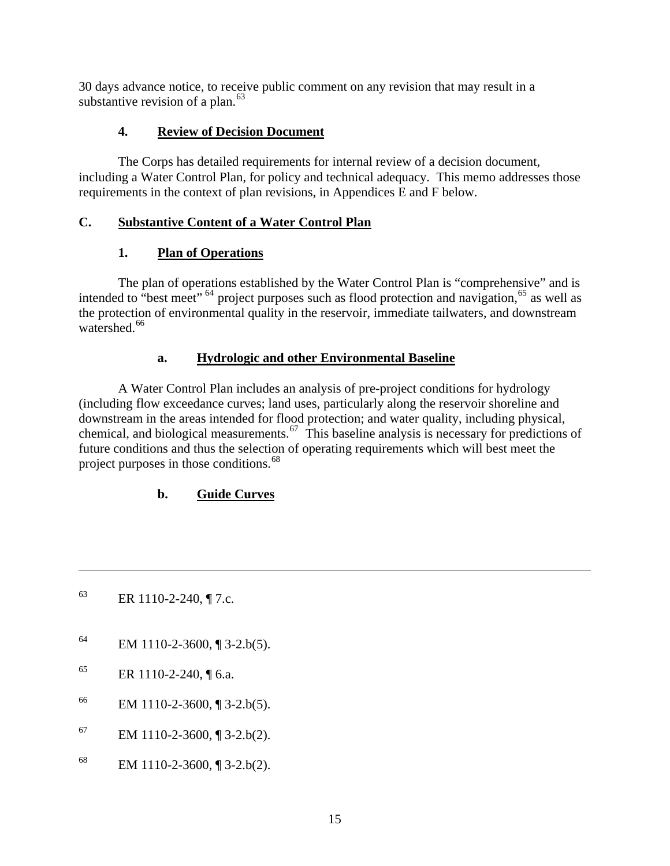<span id="page-19-0"></span>30 days advance notice, to receive public comment on any revision that may result in a substantive revision of a plan. $^{63}$  $^{63}$  $^{63}$ 

# **4. Review of Decision Document**

 The Corps has detailed requirements for internal review of a decision document, including a Water Control Plan, for policy and technical adequacy. This memo addresses those requirements in the context of plan revisions, in Appendices E and F below.

# **C. Substantive Content of a Water Control Plan**

# **1. Plan of Operations**

 The plan of operations established by the Water Control Plan is "comprehensive" and is intended to "best meet"  $64$  project purposes such as flood protection and navigation,  $65$  as well as the protection of environmental quality in the reservoir, immediate tailwaters, and downstream watershed.<sup>[66](#page-19-4)</sup>

# **a. Hydrologic and other Environmental Baseline**

 A Water Control Plan includes an analysis of pre-project conditions for hydrology (including flow exceedance curves; land uses, particularly along the reservoir shoreline and downstream in the areas intended for flood protection; and water quality, including physical, chemical, and biological measurements.<sup>[67](#page-19-5)</sup> This baseline analysis is necessary for predictions of future conditions and thus the selection of operating requirements which will best meet the project purposes in those conditions.<sup>[68](#page-19-6)</sup>

# **b. Guide Curves**

<span id="page-19-1"></span>63 ER 1110-2-240,  $\P$  7.c.

 $\overline{a}$ 

- <span id="page-19-2"></span> $^{64}$  EM 1110-2-3600, [[3-2.b(5).
- <span id="page-19-3"></span> $65$  ER 1110-2-240, [6.a.
- <span id="page-19-4"></span> $^{66}$  EM 1110-2-3600, [[3-2.b(5).
- <span id="page-19-5"></span> $67$  EM 1110-2-3600, [[3-2.b(2).
- <span id="page-19-6"></span>68 EM 1110-2-3600,  $\sqrt{3}$  3-2.b(2).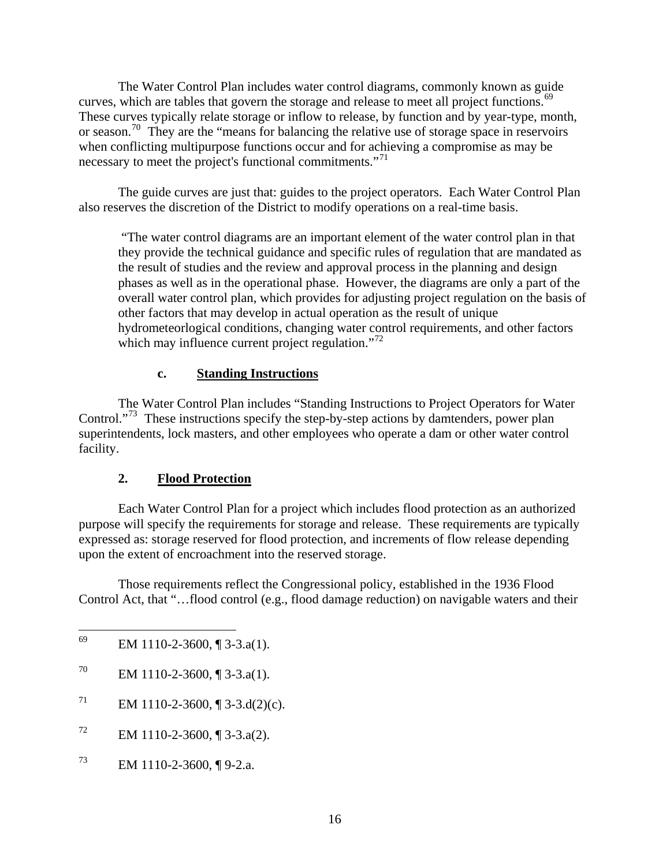<span id="page-20-0"></span> The Water Control Plan includes water control diagrams, commonly known as guide curves, which are tables that govern the storage and release to meet all project functions.<sup>[69](#page-20-1)</sup> These curves typically relate storage or inflow to release, by function and by year-type, month, or season.<sup>[70](#page-20-2)</sup> They are the "means for balancing the relative use of storage space in reservoirs when conflicting multipurpose functions occur and for achieving a compromise as may be necessary to meet the project's functional commitments."<sup>[71](#page-20-3)</sup>

 The guide curves are just that: guides to the project operators. Each Water Control Plan also reserves the discretion of the District to modify operations on a real-time basis.

 "The water control diagrams are an important element of the water control plan in that they provide the technical guidance and specific rules of regulation that are mandated as the result of studies and the review and approval process in the planning and design phases as well as in the operational phase. However, the diagrams are only a part of the overall water control plan, which provides for adjusting project regulation on the basis of other factors that may develop in actual operation as the result of unique hydrometeorlogical conditions, changing water control requirements, and other factors which may influence current project regulation."<sup>[72](#page-20-4)</sup>

### **c. Standing Instructions**

 The Water Control Plan includes "Standing Instructions to Project Operators for Water Control."<sup>[73](#page-20-5)</sup> These instructions specify the step-by-step actions by damtenders, power plan superintendents, lock masters, and other employees who operate a dam or other water control facility.

#### **2. Flood Protection**

Each Water Control Plan for a project which includes flood protection as an authorized purpose will specify the requirements for storage and release. These requirements are typically expressed as: storage reserved for flood protection, and increments of flow release depending upon the extent of encroachment into the reserved storage.

Those requirements reflect the Congressional policy, established in the 1936 Flood Control Act, that "…flood control (e.g., flood damage reduction) on navigable waters and their

- <span id="page-20-2"></span><sup>70</sup> EM 1110-2-3600,  $\sqrt{3}$  3-3.a(1).
- <span id="page-20-3"></span><sup>71</sup> EM 1110-2-3600, ¶ 3-3.d(2)(c).
- <span id="page-20-4"></span> $^{72}$  EM 1110-2-3600, ¶ 3-3.a(2).
- <span id="page-20-5"></span> $^{73}$  EM 1110-2-3600, ¶ 9-2.a.

<span id="page-20-1"></span><sup>69</sup> EM 1110-2-3600,  $\P$  3-3.a(1).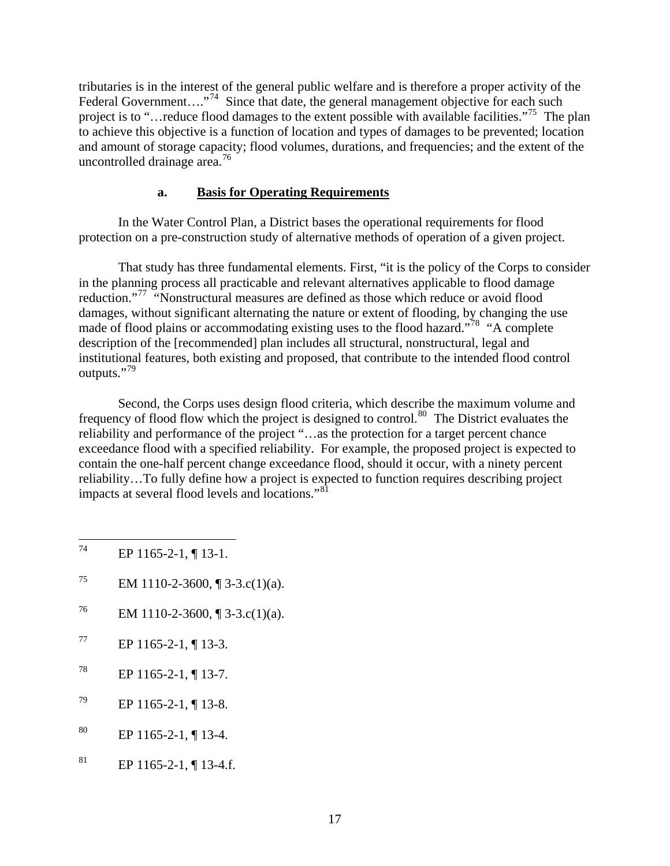<span id="page-21-0"></span>tributaries is in the interest of the general public welfare and is therefore a proper activity of the Federal Government...."<sup>[74](#page-21-1)</sup> Since that date, the general management objective for each such project is to "…reduce flood damages to the extent possible with available facilities."<sup>[75](#page-21-2)</sup> The plan to achieve this objective is a function of location and types of damages to be prevented; location and amount of storage capacity; flood volumes, durations, and frequencies; and the extent of the uncontrolled drainage area. $^{76}$  $^{76}$  $^{76}$ 

### **a. Basis for Operating Requirements**

 In the Water Control Plan, a District bases the operational requirements for flood protection on a pre-construction study of alternative methods of operation of a given project.

That study has three fundamental elements. First, "it is the policy of the Corps to consider in the planning process all practicable and relevant alternatives applicable to flood damage reduction."<sup>[77](#page-21-4)</sup> "Nonstructural measures are defined as those which reduce or avoid flood damages, without significant alternating the nature or extent of flooding, by changing the use made of flood plains or accommodating existing uses to the flood hazard."<sup>[78](#page-21-5)</sup> "A complete description of the [recommended] plan includes all structural, nonstructural, legal and institutional features, both existing and proposed, that contribute to the intended flood control outputs."<sup>[79](#page-21-6)</sup>

Second, the Corps uses design flood criteria, which describe the maximum volume and frequency of flood flow which the project is designed to control.<sup>[80](#page-21-7)</sup> The District evaluates the reliability and performance of the project "…as the protection for a target percent chance exceedance flood with a specified reliability. For example, the proposed project is expected to contain the one-half percent change exceedance flood, should it occur, with a ninety percent reliability…To fully define how a project is expected to function requires describing project impacts at several flood levels and locations."[81](#page-21-8)

- <span id="page-21-2"></span><sup>75</sup> EM 1110-2-3600, ¶ 3-3.c(1)(a).
- <span id="page-21-3"></span><sup>76</sup> EM 1110-2-3600, ¶ 3-3.c(1)(a).
- <span id="page-21-4"></span> $^{77}$  EP 1165-2-1, ¶ 13-3.
- <span id="page-21-5"></span> $^{78}$  EP 1165-2-1, ¶ 13-7.
- <span id="page-21-6"></span> $^{79}$  EP 1165-2-1, ¶ 13-8.
- <span id="page-21-7"></span> $80$  EP 1165-2-1, ¶ 13-4.
- <span id="page-21-8"></span> $^{81}$  EP 1165-2-1, ¶ 13-4.f.

<span id="page-21-1"></span><sup>74</sup> EP 1165-2-1, ¶ 13-1.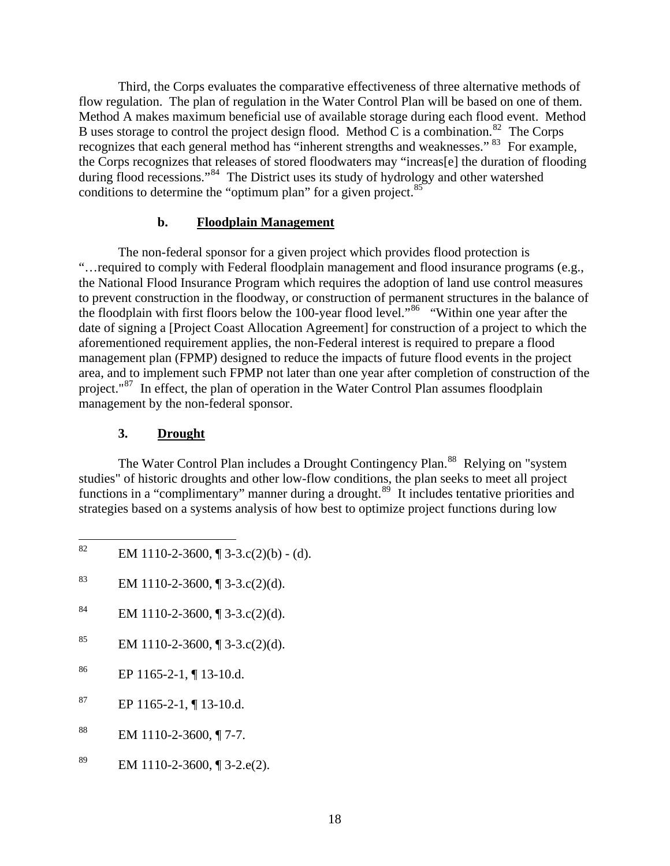<span id="page-22-0"></span>Third, the Corps evaluates the comparative effectiveness of three alternative methods of flow regulation. The plan of regulation in the Water Control Plan will be based on one of them. Method A makes maximum beneficial use of available storage during each flood event. Method B uses storage to control the project design flood. Method C is a combination.<sup>[82](#page-22-1)</sup> The Corps recognizes that each general method has "inherent strengths and weaknesses." <sup>[83](#page-22-2)</sup> For example, the Corps recognizes that releases of stored floodwaters may "increas[e] the duration of flooding during flood recessions."[84](#page-22-3) The District uses its study of hydrology and other watershed conditions to determine the "optimum plan" for a given project.<sup>[85](#page-22-4)</sup>

#### **b. Floodplain Management**

The non-federal sponsor for a given project which provides flood protection is "…required to comply with Federal floodplain management and flood insurance programs (e.g., the National Flood Insurance Program which requires the adoption of land use control measures to prevent construction in the floodway, or construction of permanent structures in the balance of the floodplain with first floors below the 100-year flood level."[86](#page-22-5) "Within one year after the date of signing a [Project Coast Allocation Agreement] for construction of a project to which the aforementioned requirement applies, the non-Federal interest is required to prepare a flood management plan (FPMP) designed to reduce the impacts of future flood events in the project area, and to implement such FPMP not later than one year after completion of construction of the project."<sup>[87](#page-22-6)</sup> In effect, the plan of operation in the Water Control Plan assumes floodplain management by the non-federal sponsor.

#### **3. Drought**

The Water Control Plan includes a Drought Contingency Plan.<sup>[88](#page-22-7)</sup> Relying on "system studies" of historic droughts and other low-flow conditions, the plan seeks to meet all project functions in a "complimentary" manner during a drought.<sup>[89](#page-22-8)</sup> It includes tentative priorities and strategies based on a systems analysis of how best to optimize project functions during low

- <span id="page-22-3"></span>84 EM 1110-2-3600,  $\P$  3-3.c(2)(d).
- <span id="page-22-4"></span>85 EM 1110-2-3600,  $\sqrt{3}$  3-3.c(2)(d).
- <span id="page-22-5"></span> $86$  EP 1165-2-1, ¶ 13-10.d.
- <span id="page-22-6"></span> $^{87}$  EP 1165-2-1, ¶ 13-10.d.
- <span id="page-22-7"></span> $88$  EM 1110-2-3600, ¶ 7-7.
- <span id="page-22-8"></span>89 EM 1110-2-3600,  $\sqrt{3}$  3-2.e(2).

<span id="page-22-1"></span><sup>82</sup> EM  $1110-2-3600$ ,  $\P$  3-3.c(2)(b) - (d).

<span id="page-22-2"></span><sup>83</sup> EM 1110-2-3600,  $\P$  3-3.c(2)(d).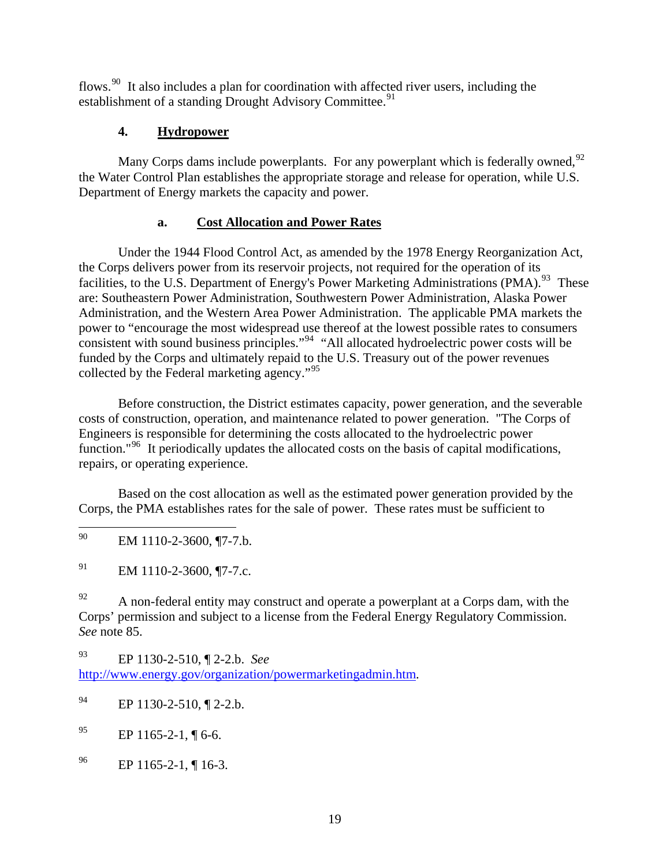<span id="page-23-0"></span>flows.<sup>[90](#page-23-1)</sup> It also includes a plan for coordination with affected river users, including the establishment of a standing Drought Advisory Committee.<sup>[91](#page-23-2)</sup>

# **4. Hydropower**

Many Corps dams include powerplants. For any powerplant which is federally owned,  $92$ the Water Control Plan establishes the appropriate storage and release for operation, while U.S. Department of Energy markets the capacity and power.

# **a. Cost Allocation and Power Rates**

Under the 1944 Flood Control Act, as amended by the 1978 Energy Reorganization Act, the Corps delivers power from its reservoir projects, not required for the operation of its facilities, to the U.S. Department of Energy's Power Marketing Administrations  $(PMA)$ <sup>[93](#page-23-4)</sup>. These are: Southeastern Power Administration, Southwestern Power Administration, Alaska Power Administration, and the Western Area Power Administration. The applicable PMA markets the power to "encourage the most widespread use thereof at the lowest possible rates to consumers consistent with sound business principles."[94](#page-23-5) "All allocated hydroelectric power costs will be funded by the Corps and ultimately repaid to the U.S. Treasury out of the power revenues collected by the Federal marketing agency."<sup>[95](#page-23-6)</sup>

 Before construction, the District estimates capacity, power generation, and the severable costs of construction, operation, and maintenance related to power generation. "The Corps of Engineers is responsible for determining the costs allocated to the hydroelectric power function."<sup>[96](#page-23-7)</sup> It periodically updates the allocated costs on the basis of capital modifications, repairs, or operating experience.

 Based on the cost allocation as well as the estimated power generation provided by the Corps, the PMA establishes rates for the sale of power. These rates must be sufficient to

<span id="page-23-1"></span>90 EM 1110-2-3600, ¶7-7.b.

<span id="page-23-2"></span> $^{91}$  EM 1110-2-3600, ¶7-7.c.

<span id="page-23-3"></span> $^{92}$  A non-federal entity may construct and operate a powerplant at a Corps dam, with the Corps' permission and subject to a license from the Federal Energy Regulatory Commission. *See* note 85.

<span id="page-23-4"></span>93 EP 1130-2-510, ¶ 2-2.b. *See* <http://www.energy.gov/organization/powermarketingadmin.htm>.

<span id="page-23-7"></span> $^{96}$  EP 1165-2-1, ¶ 16-3.

<span id="page-23-5"></span><sup>94</sup> EP 1130-2-510, ¶ 2-2.b.

<span id="page-23-6"></span> $^{95}$  EP 1165-2-1, ¶ 6-6.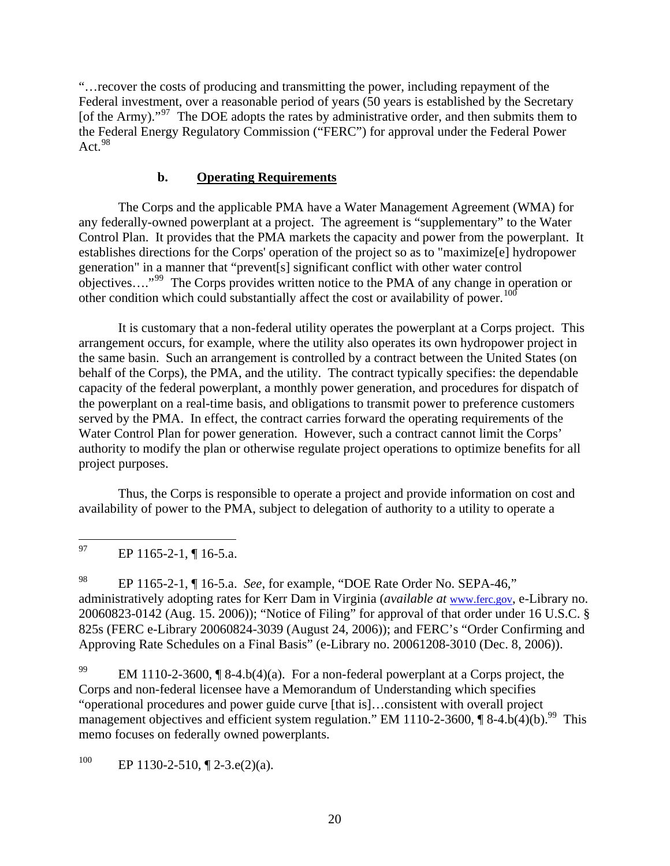<span id="page-24-0"></span>"…recover the costs of producing and transmitting the power, including repayment of the Federal investment, over a reasonable period of years (50 years is established by the Secretary [of the Army)."<sup>[97](#page-24-1)</sup> The DOE adopts the rates by administrative order, and then submits them to the Federal Energy Regulatory Commission ("FERC") for approval under the Federal Power Act.  $98$ 

### **b. Operating Requirements**

 The Corps and the applicable PMA have a Water Management Agreement (WMA) for any federally-owned powerplant at a project. The agreement is "supplementary" to the Water Control Plan. It provides that the PMA markets the capacity and power from the powerplant. It establishes directions for the Corps' operation of the project so as to "maximize[e] hydropower generation" in a manner that "prevent[s] significant conflict with other water control objectives…."[99](#page-24-3) The Corps provides written notice to the PMA of any change in operation or other condition which could substantially affect the cost or availability of power.<sup>[100](#page-24-4)</sup>

 It is customary that a non-federal utility operates the powerplant at a Corps project. This arrangement occurs, for example, where the utility also operates its own hydropower project in the same basin. Such an arrangement is controlled by a contract between the United States (on behalf of the Corps), the PMA, and the utility. The contract typically specifies: the dependable capacity of the federal powerplant, a monthly power generation, and procedures for dispatch of the powerplant on a real-time basis, and obligations to transmit power to preference customers served by the PMA. In effect, the contract carries forward the operating requirements of the Water Control Plan for power generation. However, such a contract cannot limit the Corps' authority to modify the plan or otherwise regulate project operations to optimize benefits for all project purposes.

Thus, the Corps is responsible to operate a project and provide information on cost and availability of power to the PMA, subject to delegation of authority to a utility to operate a

<span id="page-24-2"></span>98 EP 1165-2-1, ¶ 16-5.a. *See*, for example, "DOE Rate Order No. SEPA-46," administratively adopting rates for Kerr Dam in Virginia (*available at* [www.ferc.gov](http://www.ferc.gov/), e-Library no. 20060823-0142 (Aug. 15. 2006)); "Notice of Filing" for approval of that order under 16 U.S.C. § 825s (FERC e-Library 20060824-3039 (August 24, 2006)); and FERC's "Order Confirming and Approving Rate Schedules on a Final Basis" (e-Library no. 20061208-3010 (Dec. 8, 2006)).

<span id="page-24-3"></span><sup>99</sup> EM 1110-2-3600, [8-4.b(4)(a). For a non-federal powerplant at a Corps project, the Corps and non-federal licensee have a Memorandum of Understanding which specifies "operational procedures and power guide curve [that is]…consistent with overall project management objectives and efficient system regulation." EM 1110-2-3600,  $\P$  8-4.b(4)(b).<sup>99</sup> This memo focuses on federally owned powerplants.

<span id="page-24-4"></span><sup>100</sup> EP 1130-2-510,  $\sqrt{2}$ -3.e(2)(a).

<span id="page-24-1"></span><sup>97</sup> EP 1165-2-1, ¶ 16-5.a.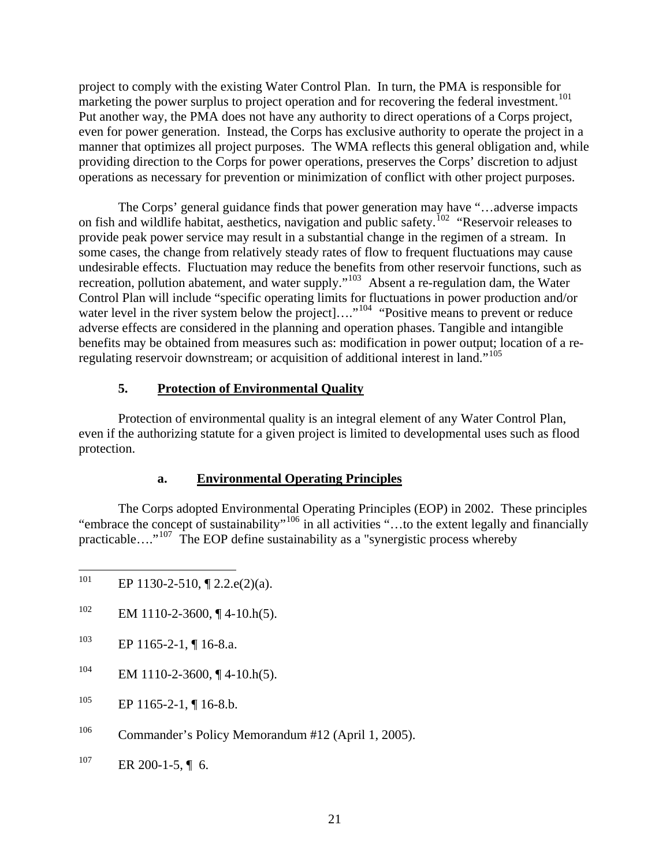<span id="page-25-0"></span>project to comply with the existing Water Control Plan. In turn, the PMA is responsible for marketing the power surplus to project operation and for recovering the federal investment.<sup>[101](#page-25-1)</sup> Put another way, the PMA does not have any authority to direct operations of a Corps project, even for power generation. Instead, the Corps has exclusive authority to operate the project in a manner that optimizes all project purposes. The WMA reflects this general obligation and, while providing direction to the Corps for power operations, preserves the Corps' discretion to adjust operations as necessary for prevention or minimization of conflict with other project purposes.

The Corps' general guidance finds that power generation may have "…adverse impacts on fish and wildlife habitat, aesthetics, navigation and public safety.<sup>[102](#page-25-2)</sup> "Reservoir releases to provide peak power service may result in a substantial change in the regimen of a stream. In some cases, the change from relatively steady rates of flow to frequent fluctuations may cause undesirable effects. Fluctuation may reduce the benefits from other reservoir functions, such as recreation, pollution abatement, and water supply."<sup>[103](#page-25-3)</sup> Absent a re-regulation dam, the Water Control Plan will include "specific operating limits for fluctuations in power production and/or water level in the river system below the project....<sup>"[104](#page-25-4)</sup> "Positive means to prevent or reduce adverse effects are considered in the planning and operation phases. Tangible and intangible benefits may be obtained from measures such as: modification in power output; location of a re-regulating reservoir downstream; or acquisition of additional interest in land."<sup>[105](#page-25-5)</sup>

### **5. Protection of Environmental Quality**

 Protection of environmental quality is an integral element of any Water Control Plan, even if the authorizing statute for a given project is limited to developmental uses such as flood protection.

# **a. Environmental Operating Principles**

The Corps adopted Environmental Operating Principles (EOP) in 2002. These principles "embrace the concept of sustainability"<sup>[106](#page-25-6)</sup> in all activities "...to the extent legally and financially practicable…."<sup>[107](#page-25-7)</sup> The EOP define sustainability as a "synergistic process whereby

- <span id="page-25-2"></span> $^{102}$  EM 1110-2-3600, ¶ 4-10.h(5).
- <span id="page-25-3"></span><sup>103</sup> EP 1165-2-1, ¶ 16-8.a.
- <span id="page-25-4"></span> $^{104}$  EM 1110-2-3600, ¶ 4-10.h(5).
- <span id="page-25-5"></span> $^{105}$  EP 1165-2-1, ¶ 16-8.b.
- <span id="page-25-6"></span>106 Commander's Policy Memorandum #12 (April 1, 2005).
- <span id="page-25-7"></span> $107$  ER 200-1-5, ¶ 6.

<span id="page-25-1"></span><sup>101</sup> EP 1130-2-510,  $\P$  2.2.e(2)(a).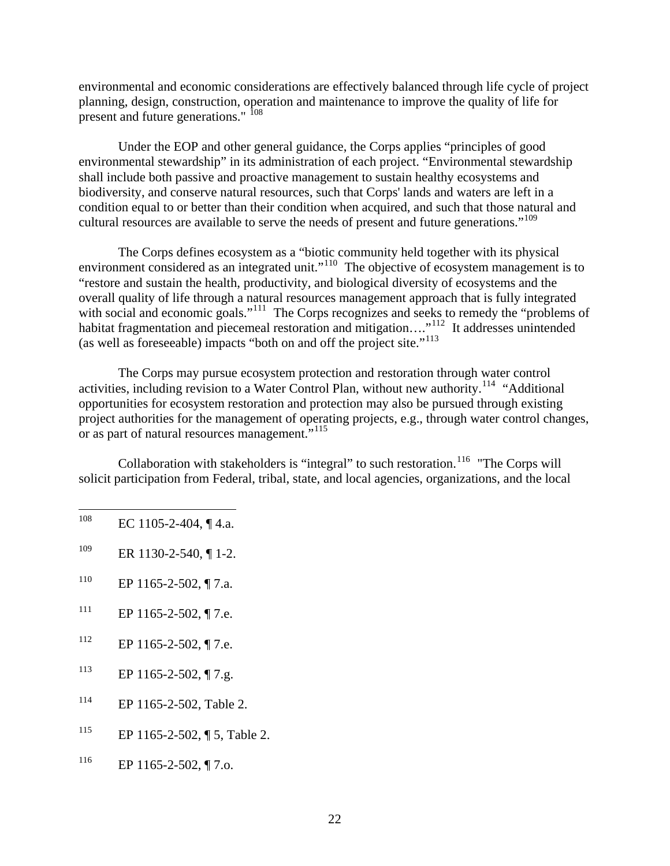environmental and economic considerations are effectively balanced through life cycle of project planning, design, construction, operation and maintenance to improve the quality of life for present and future generations." <sup>[108](#page-26-0)</sup>

Under the EOP and other general guidance, the Corps applies "principles of good environmental stewardship" in its administration of each project. "Environmental stewardship shall include both passive and proactive management to sustain healthy ecosystems and biodiversity, and conserve natural resources, such that Corps' lands and waters are left in a condition equal to or better than their condition when acquired, and such that those natural and cultural resources are available to serve the needs of present and future generations."<sup>[109](#page-26-1)</sup>

 The Corps defines ecosystem as a "biotic community held together with its physical environment considered as an integrated unit."<sup>[110](#page-26-2)</sup> The objective of ecosystem management is to "restore and sustain the health, productivity, and biological diversity of ecosystems and the overall quality of life through a natural resources management approach that is fully integrated with social and economic goals."<sup>[111](#page-26-3)</sup> The Corps recognizes and seeks to remedy the "problems of habitat fragmentation and piecemeal restoration and mitigation...."<sup>[112](#page-26-4)</sup> It addresses unintended (as well as foreseeable) impacts "both on and off the project site."<sup>[113](#page-26-5)</sup>

The Corps may pursue ecosystem protection and restoration through water control activities, including revision to a Water Control Plan, without new authority.<sup>[114](#page-26-6)</sup> "Additional" opportunities for ecosystem restoration and protection may also be pursued through existing project authorities for the management of operating projects, e.g., through water control changes, or as part of natural resources management."<sup>[115](#page-26-7)</sup>

Collaboration with stakeholders is "integral" to such restoration.<sup>[116](#page-26-8)</sup> "The Corps will solicit participation from Federal, tribal, state, and local agencies, organizations, and the local

- <span id="page-26-0"></span> $108\,$ EC 1105-2-404,  $\P$  4.a.
- <span id="page-26-1"></span> $109$  ER 1130-2-540, [1.2.]
- <span id="page-26-2"></span> $110$  EP 1165-2-502, ¶ 7.a.
- <span id="page-26-3"></span> $111$  EP 1165-2-502, ¶ 7.e.
- <span id="page-26-4"></span> $\text{HP } 1165 - 2 - 502, \text{ T.}$ e.
- <span id="page-26-5"></span> $\text{EP } 1165 - 2 - 502, \text{ T7.g.}$
- <span id="page-26-6"></span>114 EP 1165-2-502, Table 2.
- <span id="page-26-7"></span>115 EP 1165-2-502, ¶ 5, Table 2.
- <span id="page-26-8"></span> $^{116}$  EP 1165-2-502, ¶ 7.o.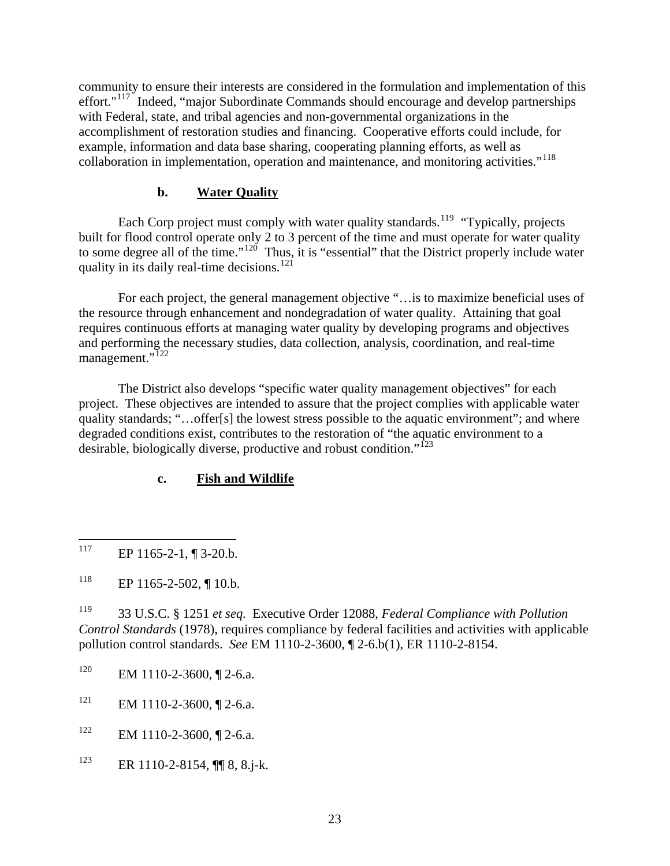<span id="page-27-0"></span>community to ensure their interests are considered in the formulation and implementation of this effort."<sup>[117](#page-27-1)</sup> Indeed, "major Subordinate Commands should encourage and develop partnerships with Federal, state, and tribal agencies and non-governmental organizations in the accomplishment of restoration studies and financing. Cooperative efforts could include, for example, information and data base sharing, cooperating planning efforts, as well as collaboration in implementation, operation and maintenance, and monitoring activities."[118](#page-27-2)

#### **b. Water Quality**

Each Corp project must comply with water quality standards.<sup>[119](#page-27-3)</sup> "Typically, projects" built for flood control operate only 2 to 3 percent of the time and must operate for water quality to some degree all of the time."<sup>120</sup> Thus, it is "essential" that the District properly include water quality in its daily real-time decisions.<sup>[121](#page-27-5)</sup>

 For each project, the general management objective "…is to maximize beneficial uses of the resource through enhancement and nondegradation of water quality. Attaining that goal requires continuous efforts at managing water quality by developing programs and objectives and performing the necessary studies, data collection, analysis, coordination, and real-time management."<sup>[122](#page-27-6)</sup>

 The District also develops "specific water quality management objectives" for each project. These objectives are intended to assure that the project complies with applicable water quality standards; "…offer[s] the lowest stress possible to the aquatic environment"; and where degraded conditions exist, contributes to the restoration of "the aquatic environment to a desirable, biologically diverse, productive and robust condition."<sup>[123](#page-27-7)</sup>

#### **c. Fish and Wildlife**

<span id="page-27-3"></span>119 33 U.S.C. § 1251 *et seq.* Executive Order 12088, *Federal Compliance with Pollution Control Standards* (1978), requires compliance by federal facilities and activities with applicable pollution control standards. *See* EM 1110-2-3600, ¶ 2-6.b(1), ER 1110-2-8154.

- <span id="page-27-4"></span> $120$  EM 1110-2-3600, 1 2-6.a.
- <span id="page-27-5"></span> $121$  EM 1110-2-3600, 12-6.a.
- <span id="page-27-6"></span> $122$  EM 1110-2-3600, [2-6.a.
- <span id="page-27-7"></span><sup>123</sup> ER 1110-2-8154,  $\P$   $\qquad$  8, 8.j-k.

<span id="page-27-1"></span><sup>117</sup> EP 1165-2-1, ¶ 3-20.b.

<span id="page-27-2"></span> $118$  EP 1165-2-502, ¶ 10.b.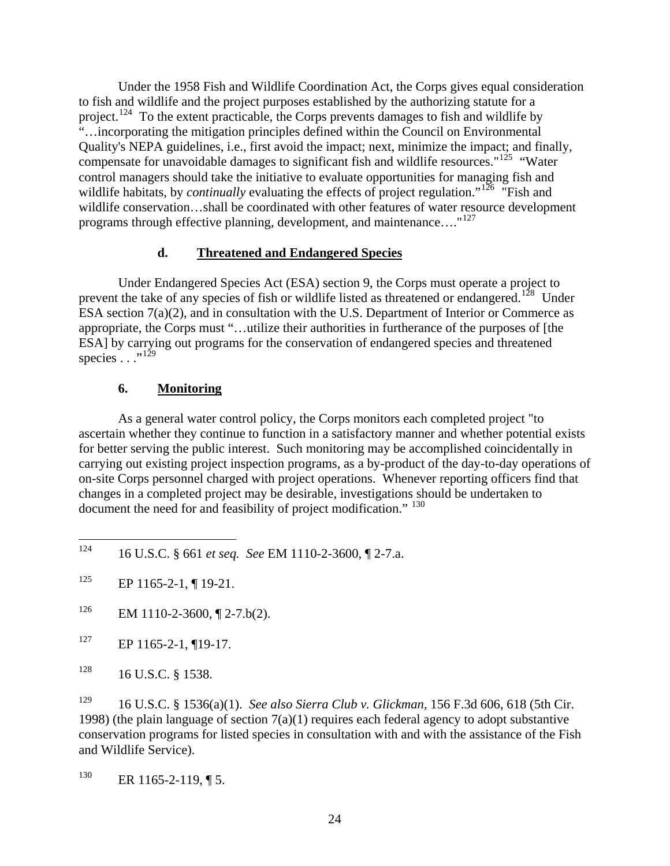<span id="page-28-0"></span> Under the 1958 Fish and Wildlife Coordination Act, the Corps gives equal consideration to fish and wildlife and the project purposes established by the authorizing statute for a project.<sup>[124](#page-28-1)</sup> To the extent practicable, the Corps prevents damages to fish and wildlife by "…incorporating the mitigation principles defined within the Council on Environmental Quality's NEPA guidelines, i.e., first avoid the impact; next, minimize the impact; and finally, compensate for unavoidable damages to significant fish and wildlife resources."<sup>[125](#page-28-2)</sup> "Water control managers should take the initiative to evaluate opportunities for managing fish and wildlife habitats, by *continually* evaluating the effects of project regulation."<sup>[126](#page-28-3)</sup> "Fish and wildlife conservation…shall be coordinated with other features of water resource development programs through effective planning, development, and maintenance...."<sup>[127](#page-28-4)</sup>

#### **d. Threatened and Endangered Species**

 Under Endangered Species Act (ESA) section 9, the Corps must operate a project to prevent the take of any species of fish or wildlife listed as threatened or endangered.<sup>[128](#page-28-5)</sup> Under ESA section 7(a)(2), and in consultation with the U.S. Department of Interior or Commerce as appropriate, the Corps must "…utilize their authorities in furtherance of the purposes of [the ESA] by carrying out programs for the conservation of endangered species and threatened species  $\ldots$ <sup>[129](#page-28-6)</sup>

### **6. Monitoring**

 As a general water control policy, the Corps monitors each completed project "to ascertain whether they continue to function in a satisfactory manner and whether potential exists for better serving the public interest. Such monitoring may be accomplished coincidentally in carrying out existing project inspection programs, as a by-product of the day-to-day operations of on-site Corps personnel charged with project operations. Whenever reporting officers find that changes in a completed project may be desirable, investigations should be undertaken to document the need for and feasibility of project modification." <sup>[130](#page-28-7)</sup>

<span id="page-28-1"></span><sup>124</sup> 124 16 U.S.C. § 661 *et seq. See* EM 1110-2-3600, ¶ 2-7.a.

<span id="page-28-2"></span> $^{125}$  EP 1165-2-1, ¶ 19-21.

<span id="page-28-3"></span><sup>&</sup>lt;sup>126</sup> EM 1110-2-3600,  $\P$  2-7.b(2).

<span id="page-28-4"></span> $127$  EP 1165-2-1, ¶19-17.

<span id="page-28-5"></span> $128$  16 U.S.C. § 1538.

<span id="page-28-6"></span><sup>129 16</sup> U.S.C. § 1536(a)(1). *See also Sierra Club v. Glickman*, 156 F.3d 606, 618 (5th Cir. 1998) (the plain language of section  $7(a)(1)$  requires each federal agency to adopt substantive conservation programs for listed species in consultation with and with the assistance of the Fish and Wildlife Service).

<span id="page-28-7"></span> $130$  ER 1165-2-119, ¶ 5.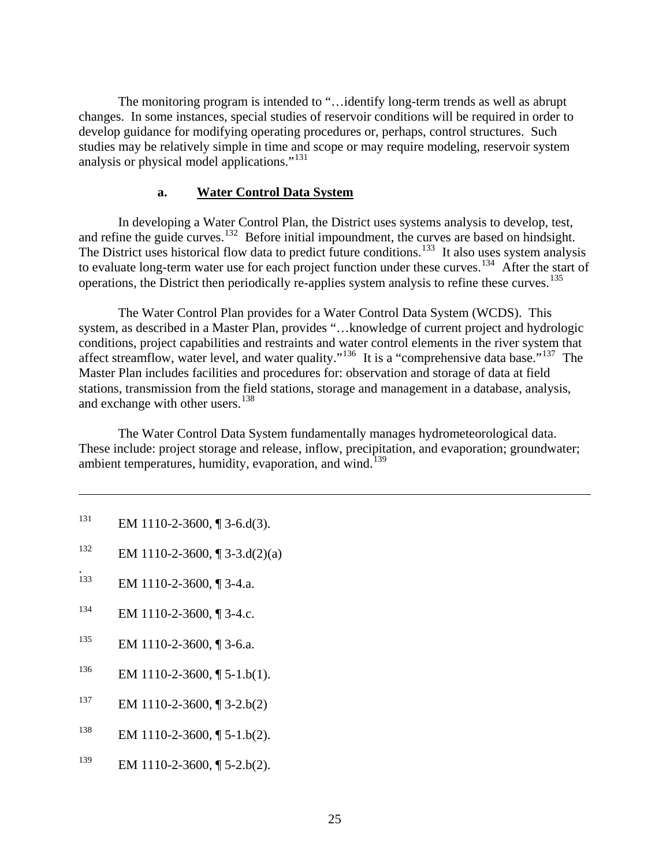<span id="page-29-0"></span> The monitoring program is intended to "…identify long-term trends as well as abrupt changes. In some instances, special studies of reservoir conditions will be required in order to develop guidance for modifying operating procedures or, perhaps, control structures. Such studies may be relatively simple in time and scope or may require modeling, reservoir system analysis or physical model applications."[131](#page-29-1)

#### **a. Water Control Data System**

 In developing a Water Control Plan, the District uses systems analysis to develop, test, and refine the guide curves.<sup>[132](#page-29-2)</sup> Before initial impoundment, the curves are based on hindsight. The District uses historical flow data to predict future conditions.<sup>[133](#page-29-3)</sup> It also uses system analysis to evaluate long-term water use for each project function under these curves.<sup>[134](#page-29-4)</sup> After the start of operations, the District then periodically re-applies system analysis to refine these curves.<sup>[135](#page-29-5)</sup>

 The Water Control Plan provides for a Water Control Data System (WCDS). This system, as described in a Master Plan, provides "…knowledge of current project and hydrologic conditions, project capabilities and restraints and water control elements in the river system that affect streamflow, water level, and water quality."<sup>[136](#page-29-6)</sup> It is a "comprehensive data base."<sup>[137](#page-29-7)</sup> The Master Plan includes facilities and procedures for: observation and storage of data at field stations, transmission from the field stations, storage and management in a database, analysis, and exchange with other users.<sup>[138](#page-29-8)</sup>

 The Water Control Data System fundamentally manages hydrometeorological data. These include: project storage and release, inflow, precipitation, and evaporation; groundwater; ambient temperatures, humidity, evaporation, and wind.<sup>[139](#page-29-9)</sup>

<span id="page-29-1"></span><sup>131</sup> EM 1110-2-3600, ¶ 3-6.d(3).

 $\overline{a}$ 

- <span id="page-29-2"></span><sup>132</sup> EM 1110-2-3600, ¶ 3-3.d(2)(a)
- <span id="page-29-3"></span><sup>1</sup>33 EM 1110-2-3600, ¶ 3-4.a.
- <span id="page-29-4"></span> $134$  EM 1110-2-3600, ¶ 3-4.c.
- <span id="page-29-5"></span>135 EM 1110-2-3600, ¶ 3-6.a.
- <span id="page-29-6"></span> $^{136}$  EM 1110-2-3600, [[ 5-1.b(1).
- <span id="page-29-7"></span> $137$  EM 1110-2-3600, [[3-2.b(2)]
- <span id="page-29-8"></span><sup>138</sup> EM 1110-2-3600,  $\sqrt{5}$ -1.b(2).
- <span id="page-29-9"></span><sup>139</sup> EM 1110-2-3600, ¶ 5-2.b(2).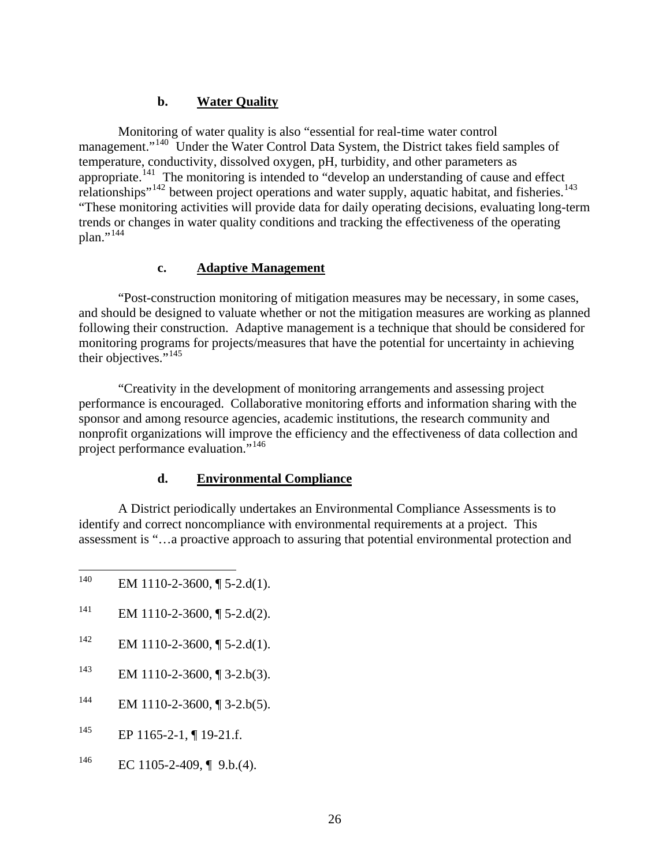#### **b. Water Quality**

<span id="page-30-0"></span> Monitoring of water quality is also "essential for real-time water control management."<sup>[140](#page-30-1)</sup> Under the Water Control Data System, the District takes field samples of temperature, conductivity, dissolved oxygen, pH, turbidity, and other parameters as appropriate.<sup>[141](#page-30-2)</sup> The monitoring is intended to "develop an understanding of cause and effect relationships"<sup>[142](#page-30-3)</sup> between project operations and water supply, aquatic habitat, and fisheries.<sup>[143](#page-30-4)</sup> "These monitoring activities will provide data for daily operating decisions, evaluating long-term trends or changes in water quality conditions and tracking the effectiveness of the operating  $plan.^{"144}$  $plan.^{"144}$  $plan.^{"144}$ 

#### **c. Adaptive Management**

"Post-construction monitoring of mitigation measures may be necessary, in some cases, and should be designed to valuate whether or not the mitigation measures are working as planned following their construction. Adaptive management is a technique that should be considered for monitoring programs for projects/measures that have the potential for uncertainty in achieving their objectives."<sup>[145](#page-30-6)</sup>

"Creativity in the development of monitoring arrangements and assessing project performance is encouraged. Collaborative monitoring efforts and information sharing with the sponsor and among resource agencies, academic institutions, the research community and nonprofit organizations will improve the efficiency and the effectiveness of data collection and project performance evaluation."[146](#page-30-7)

# **d. Environmental Compliance**

 A District periodically undertakes an Environmental Compliance Assessments is to identify and correct noncompliance with environmental requirements at a project. This assessment is "…a proactive approach to assuring that potential environmental protection and

- <span id="page-30-1"></span>140 EM 1110-2-3600,  $\P$  5-2.d(1).
- <span id="page-30-2"></span><sup>141</sup> EM 1110-2-3600, ¶ 5-2.d(2).
- <span id="page-30-3"></span><sup>142</sup> EM 1110-2-3600, ¶ 5-2.d(1).
- <span id="page-30-4"></span><sup>143</sup> EM 1110-2-3600,  $\sqrt{3}$  3-2.b(3).
- <span id="page-30-5"></span> $144$  EM 1110-2-3600, ¶ 3-2.b(5).
- <span id="page-30-6"></span> $^{145}$  EP 1165-2-1, ¶ 19-21.f.
- <span id="page-30-7"></span> $^{146}$  EC 1105-2-409, [9.b.(4).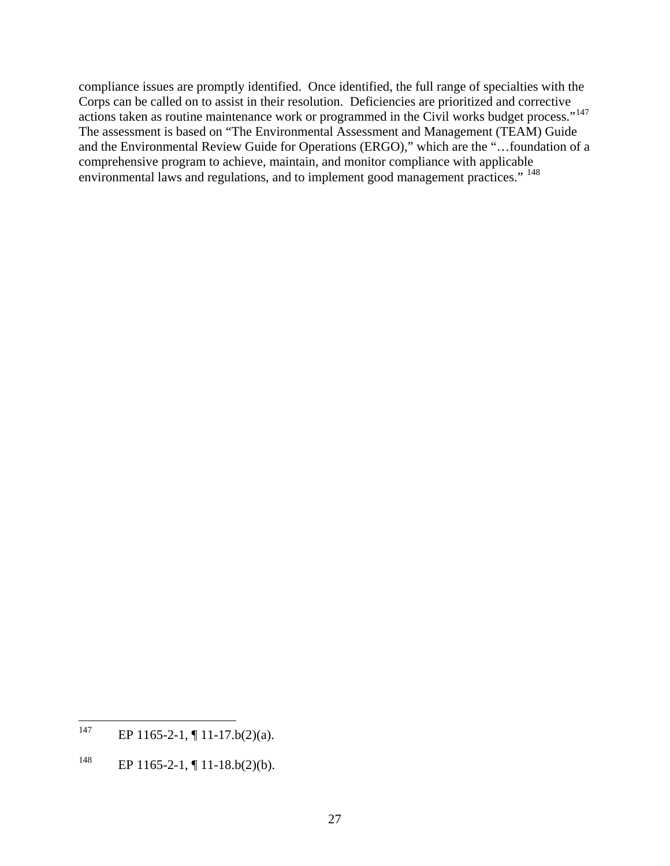compliance issues are promptly identified. Once identified, the full range of specialties with the Corps can be called on to assist in their resolution. Deficiencies are prioritized and corrective actions taken as routine maintenance work or programmed in the Civil works budget process."<sup>[147](#page-31-0)</sup> The assessment is based on "The Environmental Assessment and Management (TEAM) Guide and the Environmental Review Guide for Operations (ERGO)," which are the "…foundation of a comprehensive program to achieve, maintain, and monitor compliance with applicable environmental laws and regulations, and to implement good management practices." [148](#page-31-1)

<span id="page-31-0"></span><sup>147</sup> EP  $1165 - 2 - 1$ ,  $\P$   $11 - 17$ .b(2)(a).

<span id="page-31-1"></span><sup>&</sup>lt;sup>148</sup> EP 1165-2-1,  $\P$  11-18.b(2)(b).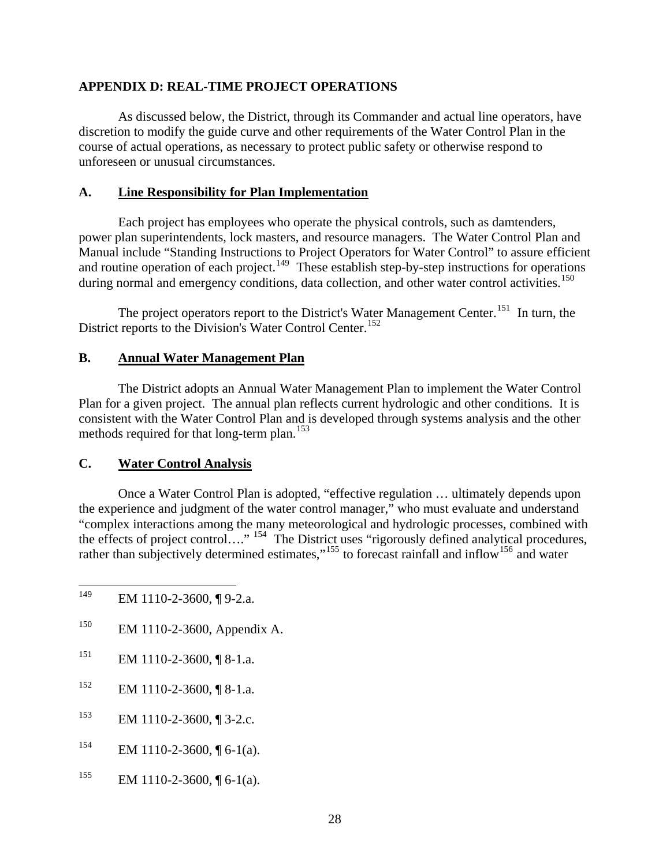#### <span id="page-32-0"></span>**APPENDIX D: REAL-TIME PROJECT OPERATIONS**

As discussed below, the District, through its Commander and actual line operators, have discretion to modify the guide curve and other requirements of the Water Control Plan in the course of actual operations, as necessary to protect public safety or otherwise respond to unforeseen or unusual circumstances.

#### **A. Line Responsibility for Plan Implementation**

 Each project has employees who operate the physical controls, such as damtenders, power plan superintendents, lock masters, and resource managers. The Water Control Plan and Manual include "Standing Instructions to Project Operators for Water Control" to assure efficient and routine operation of each project.<sup>[149](#page-32-1)</sup> These establish step-by-step instructions for operations during normal and emergency conditions, data collection, and other water control activities.<sup>[150](#page-32-2)</sup>

The project operators report to the District's Water Management Center.<sup>151</sup> In turn, the District reports to the Division's Water Control Center.<sup>[152](#page-32-4)</sup>

### **B. Annual Water Management Plan**

 The District adopts an Annual Water Management Plan to implement the Water Control Plan for a given project. The annual plan reflects current hydrologic and other conditions. It is consistent with the Water Control Plan and is developed through systems analysis and the other methods required for that long-term plan.<sup>[153](#page-32-5)</sup>

#### **C. Water Control Analysis**

<span id="page-32-8"></span> Once a Water Control Plan is adopted, "effective regulation … ultimately depends upon the experience and judgment of the water control manager," who must evaluate and understand "complex interactions among the many meteorological and hydrologic processes, combined with the effects of project control…." <sup>[154](#page-32-6)</sup> The District uses "rigorously defined analytical procedures, rather than subjectively determined estimates,"<sup>[155](#page-32-7)</sup> to forecast rainfall and inflow<sup>[156](#page-32-8)</sup> and water

- <span id="page-32-1"></span>149 EM 1110-2-3600, ¶ 9-2.a.
- <span id="page-32-2"></span>150 EM 1110-2-3600, Appendix A.
- <span id="page-32-3"></span> $151$  EM 1110-2-3600, [8-1.a.
- <span id="page-32-4"></span> $^{152}$  EM 1110-2-3600, ¶ 8-1.a.
- <span id="page-32-5"></span>153 EM 1110-2-3600, ¶ 3-2.c.
- <span id="page-32-6"></span><sup>154</sup> EM 1110-2-3600,  $\P$  6-1(a).
- <span id="page-32-7"></span><sup>155</sup> EM 1110-2-3600, ¶ 6-1(a).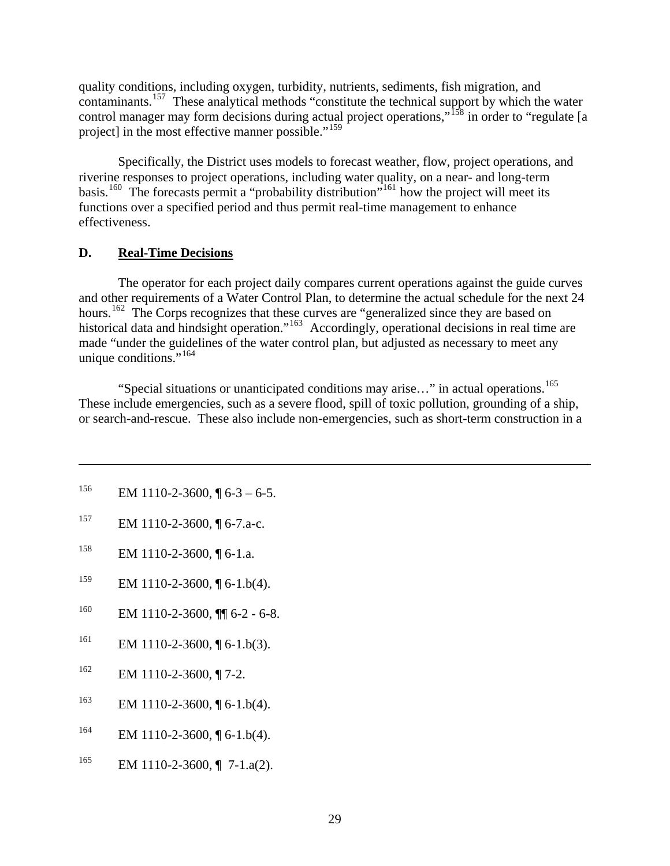<span id="page-33-0"></span>quality conditions, including oxygen, turbidity, nutrients, sediments, fish migration, and contaminants.[157](#page-33-1) These analytical methods "constitute the technical support by which the water control manager may form decisions during actual project operations,"<sup>[158](#page-33-2)</sup> in order to "regulate [a project] in the most effective manner possible."<sup>[159](#page-33-3)</sup>

 Specifically, the District uses models to forecast weather, flow, project operations, and riverine responses to project operations, including water quality, on a near- and long-term basis.<sup>[160](#page-33-4)</sup> The forecasts permit a "probability distribution"<sup>[161](#page-33-5)</sup> how the project will meet its functions over a specified period and thus permit real-time management to enhance effectiveness.

#### **D. Real-Time Decisions**

The operator for each project daily compares current operations against the guide curves and other requirements of a Water Control Plan, to determine the actual schedule for the next 24 hours.<sup>[162](#page-33-6)</sup> The Corps recognizes that these curves are "generalized since they are based on historical data and hindsight operation."<sup>[163](#page-33-7)</sup> Accordingly, operational decisions in real time are made "under the guidelines of the water control plan, but adjusted as necessary to meet any unique conditions." $164$ 

"Special situations or unanticipated conditions may arise..." in actual operations.<sup>[165](#page-33-9)</sup> These include emergencies, such as a severe flood, spill of toxic pollution, grounding of a ship, or search-and-rescue. These also include non-emergencies, such as short-term construction in a

 $156$  EM 1110-2-3600, ¶ 6-3 – 6-5.

 $\overline{a}$ 

- <span id="page-33-1"></span>157 EM 1110-2-3600, ¶ 6-7.a-c.
- <span id="page-33-2"></span> $158$  EM 1110-2-3600, [6-1.a.
- <span id="page-33-3"></span><sup>159</sup> EM 1110-2-3600,  $\sqrt{6}$ -1.b(4).
- <span id="page-33-4"></span> $^{160}$  EM 1110-2-3600,  $\P$  6-2 - 6-8.
- <span id="page-33-5"></span><sup>161</sup> EM 1110-2-3600, ¶ 6-1.b(3).
- <span id="page-33-6"></span> $^{162}$  EM 1110-2-3600, ¶ 7-2.
- <span id="page-33-7"></span><sup>163</sup> EM 1110-2-3600,  $\sqrt{6}$ -1.b(4).
- <span id="page-33-8"></span> $^{164}$  EM 1110-2-3600, [[6-1.b(4).
- <span id="page-33-9"></span><sup>165</sup> EM 1110-2-3600,  $\P$  7-1.a(2).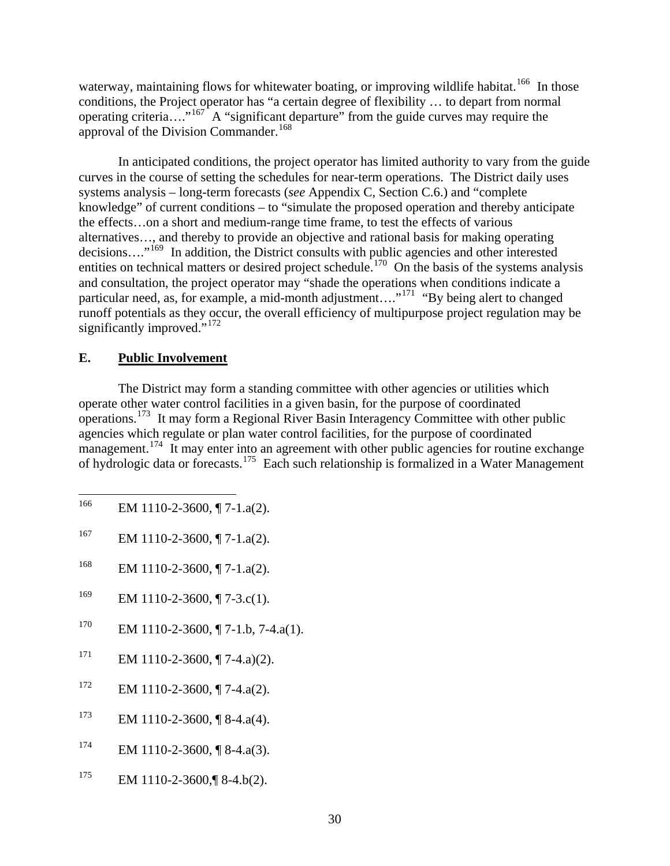<span id="page-34-0"></span>waterway, maintaining flows for whitewater boating, or improving wildlife habitat.<sup>[166](#page-34-1)</sup> In those conditions, the Project operator has "a certain degree of flexibility … to depart from normal operating criteria…."[167](#page-34-2) A "significant departure" from the guide curves may require the approval of the Division Commander.<sup>[168](#page-34-3)</sup>

 In anticipated conditions, the project operator has limited authority to vary from the guide curves in the course of setting the schedules for near-term operations. The District daily uses systems analysis – long-term forecasts (*see* Appendix C, Section C.6.) and "complete knowledge" of current conditions – to "simulate the proposed operation and thereby anticipate the effects…on a short and medium-range time frame, to test the effects of various alternatives…, and thereby to provide an objective and rational basis for making operating decisions...."<sup>[169](#page-34-4)</sup> In addition, the District consults with public agencies and other interested entities on technical matters or desired project schedule.<sup>[170](#page-34-5)</sup> On the basis of the systems analysis and consultation, the project operator may "shade the operations when conditions indicate a particular need, as, for example, a mid-month adjustment...."<sup>[171](#page-34-6)</sup> "By being alert to changed runoff potentials as they occur, the overall efficiency of multipurpose project regulation may be significantly improved."<sup>[172](#page-34-7)</sup>

#### **E. Public Involvement**

 The District may form a standing committee with other agencies or utilities which operate other water control facilities in a given basin, for the purpose of coordinated operations.[173](#page-34-8) It may form a Regional River Basin Interagency Committee with other public agencies which regulate or plan water control facilities, for the purpose of coordinated management.<sup>[174](#page-34-9)</sup> It may enter into an agreement with other public agencies for routine exchange of hydrologic data or forecasts.[175](#page-34-10) Each such relationship is formalized in a Water Management

- <span id="page-34-1"></span>166 EM 1110-2-3600, ¶ 7-1.a(2).
- <span id="page-34-2"></span>167 EM 1110-2-3600,  $\P$  7-1.a(2).
- <span id="page-34-3"></span><sup>168</sup> EM 1110-2-3600, ¶ 7-1.a(2).
- <span id="page-34-4"></span><sup>169</sup> EM 1110-2-3600, ¶ 7-3.c(1).
- <span id="page-34-5"></span> $170$  EM 1110-2-3600, ¶ 7-1.b, 7-4.a(1).
- <span id="page-34-6"></span> $171$  EM 1110-2-3600, ¶ 7-4.a)(2).
- <span id="page-34-7"></span> $172$  EM 1110-2-3600, ¶ 7-4.a(2).
- <span id="page-34-8"></span><sup>173</sup> EM 1110-2-3600, ¶ 8-4.a(4).
- <span id="page-34-9"></span> $174$  EM 1110-2-3600, ¶ 8-4.a(3).
- <span id="page-34-10"></span> $175$  EM 1110-2-3600, [8-4.b(2).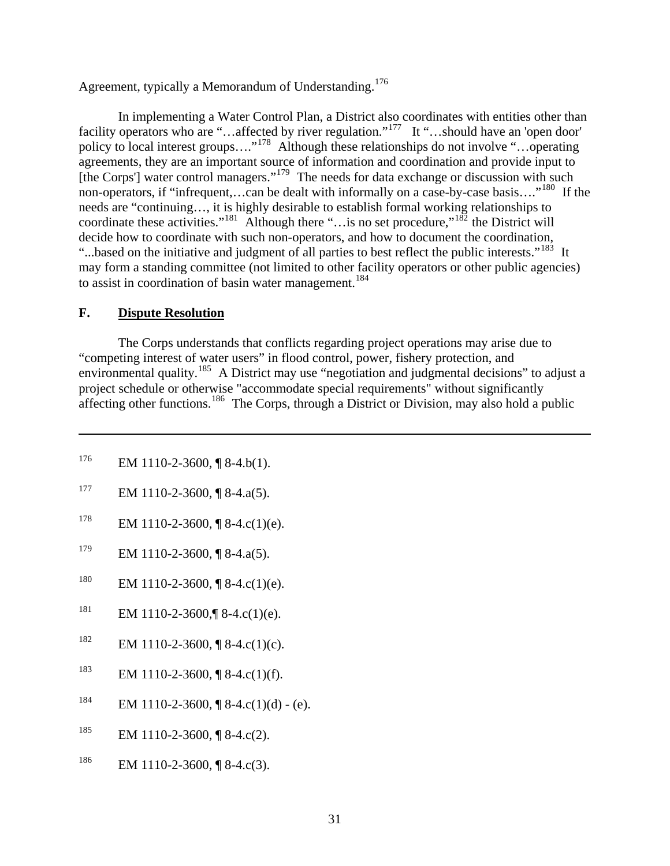<span id="page-35-0"></span>Agreement, typically a Memorandum of Understanding.<sup>[176](#page-35-1)</sup>

 In implementing a Water Control Plan, a District also coordinates with entities other than facility operators who are "…affected by river regulation."<sup>[177](#page-35-2)</sup> It "…should have an 'open door' policy to local interest groups...."<sup>[178](#page-35-3)</sup> Although these relationships do not involve "...operating agreements, they are an important source of information and coordination and provide input to [the Corps'] water control managers."<sup>[179](#page-35-4)</sup> The needs for data exchange or discussion with such non-operators, if "infrequent,...can be dealt with informally on a case-by-case basis...."<sup>[180](#page-35-5)</sup> If the needs are "continuing…, it is highly desirable to establish formal working relationships to coordinate these activities."<sup>[181](#page-35-6)</sup> Although there "... is no set procedure,"<sup>[182](#page-35-7)</sup> the District will decide how to coordinate with such non-operators, and how to document the coordination, "...based on the initiative and judgment of all parties to best reflect the public interests."<sup>[183](#page-35-8)</sup> It may form a standing committee (not limited to other facility operators or other public agencies) to assist in coordination of basin water management.<sup>[184](#page-35-9)</sup>

### **F. Dispute Resolution**

 $\overline{a}$ 

 The Corps understands that conflicts regarding project operations may arise due to "competing interest of water users" in flood control, power, fishery protection, and environmental quality.[185](#page-35-10) A District may use "negotiation and judgmental decisions" to adjust a project schedule or otherwise "accommodate special requirements" without significantly affecting other functions.<sup>[186](#page-35-11)</sup> The Corps, through a District or Division, may also hold a public

- <span id="page-35-1"></span> $^{176}$  EM 1110-2-3600, [8-4.b(1).
- <span id="page-35-2"></span> $177$  EM 1110-2-3600, ¶ 8-4.a(5).
- <span id="page-35-3"></span><sup>178</sup> EM 1110-2-3600, ¶ 8-4.c(1)(e).
- <span id="page-35-4"></span><sup>179</sup> EM 1110-2-3600, ¶ 8-4.a(5).
- <span id="page-35-5"></span><sup>180</sup> EM 1110-2-3600, ¶ 8-4.c(1)(e).
- <span id="page-35-6"></span><sup>181</sup> EM 1110-2-3600,  $\sqrt{8}$ -4.c(1)(e).
- <span id="page-35-7"></span><sup>182</sup> EM 1110-2-3600,  $\sqrt{8}$  8-4.c(1)(c).
- <span id="page-35-8"></span><sup>183</sup> EM 1110-2-3600, ¶ 8-4.c(1)(f).
- <span id="page-35-9"></span><sup>184</sup> EM 1110-2-3600, ¶ 8-4.c(1)(d) - (e).
- <span id="page-35-10"></span><sup>185</sup> EM 1110-2-3600, ¶ 8-4.c(2).
- <span id="page-35-11"></span> $^{186}$  EM 1110-2-3600, ¶ 8-4.c(3).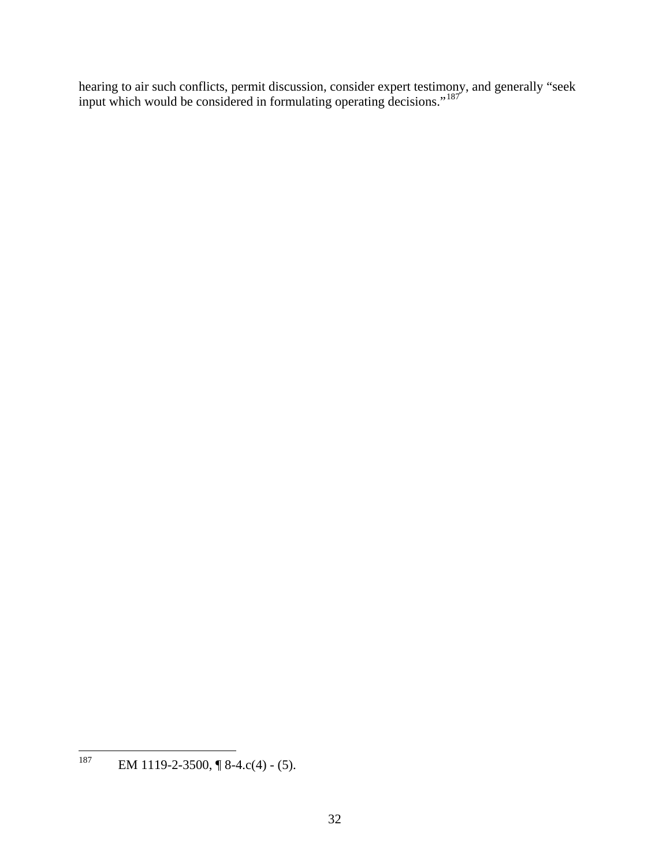hearing to air such conflicts, permit discussion, consider expert testimony, and generally "seek input which would be considered in formulating operating decisions."[187](#page-36-0)

<span id="page-36-0"></span><sup>187</sup> EM 1119-2-3500, ¶ 8-4.c(4) - (5).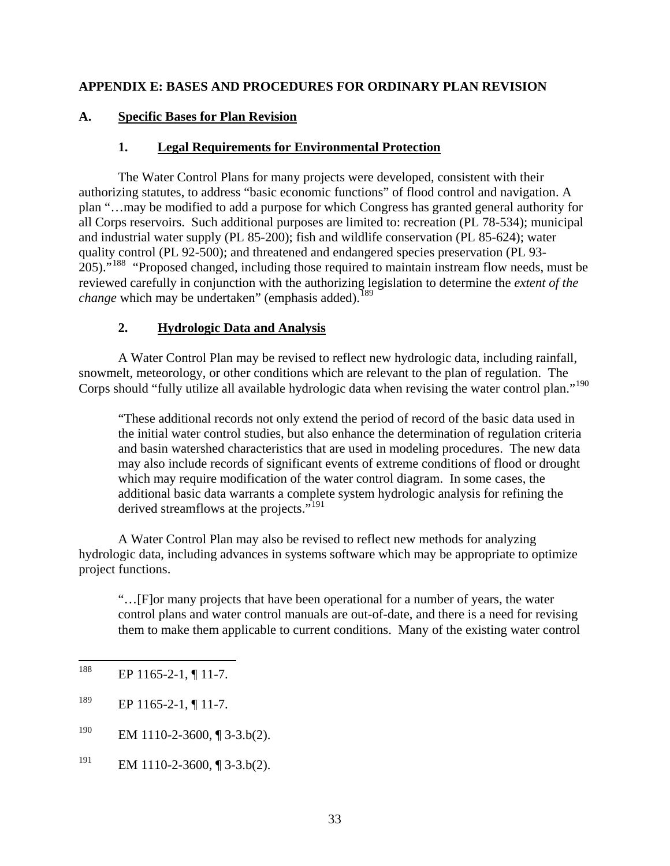### **APPENDIX E: BASES AND PROCEDURES FOR ORDINARY PLAN REVISION**

#### **A. Specific Bases for Plan Revision**

#### **1. Legal Requirements for Environmental Protection**

The Water Control Plans for many projects were developed, consistent with their authorizing statutes, to address "basic economic functions" of flood control and navigation. A plan "…may be modified to add a purpose for which Congress has granted general authority for all Corps reservoirs. Such additional purposes are limited to: recreation (PL 78-534); municipal and industrial water supply (PL 85-200); fish and wildlife conservation (PL 85-624); water quality control (PL 92-500); and threatened and endangered species preservation (PL 93- 205)."<sup>[188](#page-37-0)</sup> "Proposed changed, including those required to maintain instream flow needs, must be reviewed carefully in conjunction with the authorizing legislation to determine the *extent of the change* which may be undertaken" (emphasis added).<sup>[189](#page-37-1)</sup>

## **2. Hydrologic Data and Analysis**

 A Water Control Plan may be revised to reflect new hydrologic data, including rainfall, snowmelt, meteorology, or other conditions which are relevant to the plan of regulation. The Corps should "fully utilize all available hydrologic data when revising the water control plan."<sup>[190](#page-37-2)</sup>

"These additional records not only extend the period of record of the basic data used in the initial water control studies, but also enhance the determination of regulation criteria and basin watershed characteristics that are used in modeling procedures. The new data may also include records of significant events of extreme conditions of flood or drought which may require modification of the water control diagram. In some cases, the additional basic data warrants a complete system hydrologic analysis for refining the derived streamflows at the projects."<sup>[191](#page-37-3)</sup>

 A Water Control Plan may also be revised to reflect new methods for analyzing hydrologic data, including advances in systems software which may be appropriate to optimize project functions.

"…[F]or many projects that have been operational for a number of years, the water control plans and water control manuals are out-of-date, and there is a need for revising them to make them applicable to current conditions. Many of the existing water control

<span id="page-37-3"></span><sup>191</sup> EM 1110-2-3600,  $\sqrt{3}$  3-3.b(2).

<span id="page-37-0"></span><sup>188</sup> EP 1165-2-1, ¶ 11-7.

<span id="page-37-1"></span> $^{189}$  EP 1165-2-1, ¶ 11-7.

<span id="page-37-2"></span> $190$  EM 1110-2-3600, [[3-3.b(2).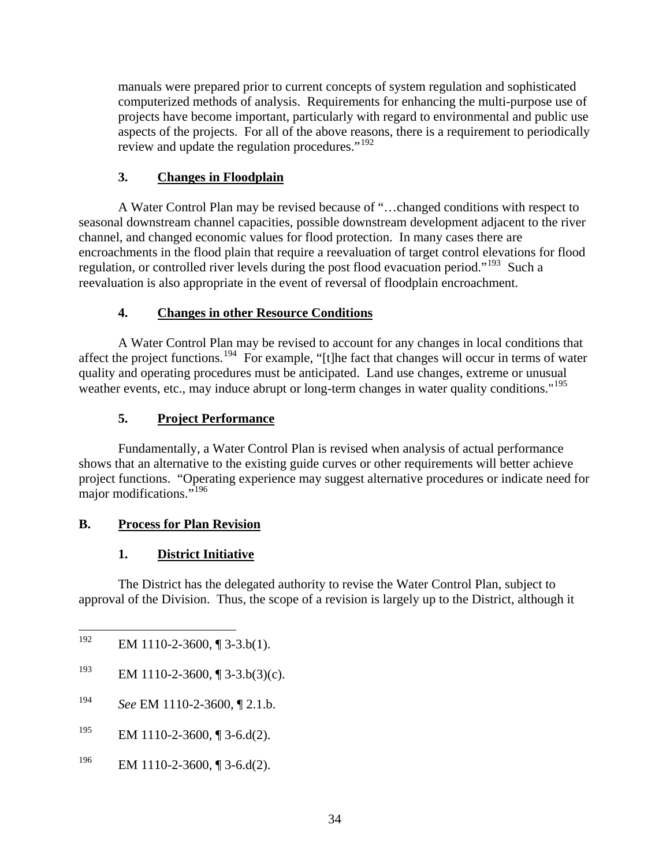manuals were prepared prior to current concepts of system regulation and sophisticated computerized methods of analysis. Requirements for enhancing the multi-purpose use of projects have become important, particularly with regard to environmental and public use aspects of the projects. For all of the above reasons, there is a requirement to periodically review and update the regulation procedures."<sup>[192](#page-38-0)</sup>

# **3. Changes in Floodplain**

 A Water Control Plan may be revised because of "…changed conditions with respect to seasonal downstream channel capacities, possible downstream development adjacent to the river channel, and changed economic values for flood protection. In many cases there are encroachments in the flood plain that require a reevaluation of target control elevations for flood regulation, or controlled river levels during the post flood evacuation period."<sup>[193](#page-38-1)</sup> Such a reevaluation is also appropriate in the event of reversal of floodplain encroachment.

## **4. Changes in other Resource Conditions**

 A Water Control Plan may be revised to account for any changes in local conditions that affect the project functions.<sup>[194](#page-38-2)</sup> For example, "[t]he fact that changes will occur in terms of water quality and operating procedures must be anticipated. Land use changes, extreme or unusual weather events, etc., may induce abrupt or long-term changes in water quality conditions."<sup>[195](#page-38-3)</sup>

## **5. Project Performance**

 Fundamentally, a Water Control Plan is revised when analysis of actual performance shows that an alternative to the existing guide curves or other requirements will better achieve project functions. "Operating experience may suggest alternative procedures or indicate need for major modifications."<sup>[196](#page-38-4)</sup>

# **B. Process for Plan Revision**

## **1. District Initiative**

The District has the delegated authority to revise the Water Control Plan, subject to approval of the Division. Thus, the scope of a revision is largely up to the District, although it

- <span id="page-38-3"></span><sup>195</sup> EM 1110-2-3600,  $\sqrt{3}$ -6.d(2).
- <span id="page-38-4"></span><sup>196</sup> EM 1110-2-3600, ¶ 3-6.d(2).

<span id="page-38-0"></span><sup>192</sup> EM 1110-2-3600,  $\P$  3-3.b(1).

<span id="page-38-1"></span><sup>&</sup>lt;sup>193</sup> EM 1110-2-3600,  $\sqrt{3}$  3-3.b(3)(c).

<span id="page-38-2"></span><sup>194</sup> *See* EM 1110-2-3600, ¶ 2.1.b.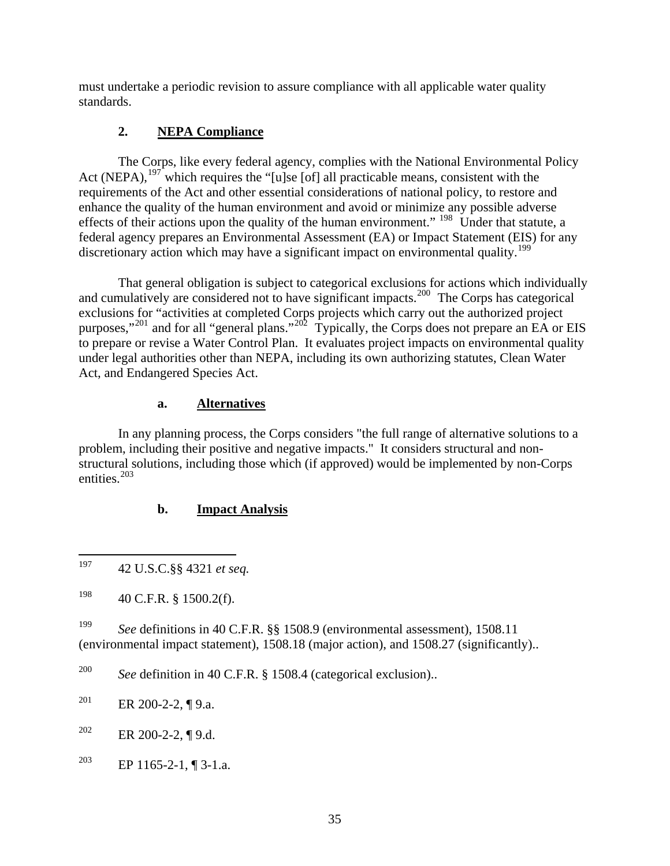must undertake a periodic revision to assure compliance with all applicable water quality standards.

# **2. NEPA Compliance**

 The Corps, like every federal agency, complies with the National Environmental Policy Act (NEPA),  $197$  which requires the "[u]se [of] all practicable means, consistent with the requirements of the Act and other essential considerations of national policy, to restore and enhance the quality of the human environment and avoid or minimize any possible adverse effects of their actions upon the quality of the human environment." <sup>[198](#page-39-1)</sup> Under that statute, a federal agency prepares an Environmental Assessment (EA) or Impact Statement (EIS) for any discretionary action which may have a significant impact on environmental quality.<sup>[199](#page-39-2)</sup>

 That general obligation is subject to categorical exclusions for actions which individually and cumulatively are considered not to have significant impacts.<sup>[200](#page-39-3)</sup> The Corps has categorical exclusions for "activities at completed Corps projects which carry out the authorized project purposes,"<sup>[201](#page-39-4)</sup> and for all "general plans."<sup>[202](#page-39-5)</sup> Typically, the Corps does not prepare an EA or EIS to prepare or revise a Water Control Plan. It evaluates project impacts on environmental quality under legal authorities other than NEPA, including its own authorizing statutes, Clean Water Act, and Endangered Species Act.

### **a. Alternatives**

In any planning process, the Corps considers "the full range of alternative solutions to a problem, including their positive and negative impacts." It considers structural and nonstructural solutions, including those which (if approved) would be implemented by non-Corps entities.[203](#page-39-6)

## **b. Impact Analysis**

<span id="page-39-2"></span>199 *See* definitions in 40 C.F.R. §§ 1508.9 (environmental assessment), 1508.11 (environmental impact statement), 1508.18 (major action), and 1508.27 (significantly)..

<span id="page-39-3"></span>200 *See* definition in 40 C.F.R. § 1508.4 (categorical exclusion)..

<span id="page-39-4"></span><sup>201</sup> ER 200-2-2, ¶ 9.a.

<span id="page-39-5"></span><sup>202</sup> ER 200-2-2, ¶ 9.d.

<span id="page-39-6"></span><sup>203</sup> EP 1165-2-1, ¶ 3-1.a.

<span id="page-39-0"></span><sup>197</sup> 197 42 U.S.C.§§ 4321 *et seq.*

<span id="page-39-1"></span> $198$  40 C.F.R. § 1500.2(f).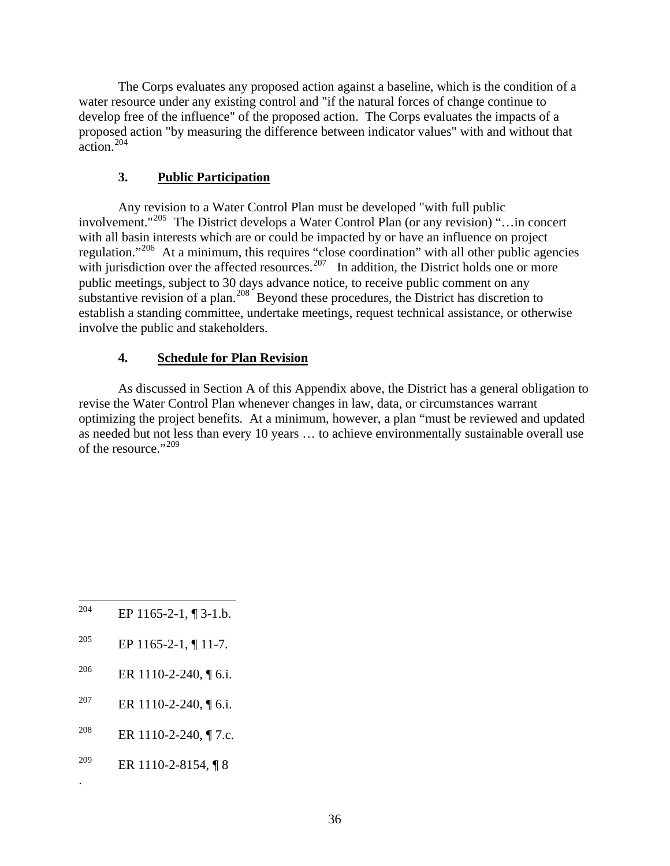The Corps evaluates any proposed action against a baseline, which is the condition of a water resource under any existing control and "if the natural forces of change continue to develop free of the influence" of the proposed action. The Corps evaluates the impacts of a proposed action "by measuring the difference between indicator values" with and without that action.[204](#page-40-0)

# **3. Public Participation**

Any revision to a Water Control Plan must be developed "with full public involvement."[205](#page-40-1) The District develops a Water Control Plan (or any revision) "…in concert with all basin interests which are or could be impacted by or have an influence on project regulation."<sup>[206](#page-40-2)</sup> At a minimum, this requires "close coordination" with all other public agencies with jurisdiction over the affected resources.<sup>[207](#page-40-3)</sup> In addition, the District holds one or more public meetings, subject to 30 days advance notice, to receive public comment on any substantive revision of a plan.<sup>[208](#page-40-4)</sup> Beyond these procedures, the District has discretion to establish a standing committee, undertake meetings, request technical assistance, or otherwise involve the public and stakeholders.

## **4. Schedule for Plan Revision**

 As discussed in Section A of this Appendix above, the District has a general obligation to revise the Water Control Plan whenever changes in law, data, or circumstances warrant optimizing the project benefits. At a minimum, however, a plan "must be reviewed and updated as needed but not less than every 10 years … to achieve environmentally sustainable overall use of the resource."[209](#page-40-5)

- <span id="page-40-0"></span>204 EP  $1165-2-1$ ,  $\P$  3-1.b.
- <span id="page-40-1"></span><sup>205</sup> EP 1165-2-1, ¶ 11-7.
- <span id="page-40-2"></span><sup>206</sup> ER 1110-2-240, ¶ 6.i.
- <span id="page-40-3"></span>207 ER 1110-2-240, ¶ 6.i.
- <span id="page-40-4"></span><sup>208</sup> ER 1110-2-240, ¶ 7.c.
- <span id="page-40-5"></span><sup>209</sup> ER 1110-2-8154, ¶ 8

.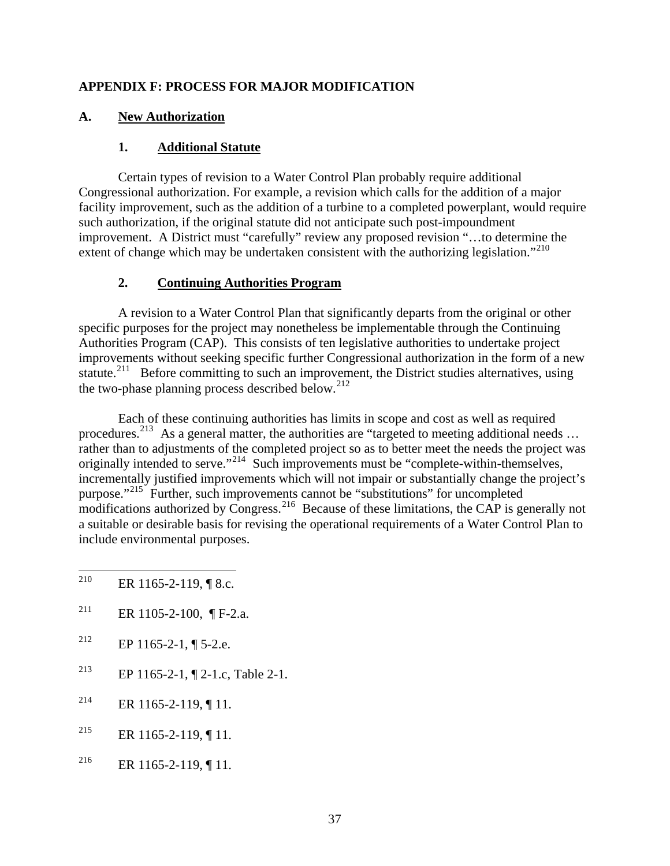### **APPENDIX F: PROCESS FOR MAJOR MODIFICATION**

### **A. New Authorization**

#### **1. Additional Statute**

 Certain types of revision to a Water Control Plan probably require additional Congressional authorization. For example, a revision which calls for the addition of a major facility improvement, such as the addition of a turbine to a completed powerplant, would require such authorization, if the original statute did not anticipate such post-impoundment improvement. A District must "carefully" review any proposed revision "…to determine the extent of change which may be undertaken consistent with the authorizing legislation."<sup>[210](#page-41-0)</sup>

### **2. Continuing Authorities Program**

 A revision to a Water Control Plan that significantly departs from the original or other specific purposes for the project may nonetheless be implementable through the Continuing Authorities Program (CAP). This consists of ten legislative authorities to undertake project improvements without seeking specific further Congressional authorization in the form of a new statute.<sup>[211](#page-41-1)</sup> Before committing to such an improvement, the District studies alternatives, using the two-phase planning process described below.<sup>[212](#page-41-2)</sup>

 Each of these continuing authorities has limits in scope and cost as well as required procedures.<sup>[213](#page-41-3)</sup> As a general matter, the authorities are "targeted to meeting additional needs ... rather than to adjustments of the completed project so as to better meet the needs the project was originally intended to serve."[214](#page-41-4) Such improvements must be "complete-within-themselves, incrementally justified improvements which will not impair or substantially change the project's purpose."[215](#page-41-5) Further, such improvements cannot be "substitutions" for uncompleted  $\frac{1}{2}$  modifications authorized by Congress.<sup>[216](#page-41-6)</sup> Because of these limitations, the CAP is generally not a suitable or desirable basis for revising the operational requirements of a Water Control Plan to include environmental purposes.

- <span id="page-41-0"></span>210 ER 1165-2-119, ¶ 8.c.
- <span id="page-41-1"></span><sup>211</sup> ER 1105-2-100, ¶ F-2.a.
- <span id="page-41-2"></span><sup>212</sup> EP 1165-2-1, ¶ 5-2.e.
- <span id="page-41-3"></span>213 EP 1165-2-1, ¶ 2-1.c, Table 2-1.
- <span id="page-41-4"></span><sup>214</sup> ER 1165-2-119, ¶ 11.
- <span id="page-41-5"></span><sup>215</sup> ER 1165-2-119, ¶ 11.
- <span id="page-41-6"></span><sup>216</sup> ER 1165-2-119, ¶ 11.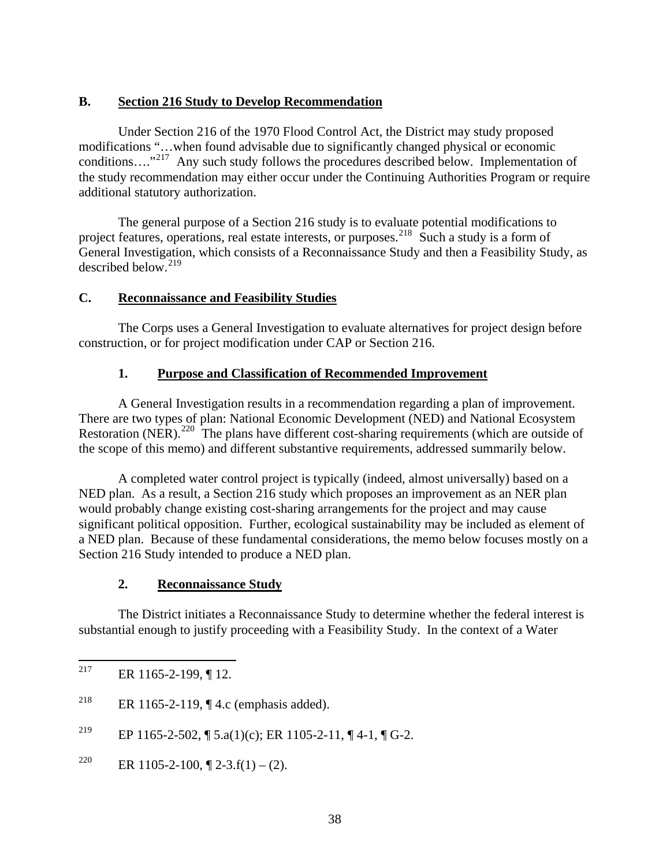#### **B. Section 216 Study to Develop Recommendation**

 Under Section 216 of the 1970 Flood Control Act, the District may study proposed modifications "…when found advisable due to significantly changed physical or economic conditions…."[217](#page-42-0) Any such study follows the procedures described below. Implementation of the study recommendation may either occur under the Continuing Authorities Program or require additional statutory authorization.

The general purpose of a Section 216 study is to evaluate potential modifications to project features, operations, real estate interests, or purposes.<sup>[218](#page-42-1)</sup> Such a study is a form of General Investigation, which consists of a Reconnaissance Study and then a Feasibility Study, as described below.<sup>[219](#page-42-2)</sup>

## **C. Reconnaissance and Feasibility Studies**

The Corps uses a General Investigation to evaluate alternatives for project design before construction, or for project modification under CAP or Section 216.

### **1. Purpose and Classification of Recommended Improvement**

A General Investigation results in a recommendation regarding a plan of improvement. There are two types of plan: National Economic Development (NED) and National Ecosystem Restoration (NER).<sup>[220](#page-42-3)</sup> The plans have different cost-sharing requirements (which are outside of the scope of this memo) and different substantive requirements, addressed summarily below.

 A completed water control project is typically (indeed, almost universally) based on a NED plan. As a result, a Section 216 study which proposes an improvement as an NER plan would probably change existing cost-sharing arrangements for the project and may cause significant political opposition. Further, ecological sustainability may be included as element of a NED plan. Because of these fundamental considerations, the memo below focuses mostly on a Section 216 Study intended to produce a NED plan.

## **2. Reconnaissance Study**

 The District initiates a Reconnaissance Study to determine whether the federal interest is substantial enough to justify proceeding with a Feasibility Study. In the context of a Water

<span id="page-42-2"></span><sup>219</sup> EP 1165-2-502, ¶ 5.a(1)(c); ER 1105-2-11, ¶ 4-1, ¶ G-2.

<span id="page-42-3"></span><sup>220</sup> ER 1105-2-100,  $\sqrt{2}$  2-3.f(1) – (2).

<span id="page-42-0"></span><sup>217</sup> ER 1165-2-199, ¶ 12.

<span id="page-42-1"></span><sup>&</sup>lt;sup>218</sup> ER 1165-2-119, ¶ 4.c (emphasis added).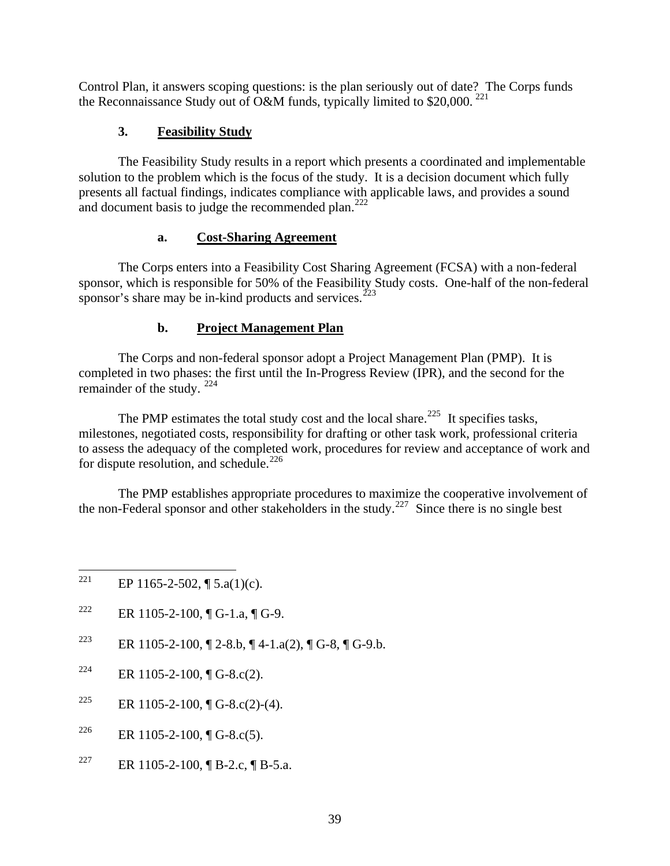Control Plan, it answers scoping questions: is the plan seriously out of date? The Corps funds the Reconnaissance Study out of O&M funds, typically limited to \$20,000.<sup>[221](#page-43-0)</sup>

## **3. Feasibility Study**

The Feasibility Study results in a report which presents a coordinated and implementable solution to the problem which is the focus of the study. It is a decision document which fully presents all factual findings, indicates compliance with applicable laws, and provides a sound and document basis to judge the recommended plan. $^{222}$  $^{222}$  $^{222}$ 

### **a. Cost-Sharing Agreement**

 The Corps enters into a Feasibility Cost Sharing Agreement (FCSA) with a non-federal sponsor, which is responsible for 50% of the Feasibility Study costs. One-half of the non-federal sponsor's share may be in-kind products and services.<sup> $223$ </sup>

## **b. Project Management Plan**

The Corps and non-federal sponsor adopt a Project Management Plan (PMP). It is completed in two phases: the first until the In-Progress Review (IPR), and the second for the remainder of the study. [224](#page-43-3)

The PMP estimates the total study cost and the local share.<sup>[225](#page-43-4)</sup> It specifies tasks, milestones, negotiated costs, responsibility for drafting or other task work, professional criteria to assess the adequacy of the completed work, procedures for review and acceptance of work and for dispute resolution, and schedule.<sup>[226](#page-43-5)</sup>

 The PMP establishes appropriate procedures to maximize the cooperative involvement of the non-Federal sponsor and other stakeholders in the study.<sup>[227](#page-43-6)</sup> Since there is no single best

- <span id="page-43-1"></span><sup>222</sup> ER 1105-2-100,  $\P G$ -1.a,  $\P G$ -9.
- <span id="page-43-2"></span><sup>223</sup> ER 1105-2-100,  $\sqrt{2}$  2-8.b,  $\sqrt{4}$  4-1.a(2),  $\sqrt{2}$  G-8,  $\sqrt{4}$  G-9.b.
- <span id="page-43-3"></span><sup>224</sup> ER 1105-2-100, ¶ G-8.c(2).
- <span id="page-43-4"></span><sup>225</sup> ER 1105-2-100, ¶ G-8.c(2)-(4).
- <span id="page-43-5"></span><sup>226</sup> ER 1105-2-100, ¶ G-8.c(5).
- <span id="page-43-6"></span><sup>227</sup> ER 1105-2-100, ¶ B-2.c, ¶ B-5.a.

<span id="page-43-0"></span><sup>221</sup> EP 1165-2-502,  $\P$  5.a(1)(c).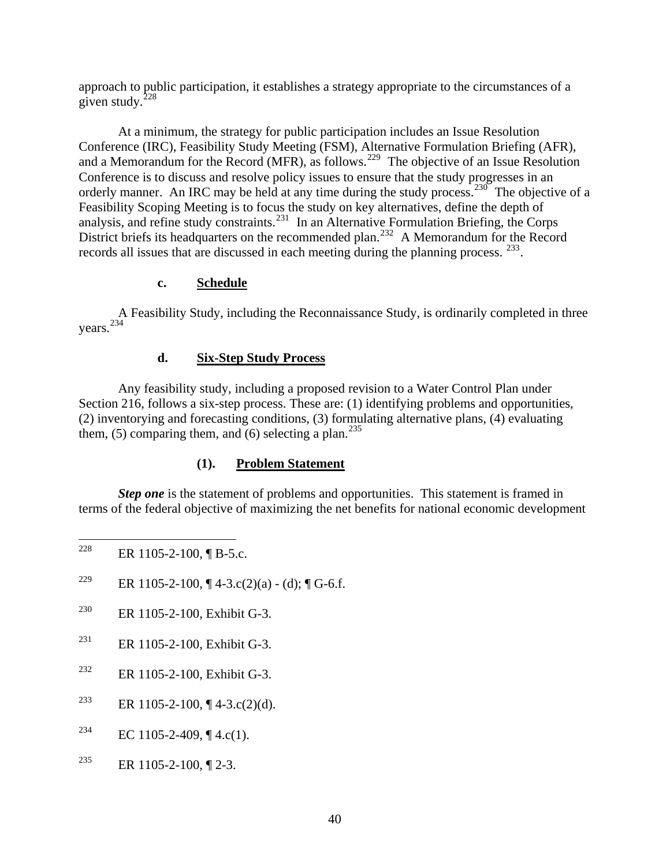approach to public participation, it establishes a strategy appropriate to the circumstances of a given study. $228$ 

 At a minimum, the strategy for public participation includes an Issue Resolution Conference (IRC), Feasibility Study Meeting (FSM), Alternative Formulation Briefing (AFR), and a Memorandum for the Record (MFR), as follows.<sup>[229](#page-44-1)</sup> The objective of an Issue Resolution Conference is to discuss and resolve policy issues to ensure that the study progresses in an orderly manner. An IRC may be held at any time during the study process.<sup>[230](#page-44-2)</sup> The objective of a Feasibility Scoping Meeting is to focus the study on key alternatives, define the depth of analysis, and refine study constraints.<sup>[231](#page-44-3)</sup> In an Alternative Formulation Briefing, the Corps District briefs its headquarters on the recommended plan.<sup>[232](#page-44-4)</sup> A Memorandum for the Record records all issues that are discussed in each meeting during the planning process. [233](#page-44-5).

### **c. Schedule**

A Feasibility Study, including the Reconnaissance Study, is ordinarily completed in three years.[234](#page-44-6)

## **d. Six-Step Study Process**

 Any feasibility study, including a proposed revision to a Water Control Plan under Section 216, follows a six-step process. These are: (1) identifying problems and opportunities, (2) inventorying and forecasting conditions, (3) formulating alternative plans, (4) evaluating them, (5) comparing them, and (6) selecting a plan.<sup>[235](#page-44-7)</sup>

## **(1). Problem Statement**

*Step one* is the statement of problems and opportunities. This statement is framed in terms of the federal objective of maximizing the net benefits for national economic development

- <span id="page-44-1"></span><sup>229</sup> ER 1105-2-100, ¶ 4-3.c(2)(a) - (d); ¶ G-6.f.
- <span id="page-44-2"></span>230 ER 1105-2-100, Exhibit G-3.
- <span id="page-44-3"></span>231 ER 1105-2-100, Exhibit G-3.
- <span id="page-44-4"></span>232 ER 1105-2-100, Exhibit G-3.
- <span id="page-44-5"></span><sup>233</sup> ER 1105-2-100, ¶ 4-3.c(2)(d).
- <span id="page-44-6"></span><sup>234</sup> EC 1105-2-409, ¶ 4.c(1).
- <span id="page-44-7"></span><sup>235</sup> ER 1105-2-100,  $\P$  2-3.

<span id="page-44-0"></span><sup>228</sup> ER 1105-2-100, ¶ B-5.c.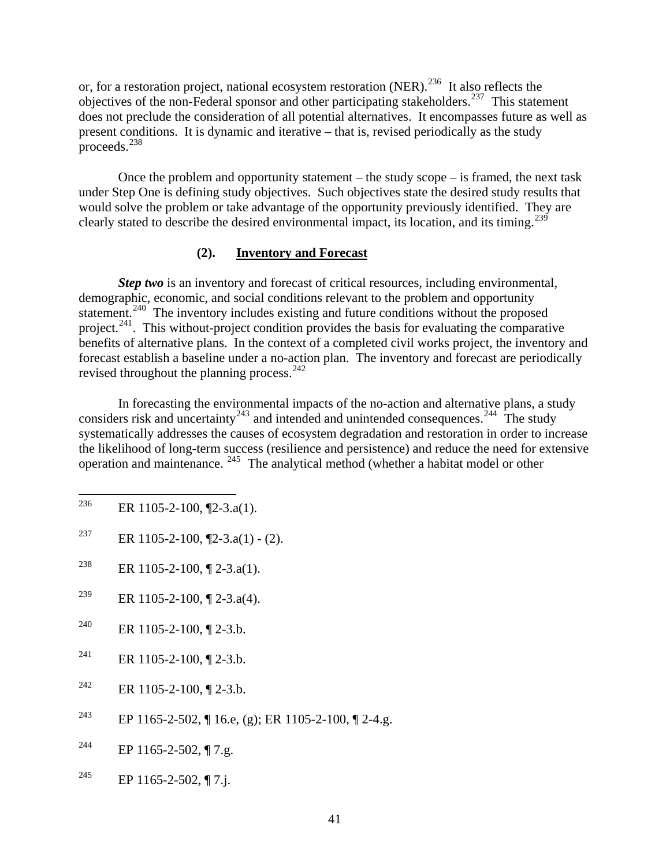or, for a restoration project, national ecosystem restoration (NER).<sup>[236](#page-45-0)</sup> It also reflects the objectives of the non-Federal sponsor and other participating stakeholders.[237](#page-45-1) This statement does not preclude the consideration of all potential alternatives. It encompasses future as well as present conditions. It is dynamic and iterative – that is, revised periodically as the study proceeds.[238](#page-45-2)

 Once the problem and opportunity statement – the study scope – is framed, the next task under Step One is defining study objectives. Such objectives state the desired study results that would solve the problem or take advantage of the opportunity previously identified. They are clearly stated to describe the desired environmental impact, its location, and its timing.<sup>[239](#page-45-3)</sup>

#### **(2). Inventory and Forecast**

*Step two* is an inventory and forecast of critical resources, including environmental, demographic, economic, and social conditions relevant to the problem and opportunity statement.<sup>[240](#page-45-4)</sup> The inventory includes existing and future conditions without the proposed project.<sup>[241](#page-45-5)</sup>. This without-project condition provides the basis for evaluating the comparative benefits of alternative plans. In the context of a completed civil works project, the inventory and forecast establish a baseline under a no-action plan. The inventory and forecast are periodically revised throughout the planning process.<sup>[242](#page-45-6)</sup>

 In forecasting the environmental impacts of the no-action and alternative plans, a study considers risk and uncertainty<sup>[243](#page-45-7)</sup> and intended and unintended consequences.<sup>244</sup> The study systematically addresses the causes of ecosystem degradation and restoration in order to increase the likelihood of long-term success (resilience and persistence) and reduce the need for extensive operation and maintenance. [245](#page-45-9) The analytical method (whether a habitat model or other

- <span id="page-45-0"></span>236 ER 1105-2-100, [2-3.a(1).
- <span id="page-45-1"></span><sup>237</sup> ER 1105-2-100,  $[2-3.a(1) - (2)$ .
- <span id="page-45-2"></span><sup>238</sup> ER 1105-2-100,  $\sqrt{2}$ -3.a(1).
- <span id="page-45-3"></span><sup>239</sup> ER 1105-2-100,  $\sqrt{2}$ -3.a(4).
- <span id="page-45-4"></span><sup>240</sup> ER 1105-2-100,  $\P$  2-3.b.
- <span id="page-45-5"></span><sup>241</sup> ER 1105-2-100,  $\P$  2-3.b.
- <span id="page-45-6"></span><sup>242</sup> ER 1105-2-100,  $\P$  2-3.b.
- <span id="page-45-7"></span><sup>243</sup> EP 1165-2-502, ¶ 16.e, (g); ER 1105-2-100, ¶ 2-4.g.
- <span id="page-45-8"></span><sup>244</sup> EP 1165-2-502, ¶ 7.g.
- <span id="page-45-9"></span><sup>245</sup> EP 1165-2-502, ¶ 7.j.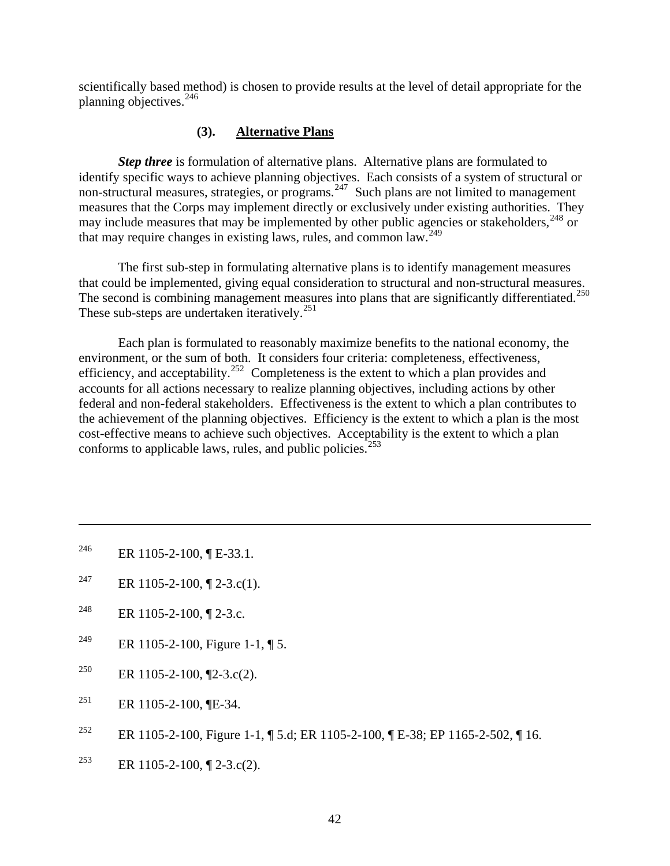scientifically based method) is chosen to provide results at the level of detail appropriate for the planning objectives.<sup>[246](#page-46-0)</sup>

#### **(3). Alternative Plans**

*Step three* is formulation of alternative plans. Alternative plans are formulated to identify specific ways to achieve planning objectives. Each consists of a system of structural or non-structural measures, strategies, or programs.<sup>[247](#page-46-1)</sup> Such plans are not limited to management measures that the Corps may implement directly or exclusively under existing authorities. They may include measures that may be implemented by other public agencies or stakeholders,  $248$  or that may require changes in existing laws, rules, and common law.[249](#page-46-3)

 The first sub-step in formulating alternative plans is to identify management measures that could be implemented, giving equal consideration to structural and non-structural measures. The second is combining management measures into plans that are significantly differentiated.<sup>[250](#page-46-4)</sup> These sub-steps are undertaken iteratively.<sup>[251](#page-46-5)</sup>

 Each plan is formulated to reasonably maximize benefits to the national economy, the environment, or the sum of both. It considers four criteria: completeness, effectiveness, efficiency, and acceptability.<sup>[252](#page-46-6)</sup> Completeness is the extent to which a plan provides and accounts for all actions necessary to realize planning objectives, including actions by other federal and non-federal stakeholders. Effectiveness is the extent to which a plan contributes to the achievement of the planning objectives. Efficiency is the extent to which a plan is the most cost-effective means to achieve such objectives. Acceptability is the extent to which a plan conforms to applicable laws, rules, and public policies.<sup>[253](#page-46-7)</sup>

<span id="page-46-0"></span><sup>246</sup> ER 1105-2-100,  $\P$  E-33.1.

 $\overline{a}$ 

- <span id="page-46-1"></span><sup>247</sup> ER 1105-2-100, ¶ 2-3.c(1).
- <span id="page-46-2"></span><sup>248</sup> ER 1105-2-100,  $\P$  2-3.c.
- <span id="page-46-3"></span><sup>249</sup> ER 1105-2-100, Figure 1-1,  $\P$  5.
- <span id="page-46-4"></span><sup>250</sup> ER 1105-2-100,  $\P$ 2-3.c(2).
- <span id="page-46-5"></span><sup>251</sup> ER 1105-2-100, **[E-34.**]
- <span id="page-46-6"></span>252 ER 1105-2-100, Figure 1-1, ¶ 5.d; ER 1105-2-100, ¶ E-38; EP 1165-2-502, ¶ 16.
- <span id="page-46-7"></span><sup>253</sup> ER 1105-2-100, ¶ 2-3.c(2).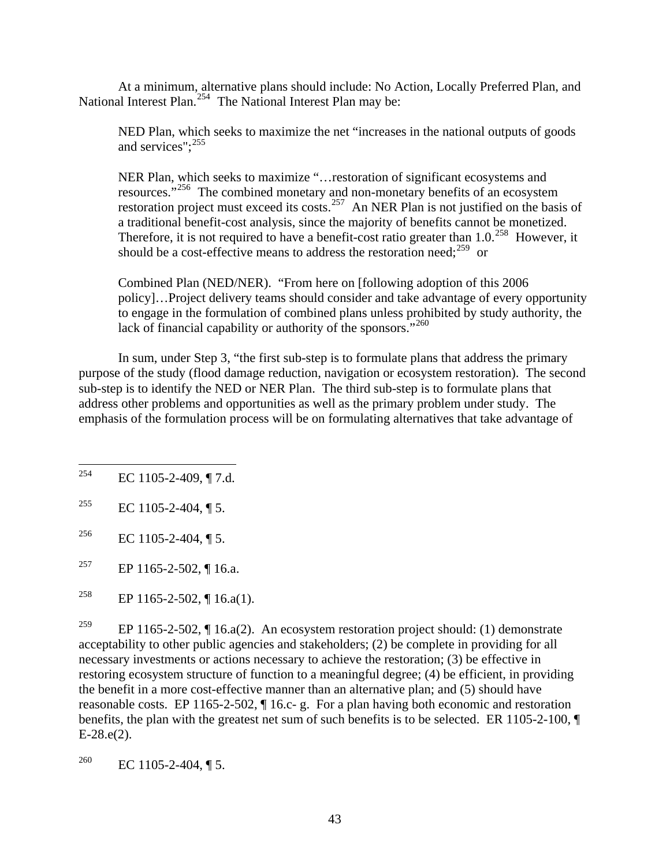At a minimum, alternative plans should include: No Action, Locally Preferred Plan, and National Interest Plan.<sup>[254](#page-47-0)</sup> The National Interest Plan may be:

NED Plan, which seeks to maximize the net "increases in the national outputs of goods and services": <sup>[255](#page-47-1)</sup>

NER Plan, which seeks to maximize "…restoration of significant ecosystems and resources."<sup>[256](#page-47-2)</sup> The combined monetary and non-monetary benefits of an ecosystem restoration project must exceed its costs.<sup>[257](#page-47-3)</sup> An NER Plan is not justified on the basis of a traditional benefit-cost analysis, since the majority of benefits cannot be monetized. Therefore, it is not required to have a benefit-cost ratio greater than 1.0.<sup>[258](#page-47-4)</sup> However, it should be a cost-effective means to address the restoration need;<sup>[259](#page-47-5)</sup> or

Combined Plan (NED/NER). "From here on [following adoption of this 2006 policy]…Project delivery teams should consider and take advantage of every opportunity to engage in the formulation of combined plans unless prohibited by study authority, the lack of financial capability or authority of the sponsors."<sup>[260](#page-47-6)</sup>

 In sum, under Step 3, "the first sub-step is to formulate plans that address the primary purpose of the study (flood damage reduction, navigation or ecosystem restoration). The second sub-step is to identify the NED or NER Plan. The third sub-step is to formulate plans that address other problems and opportunities as well as the primary problem under study. The emphasis of the formulation process will be on formulating alternatives that take advantage of

<span id="page-47-5"></span><sup>259</sup> EP 1165-2-502, ¶ 16.a(2). An ecosystem restoration project should: (1) demonstrate acceptability to other public agencies and stakeholders; (2) be complete in providing for all necessary investments or actions necessary to achieve the restoration; (3) be effective in restoring ecosystem structure of function to a meaningful degree; (4) be efficient, in providing the benefit in a more cost-effective manner than an alternative plan; and (5) should have reasonable costs. EP 1165-2-502, ¶ 16.c- g. For a plan having both economic and restoration benefits, the plan with the greatest net sum of such benefits is to be selected. ER 1105-2-100, ¶  $E-28.e(2)$ .

<span id="page-47-6"></span>260 EC 1105-2-404,  $\P$  5.

<span id="page-47-0"></span><sup>254</sup> EC 1105-2-409, ¶ 7.d.

<span id="page-47-1"></span><sup>&</sup>lt;sup>255</sup> EC 1105-2-404, ¶ 5.

<span id="page-47-2"></span><sup>&</sup>lt;sup>256</sup> EC 1105-2-404, ¶ 5.

<span id="page-47-3"></span><sup>&</sup>lt;sup>257</sup> EP 1165-2-502, ¶ 16.a.

<span id="page-47-4"></span><sup>&</sup>lt;sup>258</sup> EP 1165-2-502, ¶ 16.a(1).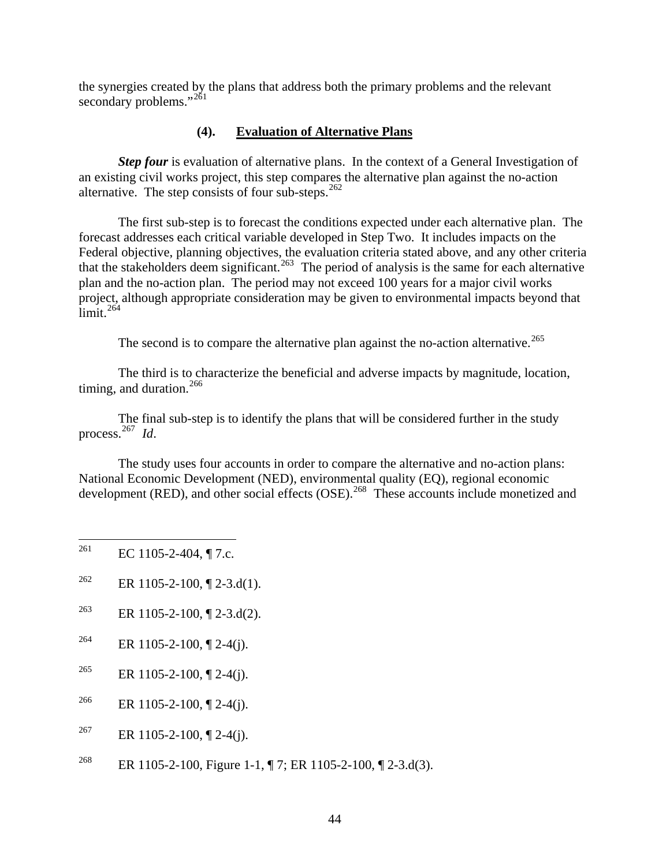the synergies created by the plans that address both the primary problems and the relevant secondary problems."<sup>[261](#page-48-0)</sup>

#### **(4). Evaluation of Alternative Plans**

**Step four** is evaluation of alternative plans. In the context of a General Investigation of an existing civil works project, this step compares the alternative plan against the no-action alternative. The step consists of four sub-steps.<sup>[262](#page-48-1)</sup>

 The first sub-step is to forecast the conditions expected under each alternative plan. The forecast addresses each critical variable developed in Step Two. It includes impacts on the Federal objective, planning objectives, the evaluation criteria stated above, and any other criteria that the stakeholders deem significant.<sup>[263](#page-48-2)</sup> The period of analysis is the same for each alternative plan and the no-action plan. The period may not exceed 100 years for a major civil works project, although appropriate consideration may be given to environmental impacts beyond that  $\lim$ it.<sup>[264](#page-48-3)</sup>

The second is to compare the alternative plan against the no-action alternative.<sup>[265](#page-48-4)</sup>

 The third is to characterize the beneficial and adverse impacts by magnitude, location, timing, and duration.<sup>[266](#page-48-5)</sup>

 The final sub-step is to identify the plans that will be considered further in the study process.[267](#page-48-6) *Id*.

 The study uses four accounts in order to compare the alternative and no-action plans: National Economic Development (NED), environmental quality (EQ), regional economic development (RED), and other social effects (OSE).<sup>[268](#page-48-7)</sup> These accounts include monetized and

- <span id="page-48-0"></span>261 EC 1105-2-404,  $\P$  7.c.
- <span id="page-48-1"></span><sup>262</sup> ER 1105-2-100, ¶ 2-3.d(1).
- <span id="page-48-2"></span><sup>263</sup> ER 1105-2-100, ¶ 2-3.d(2).
- <span id="page-48-3"></span><sup>264</sup> ER 1105-2-100,  $\sqrt{2}$ -4(j).
- <span id="page-48-4"></span><sup>265</sup> ER 1105-2-100,  $\sqrt{2}$  2-4(j).
- <span id="page-48-5"></span><sup>266</sup> ER 1105-2-100, ¶ 2-4(j).
- <span id="page-48-6"></span><sup>267</sup> ER 1105-2-100,  $\sqrt{2}$ -4(j).
- <span id="page-48-7"></span><sup>268</sup> ER 1105-2-100, Figure 1-1, ¶ 7; ER 1105-2-100, ¶ 2-3.d(3).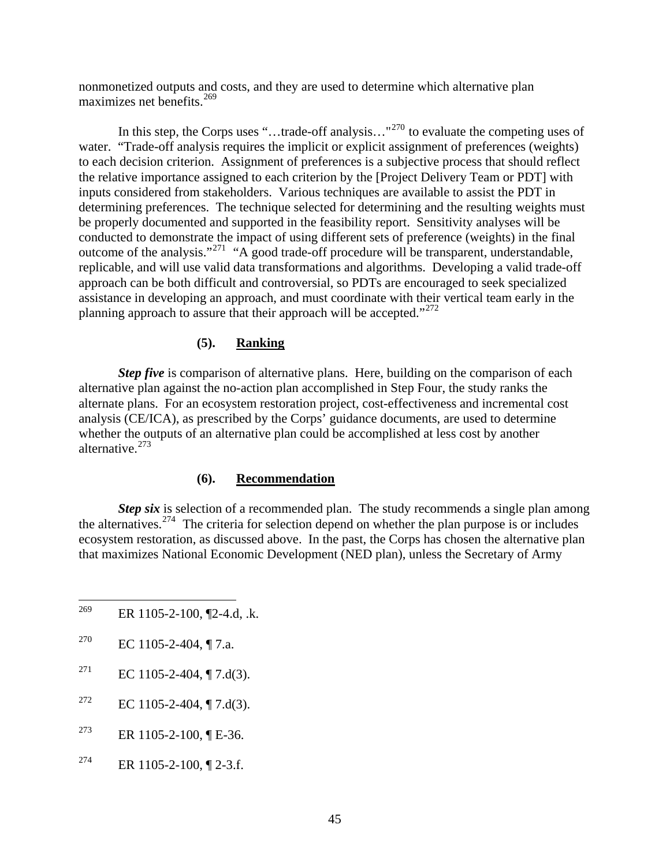nonmonetized outputs and costs, and they are used to determine which alternative plan maximizes net benefits.<sup>[269](#page-49-0)</sup>

In this step, the Corps uses "...trade-off analysis..."<sup>[270](#page-49-1)</sup> to evaluate the competing uses of water. "Trade-off analysis requires the implicit or explicit assignment of preferences (weights) to each decision criterion. Assignment of preferences is a subjective process that should reflect the relative importance assigned to each criterion by the [Project Delivery Team or PDT] with inputs considered from stakeholders. Various techniques are available to assist the PDT in determining preferences. The technique selected for determining and the resulting weights must be properly documented and supported in the feasibility report. Sensitivity analyses will be conducted to demonstrate the impact of using different sets of preference (weights) in the final outcome of the analysis."<sup>[271](#page-49-2)</sup> "A good trade-off procedure will be transparent, understandable, replicable, and will use valid data transformations and algorithms. Developing a valid trade-off approach can be both difficult and controversial, so PDTs are encouraged to seek specialized assistance in developing an approach, and must coordinate with their vertical team early in the planning approach to assure that their approach will be accepted."<sup>[272](#page-49-3)</sup>

#### **(5). Ranking**

*Step five* is comparison of alternative plans. Here, building on the comparison of each alternative plan against the no-action plan accomplished in Step Four, the study ranks the alternate plans. For an ecosystem restoration project, cost-effectiveness and incremental cost analysis (CE/ICA), as prescribed by the Corps' guidance documents, are used to determine whether the outputs of an alternative plan could be accomplished at less cost by another alternative.[273](#page-49-4)

#### **(6). Recommendation**

*Step six* is selection of a recommended plan. The study recommends a single plan among the alternatives.<sup>[274](#page-49-5)</sup> The criteria for selection depend on whether the plan purpose is or includes ecosystem restoration, as discussed above. In the past, the Corps has chosen the alternative plan that maximizes National Economic Development (NED plan), unless the Secretary of Army

- <span id="page-49-0"></span>269 ER 1105-2-100, ¶2-4.d, .k.
- <span id="page-49-1"></span>270 EC 1105-2-404,  $\P$  7.a.
- <span id="page-49-2"></span><sup>271</sup> EC 1105-2-404, ¶ 7.d(3).
- <span id="page-49-3"></span><sup>272</sup> EC 1105-2-404, ¶ 7.d(3).
- <span id="page-49-4"></span><sup>273</sup> ER 1105-2-100,  $\P$  E-36.
- <span id="page-49-5"></span> $274$  ER 1105-2-100, 12-3.f.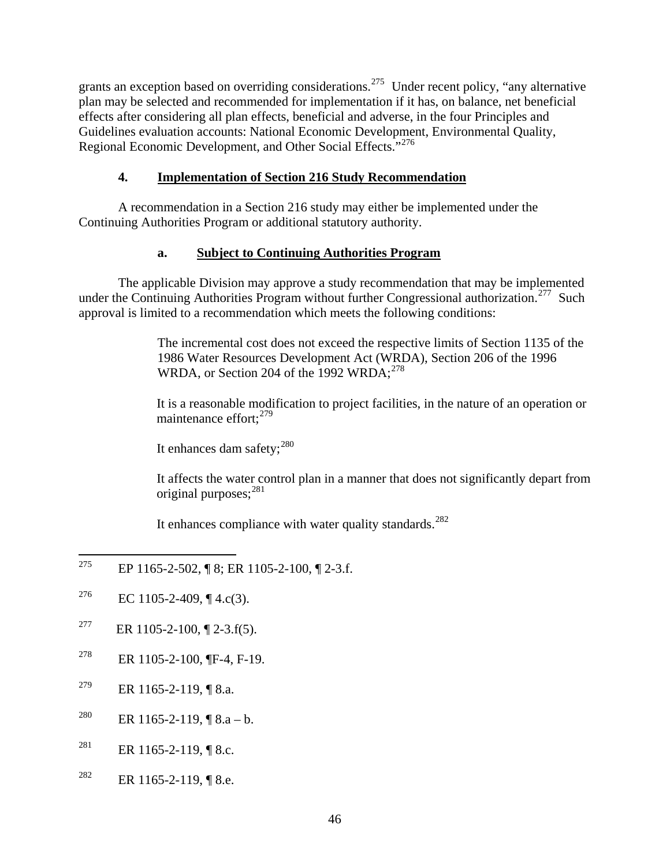grants an exception based on overriding considerations.<sup>[275](#page-50-0)</sup> Under recent policy, "any alternative plan may be selected and recommended for implementation if it has, on balance, net beneficial effects after considering all plan effects, beneficial and adverse, in the four Principles and Guidelines evaluation accounts: National Economic Development, Environmental Quality, Regional Economic Development, and Other Social Effects."<sup>[276](#page-50-1)</sup>

## **4. Implementation of Section 216 Study Recommendation**

 A recommendation in a Section 216 study may either be implemented under the Continuing Authorities Program or additional statutory authority.

## **a. Subject to Continuing Authorities Program**

The applicable Division may approve a study recommendation that may be implemented under the Continuing Authorities Program without further Congressional authorization.<sup>[277](#page-50-2)</sup> Such approval is limited to a recommendation which meets the following conditions:

> The incremental cost does not exceed the respective limits of Section 1135 of the 1986 Water Resources Development Act (WRDA), Section 206 of the 1996 WRDA, or Section 204 of the  $1992$  WRDA:  $^{278}$  $^{278}$  $^{278}$

> It is a reasonable modification to project facilities, in the nature of an operation or maintenance effort:  $279$

It enhances dam safety; $^{280}$  $^{280}$  $^{280}$ 

It affects the water control plan in a manner that does not significantly depart from original purposes;[281](#page-50-6)

It enhances compliance with water quality standards.<sup>[282](#page-50-7)</sup>

- <span id="page-50-0"></span>275 275 EP 1165-2-502, ¶ 8; ER 1105-2-100, ¶ 2-3.f.
- <span id="page-50-1"></span><sup>276</sup> EC 1105-2-409, ¶ 4.c(3).
- <span id="page-50-2"></span><sup>277</sup> ER 1105-2-100, ¶ 2-3.f(5).
- <span id="page-50-3"></span><sup>278</sup> ER 1105-2-100, ¶F-4, F-19.
- <span id="page-50-4"></span><sup>279</sup> ER 1165-2-119, ¶ 8.a.
- <span id="page-50-5"></span><sup>280</sup> ER 1165-2-119, ¶ 8.a – b.
- <span id="page-50-6"></span><sup>281</sup> ER 1165-2-119, ¶ 8.c.
- <span id="page-50-7"></span><sup>282</sup> ER 1165-2-119, ¶ 8.e.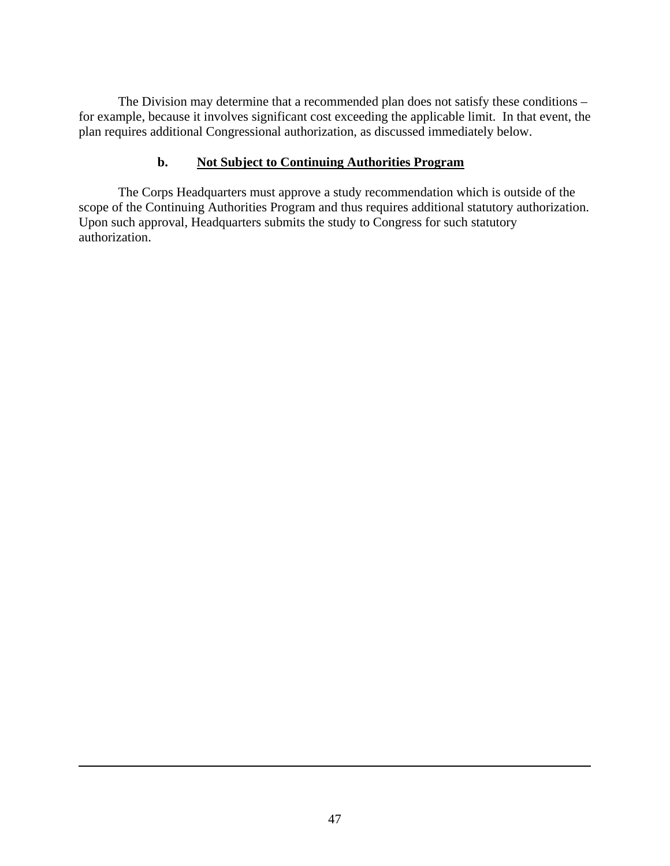The Division may determine that a recommended plan does not satisfy these conditions – for example, because it involves significant cost exceeding the applicable limit. In that event, the plan requires additional Congressional authorization, as discussed immediately below.

### **b. Not Subject to Continuing Authorities Program**

 The Corps Headquarters must approve a study recommendation which is outside of the scope of the Continuing Authorities Program and thus requires additional statutory authorization. Upon such approval, Headquarters submits the study to Congress for such statutory authorization.

 $\overline{a}$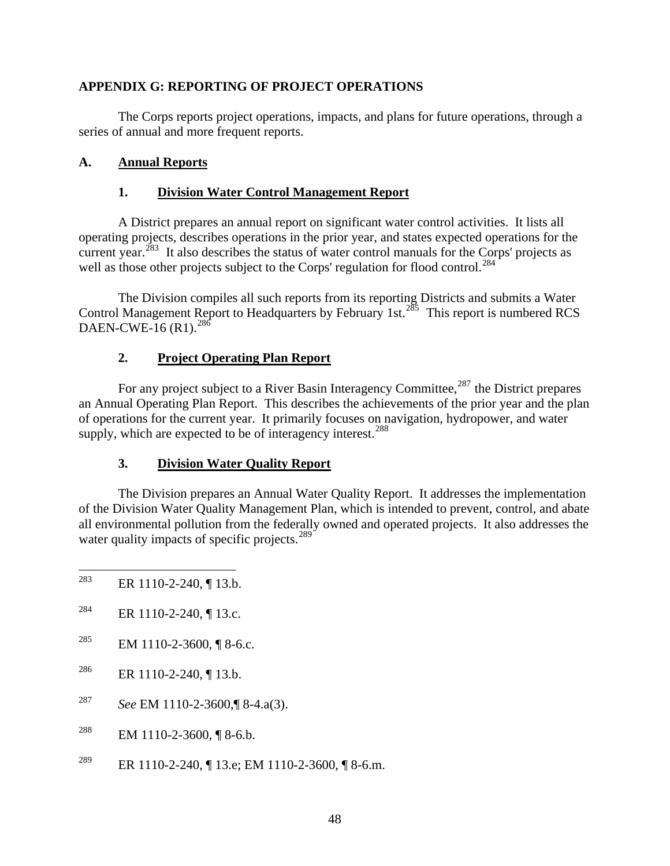### **APPENDIX G: REPORTING OF PROJECT OPERATIONS**

 The Corps reports project operations, impacts, and plans for future operations, through a series of annual and more frequent reports.

### **A. Annual Reports**

### **1. Division Water Control Management Report**

 A District prepares an annual report on significant water control activities. It lists all operating projects, describes operations in the prior year, and states expected operations for the current year.<sup>[283](#page-52-0)</sup> It also describes the status of water control manuals for the Corps' projects as well as those other projects subject to the Corps' regulation for flood control.<sup>[284](#page-52-1)</sup>

 The Division compiles all such reports from its reporting Districts and submits a Water Control Management Report to Headquarters by February 1st.<sup>[285](#page-52-2)</sup> This report is numbered RCS DAEN-CWE-16  $(R1)$ .<sup>[286](#page-52-3)</sup>

### **2. Project Operating Plan Report**

For any project subject to a River Basin Interagency Committee,<sup>[287](#page-52-4)</sup> the District prepares an Annual Operating Plan Report. This describes the achievements of the prior year and the plan of operations for the current year. It primarily focuses on navigation, hydropower, and water supply, which are expected to be of interagency interest.<sup>[288](#page-52-5)</sup>

#### **3. Division Water Quality Report**

 The Division prepares an Annual Water Quality Report. It addresses the implementation of the Division Water Quality Management Plan, which is intended to prevent, control, and abate all environmental pollution from the federally owned and operated projects. It also addresses the water quality impacts of specific projects.<sup>[289](#page-52-6)</sup>

- <span id="page-52-0"></span>283 ER 1110-2-240, ¶ 13.b.
- <span id="page-52-1"></span><sup>284</sup> ER 1110-2-240, ¶ 13.c.
- <span id="page-52-2"></span><sup>285</sup> EM 1110-2-3600, ¶ 8-6.c.
- <span id="page-52-3"></span><sup>286</sup> ER 1110-2-240, ¶ 13.b.
- <span id="page-52-4"></span>287 *See* EM 1110-2-3600,¶ 8-4.a(3).
- <span id="page-52-5"></span><sup>288</sup> EM 1110-2-3600, ¶ 8-6.b.
- <span id="page-52-6"></span><sup>289</sup> ER 1110-2-240, ¶ 13.e; EM 1110-2-3600, ¶ 8-6.m.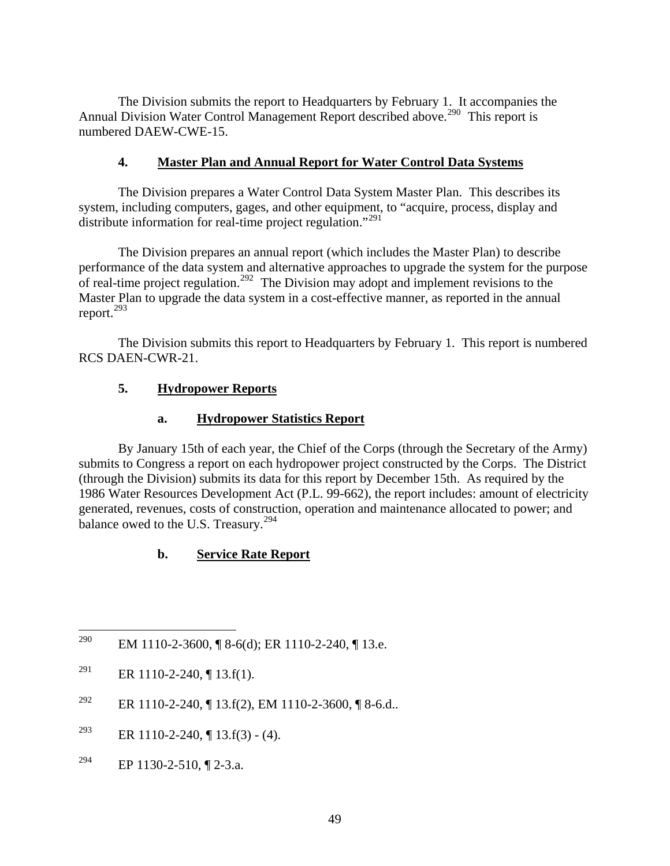The Division submits the report to Headquarters by February 1. It accompanies the Annual Division Water Control Management Report described above.<sup>[290](#page-53-0)</sup> This report is numbered DAEW-CWE-15.

### **4. Master Plan and Annual Report for Water Control Data Systems**

 The Division prepares a Water Control Data System Master Plan. This describes its system, including computers, gages, and other equipment, to "acquire, process, display and distribute information for real-time project regulation."<sup>[291](#page-53-1)</sup>

 The Division prepares an annual report (which includes the Master Plan) to describe performance of the data system and alternative approaches to upgrade the system for the purpose of real-time project regulation.<sup>[292](#page-53-2)</sup> The Division may adopt and implement revisions to the Master Plan to upgrade the data system in a cost-effective manner, as reported in the annual report.[293](#page-53-3)

 The Division submits this report to Headquarters by February 1. This report is numbered RCS DAEN-CWR-21.

### **5. Hydropower Reports**

### **a. Hydropower Statistics Report**

 By January 15th of each year, the Chief of the Corps (through the Secretary of the Army) submits to Congress a report on each hydropower project constructed by the Corps. The District (through the Division) submits its data for this report by December 15th. As required by the 1986 Water Resources Development Act (P.L. 99-662), the report includes: amount of electricity generated, revenues, costs of construction, operation and maintenance allocated to power; and balance owed to the U.S. Treasury.<sup>[294](#page-53-4)</sup>

## **b. Service Rate Report**

<span id="page-53-4"></span><sup>294</sup> EP 1130-2-510,  $\P$  2-3.a.

<span id="page-53-0"></span><sup>290</sup> EM 1110-2-3600, ¶ 8-6(d); ER 1110-2-240, ¶ 13.e.

<span id="page-53-1"></span><sup>&</sup>lt;sup>291</sup> ER 1110-2-240, ¶ 13.f(1).

<span id="page-53-2"></span><sup>&</sup>lt;sup>292</sup> ER 1110-2-240, ¶ 13.f(2), EM 1110-2-3600, ¶ 8-6.d..

<span id="page-53-3"></span><sup>&</sup>lt;sup>293</sup> ER 1110-2-240, ¶ 13.f(3) - (4).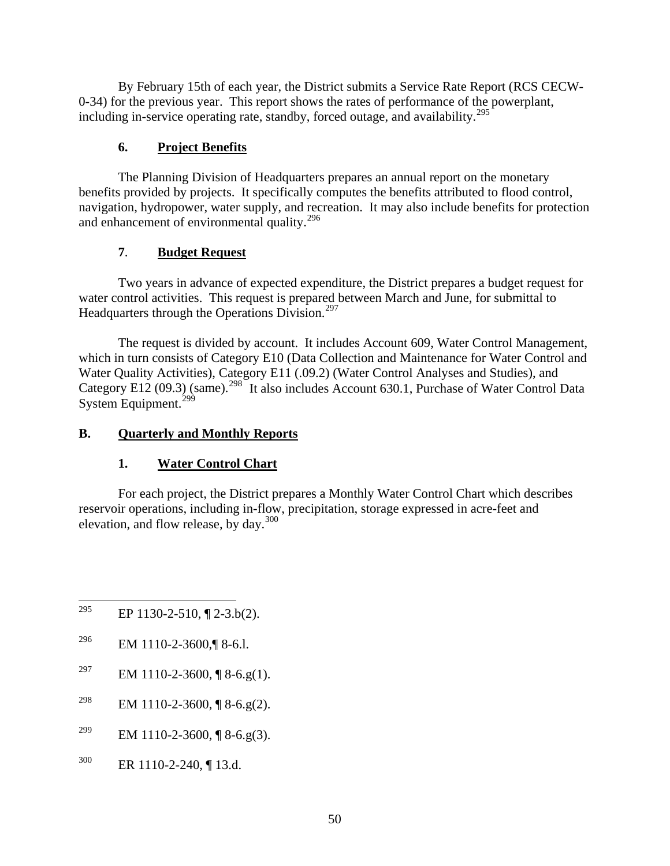By February 15th of each year, the District submits a Service Rate Report (RCS CECW-0-34) for the previous year. This report shows the rates of performance of the powerplant, including in-service operating rate, standby, forced outage, and availability.<sup>[295](#page-54-0)</sup>

## **6. Project Benefits**

 The Planning Division of Headquarters prepares an annual report on the monetary benefits provided by projects. It specifically computes the benefits attributed to flood control, navigation, hydropower, water supply, and recreation. It may also include benefits for protection and enhancement of environmental quality.[296](#page-54-1)

## **7**. **Budget Request**

 Two years in advance of expected expenditure, the District prepares a budget request for water control activities. This request is prepared between March and June, for submittal to Headquarters through the Operations Division.<sup>[297](#page-54-2)</sup>

 The request is divided by account. It includes Account 609, Water Control Management, which in turn consists of Category E10 (Data Collection and Maintenance for Water Control and Water Quality Activities), Category E11 (.09.2) (Water Control Analyses and Studies), and Category E12 (09.3) (same).<sup>[298](#page-54-3)</sup> It also includes Account 630.1, Purchase of Water Control Data System Equipment.<sup>[299](#page-54-4)</sup>

# **B. Quarterly and Monthly Reports**

# **1. Water Control Chart**

 For each project, the District prepares a Monthly Water Control Chart which describes reservoir operations, including in-flow, precipitation, storage expressed in acre-feet and elevation, and flow release, by day.[300](#page-54-5)

- <span id="page-54-0"></span>295 EP 1130-2-510,  $\P$  2-3.b(2).
- <span id="page-54-1"></span>296 EM 1110-2-3600,¶ 8-6.l.
- <span id="page-54-2"></span><sup>297</sup> EM 1110-2-3600, ¶ 8-6.g(1).
- <span id="page-54-3"></span><sup>298</sup> EM 1110-2-3600, ¶ 8-6.g(2).
- <span id="page-54-4"></span><sup>299</sup> EM 1110-2-3600, ¶ 8-6.g(3).
- <span id="page-54-5"></span>300 ER 1110-2-240, ¶ 13.d.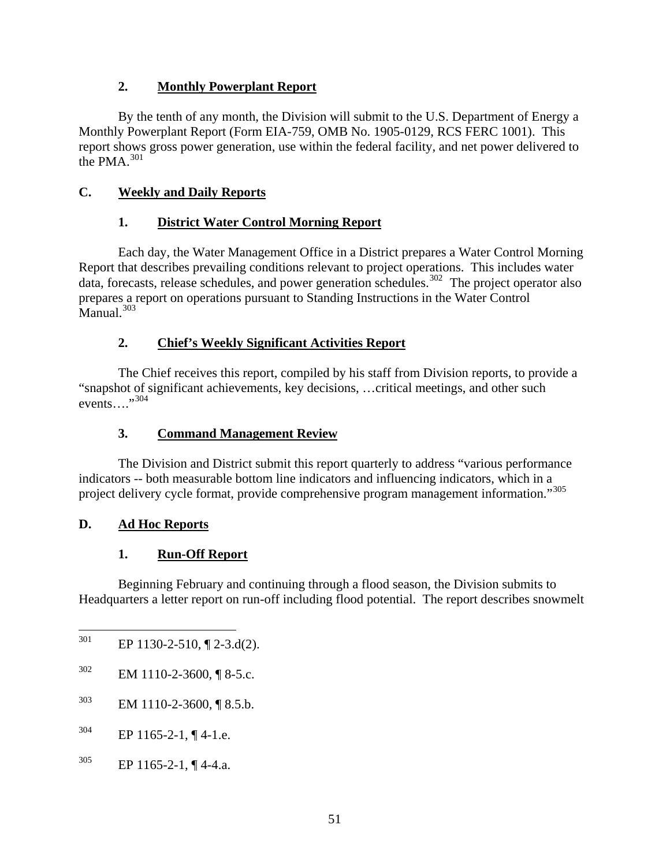## **2. Monthly Powerplant Report**

 By the tenth of any month, the Division will submit to the U.S. Department of Energy a Monthly Powerplant Report (Form EIA-759, OMB No. 1905-0129, RCS FERC 1001). This report shows gross power generation, use within the federal facility, and net power delivered to the PMA.<sup>[301](#page-55-0)</sup>

# **C. Weekly and Daily Reports**

## **1. District Water Control Morning Report**

 Each day, the Water Management Office in a District prepares a Water Control Morning Report that describes prevailing conditions relevant to project operations. This includes water data, forecasts, release schedules, and power generation schedules.<sup>[302](#page-55-1)</sup> The project operator also prepares a report on operations pursuant to Standing Instructions in the Water Control  $M$ anual.<sup>[303](#page-55-2)</sup>

## **2. Chief's Weekly Significant Activities Report**

The Chief receives this report, compiled by his staff from Division reports, to provide a "snapshot of significant achievements, key decisions, …critical meetings, and other such events…."[304](#page-55-3)

## **3. Command Management Review**

The Division and District submit this report quarterly to address "various performance indicators -- both measurable bottom line indicators and influencing indicators, which in a project delivery cycle format, provide comprehensive program management information."<sup>[305](#page-55-4)</sup>

## **D. Ad Hoc Reports**

# **1. Run-Off Report**

 Beginning February and continuing through a flood season, the Division submits to Headquarters a letter report on run-off including flood potential. The report describes snowmelt

<span id="page-55-4"></span> $305$  EP 1165-2-1, ¶ 4-4.a.

<span id="page-55-0"></span><sup>301</sup> EP 1130-2-510,  $\P$  2-3.d(2).

<span id="page-55-1"></span> $302$  EM 1110-2-3600, ¶ 8-5.c.

<span id="page-55-2"></span> $^{303}$  EM 1110-2-3600, ¶ 8.5.b.

<span id="page-55-3"></span> $304$  EP 1165-2-1, ¶ 4-1.e.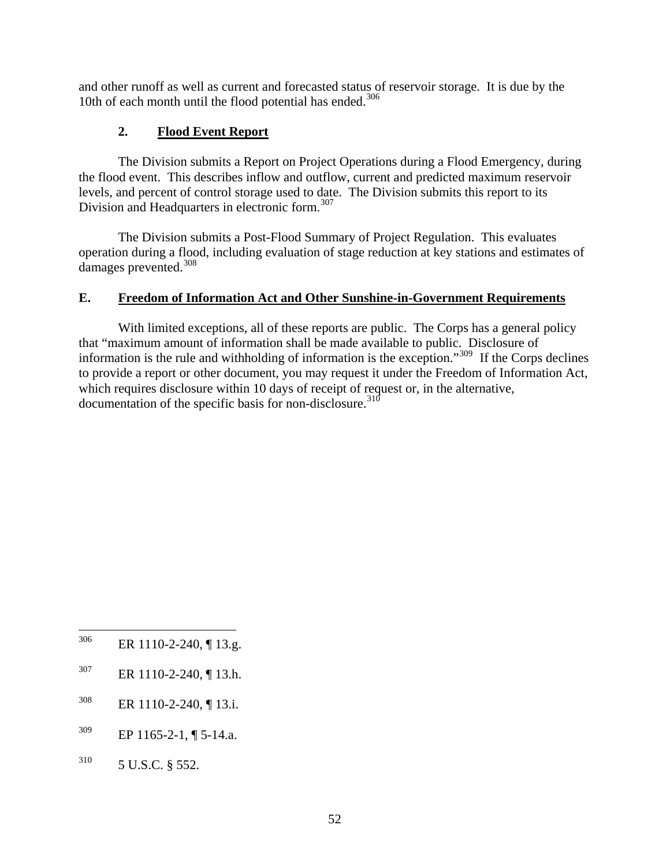and other runoff as well as current and forecasted status of reservoir storage. It is due by the 10th of each month until the flood potential has ended. $306$ 

## **2. Flood Event Report**

 The Division submits a Report on Project Operations during a Flood Emergency, during the flood event. This describes inflow and outflow, current and predicted maximum reservoir levels, and percent of control storage used to date. The Division submits this report to its Division and Headquarters in electronic form.<sup>[307](#page-56-1)</sup>

 The Division submits a Post-Flood Summary of Project Regulation. This evaluates operation during a flood, including evaluation of stage reduction at key stations and estimates of damages prevented.[308](#page-56-2)

### **E. Freedom of Information Act and Other Sunshine-in-Government Requirements**

 With limited exceptions, all of these reports are public. The Corps has a general policy that "maximum amount of information shall be made available to public. Disclosure of information is the rule and withholding of information is the exception."[309](#page-56-3) If the Corps declines to provide a report or other document, you may request it under the Freedom of Information Act, which requires disclosure within 10 days of receipt of request or, in the alternative, documentation of the specific basis for non-disclosure.<sup>[310](#page-56-4)</sup>

- <span id="page-56-0"></span>306 ER 1110-2-240, ¶ 13.g.
- <span id="page-56-1"></span>307 ER 1110-2-240, ¶ 13.h.
- <span id="page-56-2"></span> $308$  ER 1110-2-240, ¶ 13.i.
- <span id="page-56-3"></span> $309$  EP 1165-2-1, ¶ 5-14.a.
- <span id="page-56-4"></span> $310$  5 U.S.C. § 552.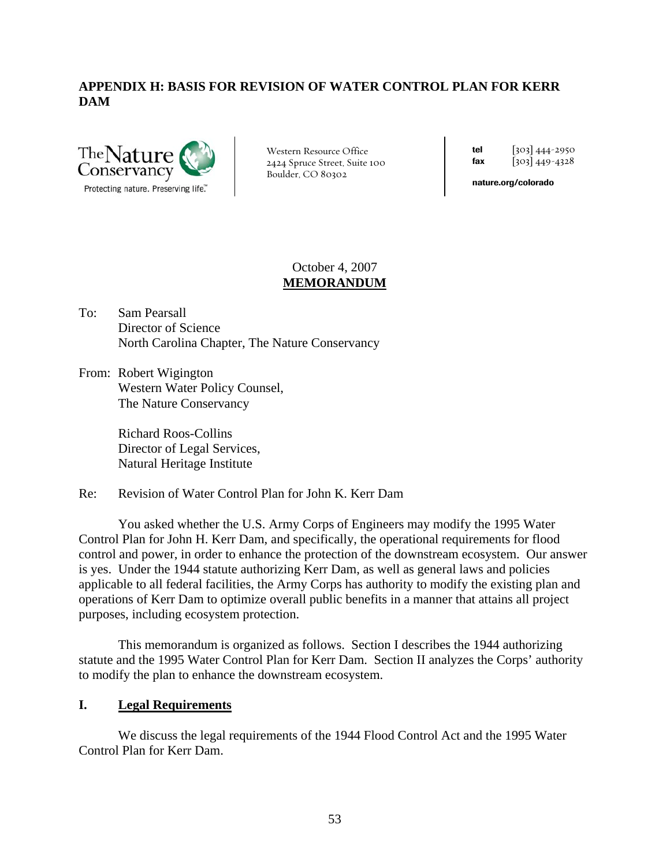## **APPENDIX H: BASIS FOR REVISION OF WATER CONTROL PLAN FOR KERR DAM**



Western Resource Office 2424 Spruce Street, Suite 100 Boulder, CO 80302

tel  $\begin{bmatrix} 303 \end{bmatrix}$  444-2950 fax  $[303] 449 - 4328$ 

nature.org/colorado

#### October 4, 2007 **MEMORANDUM**

- To: Sam Pearsall Director of Science North Carolina Chapter, The Nature Conservancy
- From: Robert Wigington Western Water Policy Counsel, The Nature Conservancy

Richard Roos-Collins Director of Legal Services, Natural Heritage Institute

Re: Revision of Water Control Plan for John K. Kerr Dam

You asked whether the U.S. Army Corps of Engineers may modify the 1995 Water Control Plan for John H. Kerr Dam, and specifically, the operational requirements for flood control and power, in order to enhance the protection of the downstream ecosystem. Our answer is yes. Under the 1944 statute authorizing Kerr Dam, as well as general laws and policies applicable to all federal facilities, the Army Corps has authority to modify the existing plan and operations of Kerr Dam to optimize overall public benefits in a manner that attains all project purposes, including ecosystem protection.

This memorandum is organized as follows. Section I describes the 1944 authorizing statute and the 1995 Water Control Plan for Kerr Dam. Section II analyzes the Corps' authority to modify the plan to enhance the downstream ecosystem.

#### **I. Legal Requirements**

 We discuss the legal requirements of the 1944 Flood Control Act and the 1995 Water Control Plan for Kerr Dam.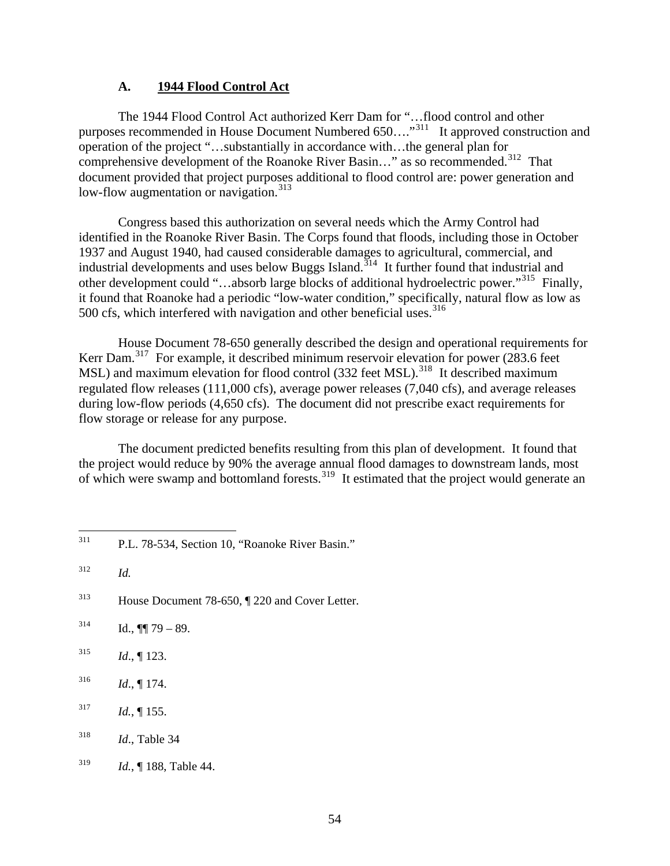#### **A. 1944 Flood Control Act**

The 1944 Flood Control Act authorized Kerr Dam for "…flood control and other purposes recommended in House Document Numbered 650....<sup>"[311](#page-58-0)</sup> It approved construction and operation of the project "…substantially in accordance with…the general plan for comprehensive development of the Roanoke River Basin..." as so recommended.<sup>[312](#page-58-1)</sup> That document provided that project purposes additional to flood control are: power generation and low-flow augmentation or navigation.<sup>[313](#page-58-2)</sup>

 Congress based this authorization on several needs which the Army Control had identified in the Roanoke River Basin. The Corps found that floods, including those in October 1937 and August 1940, had caused considerable damages to agricultural, commercial, and industrial developments and uses below Buggs Island.<sup>[314](#page-58-3)</sup> It further found that industrial and other development could "…absorb large blocks of additional hydroelectric power."[315](#page-58-4) Finally, it found that Roanoke had a periodic "low-water condition," specifically, natural flow as low as 500 cfs, which interfered with navigation and other beneficial uses.<sup>[316](#page-58-5)</sup>

House Document 78-650 generally described the design and operational requirements for Kerr Dam.<sup>[317](#page-58-6)</sup> For example, it described minimum reservoir elevation for power (283.6 feet MSL) and maximum elevation for flood control  $(332$  feet MSL).<sup>[318](#page-58-7)</sup> It described maximum regulated flow releases (111,000 cfs), average power releases (7,040 cfs), and average releases during low-flow periods (4,650 cfs). The document did not prescribe exact requirements for flow storage or release for any purpose.

The document predicted benefits resulting from this plan of development. It found that the project would reduce by 90% the average annual flood damages to downstream lands, most of which were swamp and bottomland forests.<sup>[319](#page-58-8)</sup> It estimated that the project would generate an

<span id="page-58-1"></span>312 *Id.* 

- <span id="page-58-2"></span>313 House Document 78-650, ¶ 220 and Cover Letter.
- <span id="page-58-3"></span> $314$  Id.,  $\P\P$  79 – 89.
- <span id="page-58-4"></span>315 *Id*., ¶ 123.
- <span id="page-58-5"></span> $^{316}$  *Id.*, ¶ 174.
- <span id="page-58-6"></span> $13^{17}$  *Id.*, 155.
- <span id="page-58-7"></span>318 *Id*., Table 34
- <span id="page-58-8"></span>319 *Id.*, ¶ 188, Table 44.

<span id="page-58-0"></span><sup>311</sup> P.L. 78-534, Section 10, "Roanoke River Basin."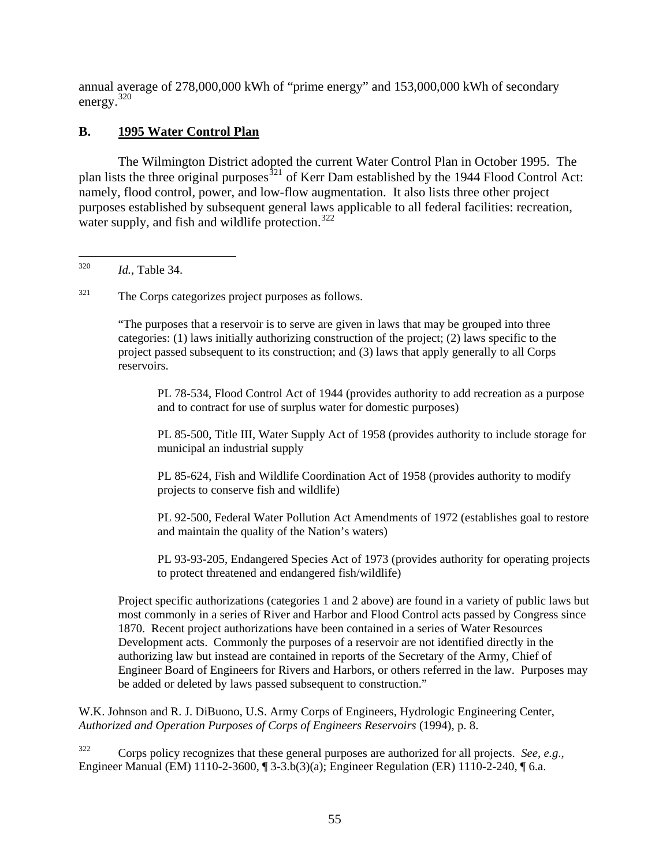annual average of 278,000,000 kWh of "prime energy" and 153,000,000 kWh of secondary energy.[320](#page-59-0)

## **B. 1995 Water Control Plan**

 The Wilmington District adopted the current Water Control Plan in October 1995. The plan lists the three original purposes<sup>[321](#page-59-1)</sup> of Kerr Dam established by the 1944 Flood Control Act: namely, flood control, power, and low-flow augmentation. It also lists three other project purposes established by subsequent general laws applicable to all federal facilities: recreation, water supply, and fish and wildlife protection.  $322$ 

<span id="page-59-1"></span> $321$  The Corps categorizes project purposes as follows.

"The purposes that a reservoir is to serve are given in laws that may be grouped into three categories: (1) laws initially authorizing construction of the project; (2) laws specific to the project passed subsequent to its construction; and (3) laws that apply generally to all Corps reservoirs.

PL 78-534, Flood Control Act of 1944 (provides authority to add recreation as a purpose and to contract for use of surplus water for domestic purposes)

PL 85-500, Title III, Water Supply Act of 1958 (provides authority to include storage for municipal an industrial supply

PL 85-624, Fish and Wildlife Coordination Act of 1958 (provides authority to modify projects to conserve fish and wildlife)

PL 92-500, Federal Water Pollution Act Amendments of 1972 (establishes goal to restore and maintain the quality of the Nation's waters)

PL 93-93-205, Endangered Species Act of 1973 (provides authority for operating projects to protect threatened and endangered fish/wildlife)

Project specific authorizations (categories 1 and 2 above) are found in a variety of public laws but most commonly in a series of River and Harbor and Flood Control acts passed by Congress since 1870. Recent project authorizations have been contained in a series of Water Resources Development acts. Commonly the purposes of a reservoir are not identified directly in the authorizing law but instead are contained in reports of the Secretary of the Army, Chief of Engineer Board of Engineers for Rivers and Harbors, or others referred in the law. Purposes may be added or deleted by laws passed subsequent to construction."

W.K. Johnson and R. J. DiBuono, U.S. Army Corps of Engineers, Hydrologic Engineering Center, *Authorized and Operation Purposes of Corps of Engineers Reservoirs* (1994), p. 8.

<span id="page-59-2"></span>322 Corps policy recognizes that these general purposes are authorized for all projects. *See, e.g*., Engineer Manual (EM) 1110-2-3600, ¶ 3-3.b(3)(a); Engineer Regulation (ER) 1110-2-240, ¶ 6.a.

<span id="page-59-0"></span><sup>320</sup> *Id.*, Table 34.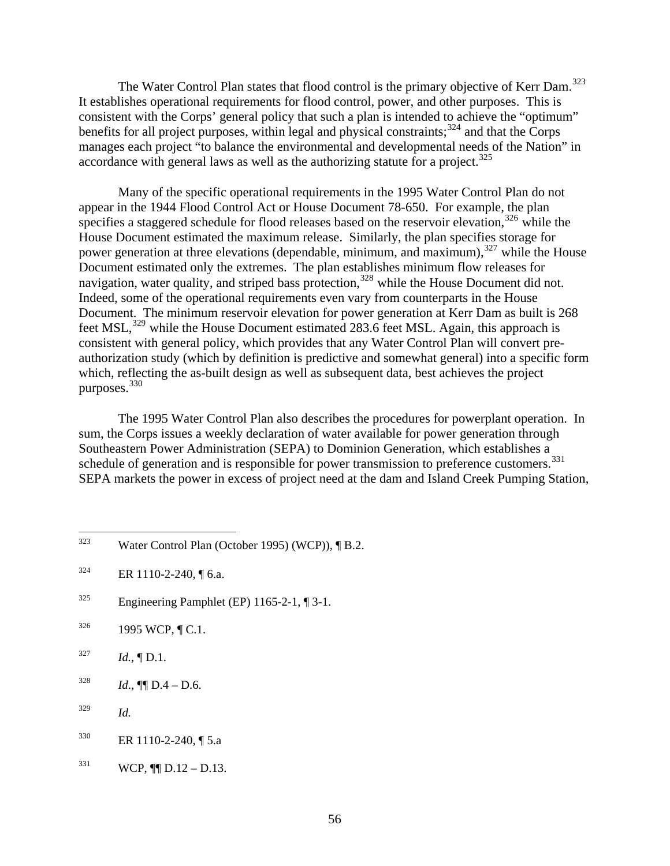The Water Control Plan states that flood control is the primary objective of Kerr Dam.<sup>[323](#page-60-0)</sup> It establishes operational requirements for flood control, power, and other purposes. This is consistent with the Corps' general policy that such a plan is intended to achieve the "optimum" benefits for all project purposes, within legal and physical constraints;  $324$  and that the Corps manages each project "to balance the environmental and developmental needs of the Nation" in accordance with general laws as well as the authorizing statute for a project.<sup>[325](#page-60-2)</sup>

 Many of the specific operational requirements in the 1995 Water Control Plan do not appear in the 1944 Flood Control Act or House Document 78-650. For example, the plan specifies a staggered schedule for flood releases based on the reservoir elevation,  $326$  while the House Document estimated the maximum release. Similarly, the plan specifies storage for power generation at three elevations (dependable, minimum, and maximum),<sup>[327](#page-60-4)</sup> while the House Document estimated only the extremes. The plan establishes minimum flow releases for navigation, water quality, and striped bass protection,<sup>[328](#page-60-5)</sup> while the House Document did not. Indeed, some of the operational requirements even vary from counterparts in the House Document. The minimum reservoir elevation for power generation at Kerr Dam as built is 268 feet MSL,<sup>[329](#page-60-6)</sup> while the House Document estimated 283.6 feet MSL. Again, this approach is consistent with general policy, which provides that any Water Control Plan will convert preauthorization study (which by definition is predictive and somewhat general) into a specific form which, reflecting the as-built design as well as subsequent data, best achieves the project purposes.[330](#page-60-7)

 The 1995 Water Control Plan also describes the procedures for powerplant operation. In sum, the Corps issues a weekly declaration of water available for power generation through Southeastern Power Administration (SEPA) to Dominion Generation, which establishes a schedule of generation and is responsible for power transmission to preference customers.<sup>[331](#page-60-8)</sup> SEPA markets the power in excess of project need at the dam and Island Creek Pumping Station,

- <span id="page-60-2"></span> $325$  Engineering Pamphlet (EP) 1165-2-1, [[3-1.]
- <span id="page-60-3"></span> $326$  1995 WCP,  $\P C.1$ .
- <span id="page-60-4"></span> $^{327}$  *Id.*,  $\P D.1$ .
- <span id="page-60-5"></span> $1d., \P\blacksquare D.4 - D.6.$
- <span id="page-60-6"></span>329 *Id.*
- <span id="page-60-7"></span> $330$  ER 1110-2-240, [ 5.a
- <span id="page-60-8"></span> $^{331}$  WCP,  $\P$ [D.12 – D.13.

<span id="page-60-0"></span> $323$ Water Control Plan (October 1995) (WCP)), ¶ B.2.

<span id="page-60-1"></span> $324$  ER 1110-2-240, ¶ 6.a.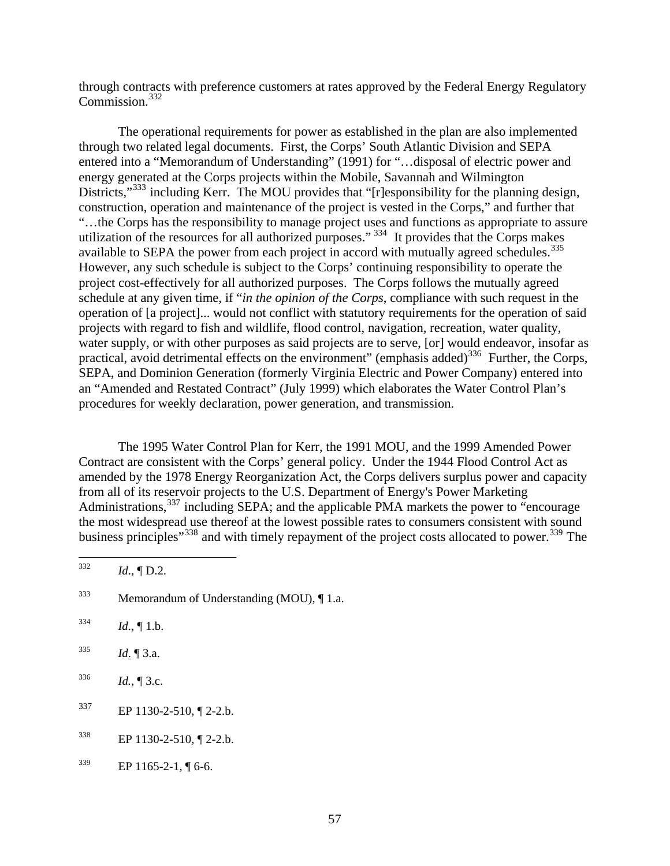through contracts with preference customers at rates approved by the Federal Energy Regulatory Commission.<sup>[332](#page-61-0)</sup>

 The operational requirements for power as established in the plan are also implemented through two related legal documents. First, the Corps' South Atlantic Division and SEPA entered into a "Memorandum of Understanding" (1991) for "…disposal of electric power and energy generated at the Corps projects within the Mobile, Savannah and Wilmington Districts,"<sup>[333](#page-61-1)</sup> including Kerr. The MOU provides that "[r]esponsibility for the planning design, construction, operation and maintenance of the project is vested in the Corps," and further that "…the Corps has the responsibility to manage project uses and functions as appropriate to assure utilization of the resources for all authorized purposes."  $334$  It provides that the Corps makes available to SEPA the power from each project in accord with mutually agreed schedules.<sup>[335](#page-61-3)</sup> However, any such schedule is subject to the Corps' continuing responsibility to operate the project cost-effectively for all authorized purposes. The Corps follows the mutually agreed schedule at any given time, if "*in the opinion of the Corps*, compliance with such request in the operation of [a project]... would not conflict with statutory requirements for the operation of said projects with regard to fish and wildlife, flood control, navigation, recreation, water quality, water supply, or with other purposes as said projects are to serve, [or] would endeavor, insofar as practical, avoid detrimental effects on the environment" (emphasis added)<sup>[336](#page-61-4)</sup> Further, the Corps, SEPA, and Dominion Generation (formerly Virginia Electric and Power Company) entered into an "Amended and Restated Contract" (July 1999) which elaborates the Water Control Plan's procedures for weekly declaration, power generation, and transmission.

The 1995 Water Control Plan for Kerr, the 1991 MOU, and the 1999 Amended Power Contract are consistent with the Corps' general policy. Under the 1944 Flood Control Act as amended by the 1978 Energy Reorganization Act, the Corps delivers surplus power and capacity from all of its reservoir projects to the U.S. Department of Energy's Power Marketing Administrations,<sup>[337](#page-61-5)</sup> including SEPA; and the applicable PMA markets the power to "encourage" the most widespread use thereof at the lowest possible rates to consumers consistent with sound business principles<sup>"[338](#page-61-6)</sup> and with timely repayment of the project costs allocated to power.<sup>339</sup> The

<span id="page-61-7"></span><span id="page-61-6"></span><span id="page-61-5"></span><span id="page-61-4"></span><span id="page-61-3"></span><span id="page-61-2"></span><span id="page-61-1"></span><span id="page-61-0"></span>332 *Id.*, **[D.2.**]  $333$  Memorandum of Understanding (MOU),  $\P$  1.a.  $^{334}$  *Id.*,  $\llbracket$  1.b.  $1d. \P 3.a.$  $1d., \P 3.c.$  $^{337}$  EP 1130-2-510, 1 2-2.b. 338 EP 1130-2-510, ¶ 2-2.b.  $^{339}$  EP 1165-2-1, ¶ 6-6.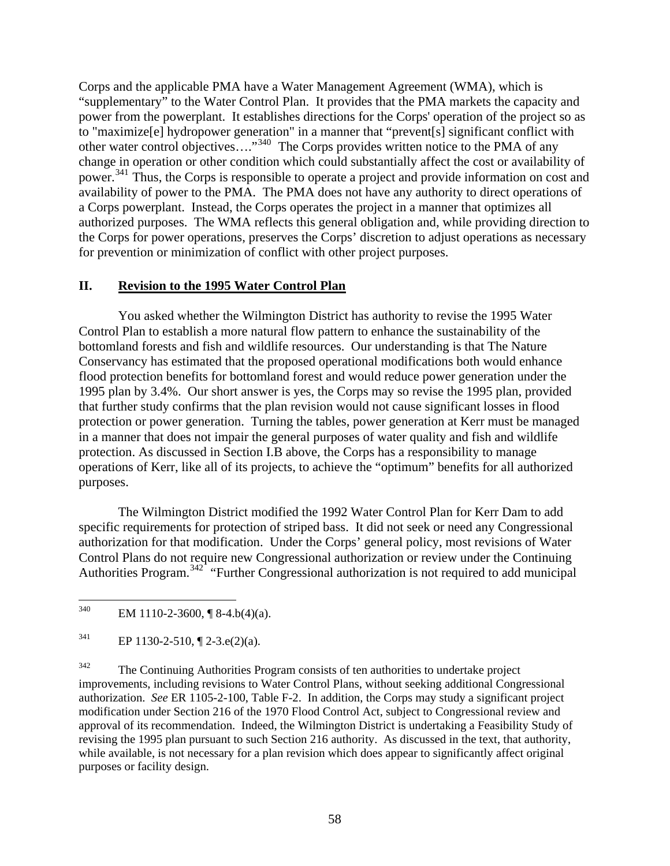Corps and the applicable PMA have a Water Management Agreement (WMA), which is "supplementary" to the Water Control Plan. It provides that the PMA markets the capacity and power from the powerplant. It establishes directions for the Corps' operation of the project so as to "maximize[e] hydropower generation" in a manner that "prevent[s] significant conflict with other water control objectives…."[340](#page-62-0) The Corps provides written notice to the PMA of any change in operation or other condition which could substantially affect the cost or availability of power.[341](#page-62-1) Thus, the Corps is responsible to operate a project and provide information on cost and availability of power to the PMA. The PMA does not have any authority to direct operations of a Corps powerplant. Instead, the Corps operates the project in a manner that optimizes all authorized purposes. The WMA reflects this general obligation and, while providing direction to the Corps for power operations, preserves the Corps' discretion to adjust operations as necessary for prevention or minimization of conflict with other project purposes.

## **II. Revision to the 1995 Water Control Plan**

 You asked whether the Wilmington District has authority to revise the 1995 Water Control Plan to establish a more natural flow pattern to enhance the sustainability of the bottomland forests and fish and wildlife resources. Our understanding is that The Nature Conservancy has estimated that the proposed operational modifications both would enhance flood protection benefits for bottomland forest and would reduce power generation under the 1995 plan by 3.4%. Our short answer is yes, the Corps may so revise the 1995 plan, provided that further study confirms that the plan revision would not cause significant losses in flood protection or power generation. Turning the tables, power generation at Kerr must be managed in a manner that does not impair the general purposes of water quality and fish and wildlife protection. As discussed in Section I.B above, the Corps has a responsibility to manage operations of Kerr, like all of its projects, to achieve the "optimum" benefits for all authorized purposes.

 The Wilmington District modified the 1992 Water Control Plan for Kerr Dam to add specific requirements for protection of striped bass. It did not seek or need any Congressional authorization for that modification. Under the Corps' general policy, most revisions of Water Control Plans do not require new Congressional authorization or review under the Continuing Authorities Program.<sup>[342](#page-62-2)</sup> "Further Congressional authorization is not required to add municipal

<span id="page-62-0"></span><sup>340</sup> EM 1110-2-3600,  $\P$  8-4.b(4)(a).

<span id="page-62-1"></span> $^{341}$  EP 1130-2-510, ¶ 2-3.e(2)(a).

<span id="page-62-2"></span><sup>&</sup>lt;sup>342</sup> The Continuing Authorities Program consists of ten authorities to undertake project improvements, including revisions to Water Control Plans, without seeking additional Congressional authorization. *See* ER 1105-2-100, Table F-2. In addition, the Corps may study a significant project modification under Section 216 of the 1970 Flood Control Act, subject to Congressional review and approval of its recommendation. Indeed, the Wilmington District is undertaking a Feasibility Study of revising the 1995 plan pursuant to such Section 216 authority. As discussed in the text, that authority, while available, is not necessary for a plan revision which does appear to significantly affect original purposes or facility design.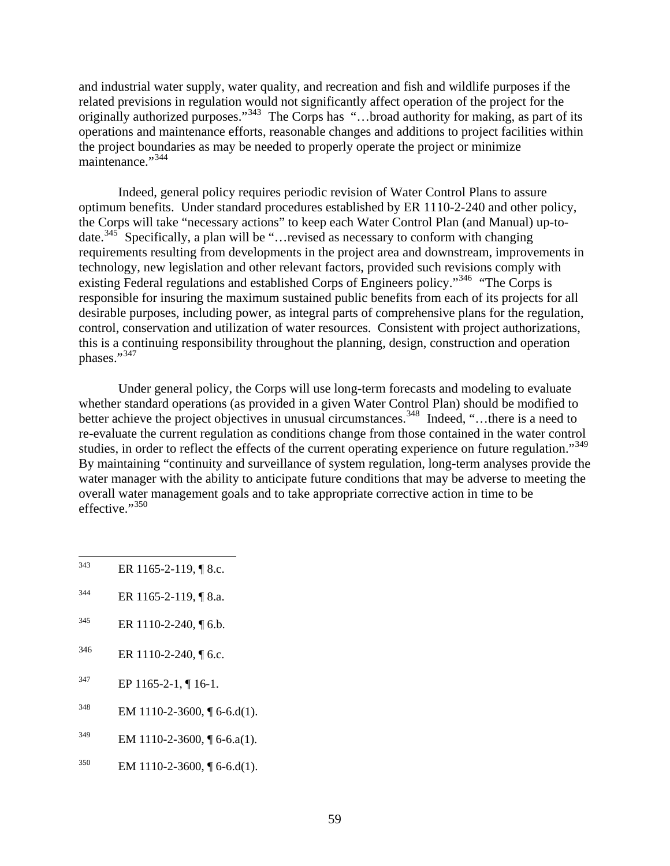and industrial water supply, water quality, and recreation and fish and wildlife purposes if the related previsions in regulation would not significantly affect operation of the project for the originally authorized purposes."<sup>[343](#page-63-0)</sup> The Corps has "...broad authority for making, as part of its operations and maintenance efforts, reasonable changes and additions to project facilities within the project boundaries as may be needed to properly operate the project or minimize maintenance."<sup>[344](#page-63-1)</sup>

 Indeed, general policy requires periodic revision of Water Control Plans to assure optimum benefits. Under standard procedures established by ER 1110-2-240 and other policy, the Corps will take "necessary actions" to keep each Water Control Plan (and Manual) up-to-date.<sup>[345](#page-63-2)</sup> Specifically, a plan will be "…revised as necessary to conform with changing requirements resulting from developments in the project area and downstream, improvements in technology, new legislation and other relevant factors, provided such revisions comply with existing Federal regulations and established Corps of Engineers policy."<sup>[346](#page-63-3)</sup> "The Corps is responsible for insuring the maximum sustained public benefits from each of its projects for all desirable purposes, including power, as integral parts of comprehensive plans for the regulation, control, conservation and utilization of water resources. Consistent with project authorizations, this is a continuing responsibility throughout the planning, design, construction and operation phases."<sup>[347](#page-63-4)</sup>

Under general policy, the Corps will use long-term forecasts and modeling to evaluate whether standard operations (as provided in a given Water Control Plan) should be modified to better achieve the project objectives in unusual circumstances.<sup>[348](#page-63-5)</sup> Indeed, "...there is a need to re-evaluate the current regulation as conditions change from those contained in the water control studies, in order to reflect the effects of the current operating experience on future regulation."<sup>[349](#page-63-6)</sup> By maintaining "continuity and surveillance of system regulation, long-term analyses provide the water manager with the ability to anticipate future conditions that may be adverse to meeting the overall water management goals and to take appropriate corrective action in time to be effective." $350$ 

- <span id="page-63-2"></span> $345$  ER 1110-2-240, [6.b.
- <span id="page-63-3"></span> $346$  ER 1110-2-240, [6.c.
- <span id="page-63-4"></span> $^{347}$  EP 1165-2-1, ¶ 16-1.
- <span id="page-63-5"></span> $348$  EM 1110-2-3600, [[6-6.d(1).
- <span id="page-63-6"></span> $^{349}$  EM 1110-2-3600, ¶ 6-6.a(1).
- <span id="page-63-7"></span> $^{350}$  EM 1110-2-3600, ¶ 6-6.d(1).

<span id="page-63-0"></span><sup>343</sup> ER 1165-2-119, ¶ 8.c.

<span id="page-63-1"></span> $344$  ER 1165-2-119, ¶ 8.a.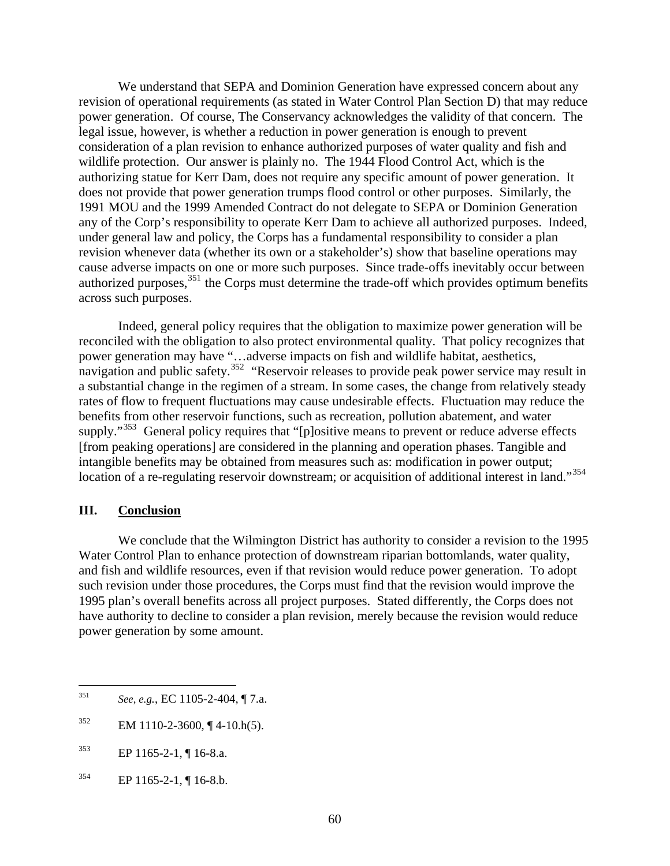We understand that SEPA and Dominion Generation have expressed concern about any revision of operational requirements (as stated in Water Control Plan Section D) that may reduce power generation. Of course, The Conservancy acknowledges the validity of that concern. The legal issue, however, is whether a reduction in power generation is enough to prevent consideration of a plan revision to enhance authorized purposes of water quality and fish and wildlife protection. Our answer is plainly no. The 1944 Flood Control Act, which is the authorizing statue for Kerr Dam, does not require any specific amount of power generation. It does not provide that power generation trumps flood control or other purposes. Similarly, the 1991 MOU and the 1999 Amended Contract do not delegate to SEPA or Dominion Generation any of the Corp's responsibility to operate Kerr Dam to achieve all authorized purposes. Indeed, under general law and policy, the Corps has a fundamental responsibility to consider a plan revision whenever data (whether its own or a stakeholder's) show that baseline operations may cause adverse impacts on one or more such purposes. Since trade-offs inevitably occur between authorized purposes,[351](#page-64-0) the Corps must determine the trade-off which provides optimum benefits across such purposes.

Indeed, general policy requires that the obligation to maximize power generation will be reconciled with the obligation to also protect environmental quality. That policy recognizes that power generation may have "…adverse impacts on fish and wildlife habitat, aesthetics, navigation and public safety.<sup>[352](#page-64-1)</sup> "Reservoir releases to provide peak power service may result in a substantial change in the regimen of a stream. In some cases, the change from relatively steady rates of flow to frequent fluctuations may cause undesirable effects. Fluctuation may reduce the benefits from other reservoir functions, such as recreation, pollution abatement, and water supply."<sup>[353](#page-64-2)</sup> General policy requires that "[p]ositive means to prevent or reduce adverse effects [from peaking operations] are considered in the planning and operation phases. Tangible and intangible benefits may be obtained from measures such as: modification in power output; location of a re-regulating reservoir downstream; or acquisition of additional interest in land."<sup>[354](#page-64-3)</sup>

#### **III. Conclusion**

 $\overline{a}$ 

 We conclude that the Wilmington District has authority to consider a revision to the 1995 Water Control Plan to enhance protection of downstream riparian bottomlands, water quality, and fish and wildlife resources, even if that revision would reduce power generation. To adopt such revision under those procedures, the Corps must find that the revision would improve the 1995 plan's overall benefits across all project purposes. Stated differently, the Corps does not have authority to decline to consider a plan revision, merely because the revision would reduce power generation by some amount.

<span id="page-64-0"></span><sup>351</sup> *See, e.g.*, EC 1105-2-404, ¶ 7.a.

<span id="page-64-1"></span> $352$  EM 1110-2-3600, ¶ 4-10.h(5).

<span id="page-64-2"></span> $^{353}$  EP 1165-2-1, ¶ 16-8.a.

<span id="page-64-3"></span> $^{354}$  EP 1165-2-1, ¶ 16-8.b.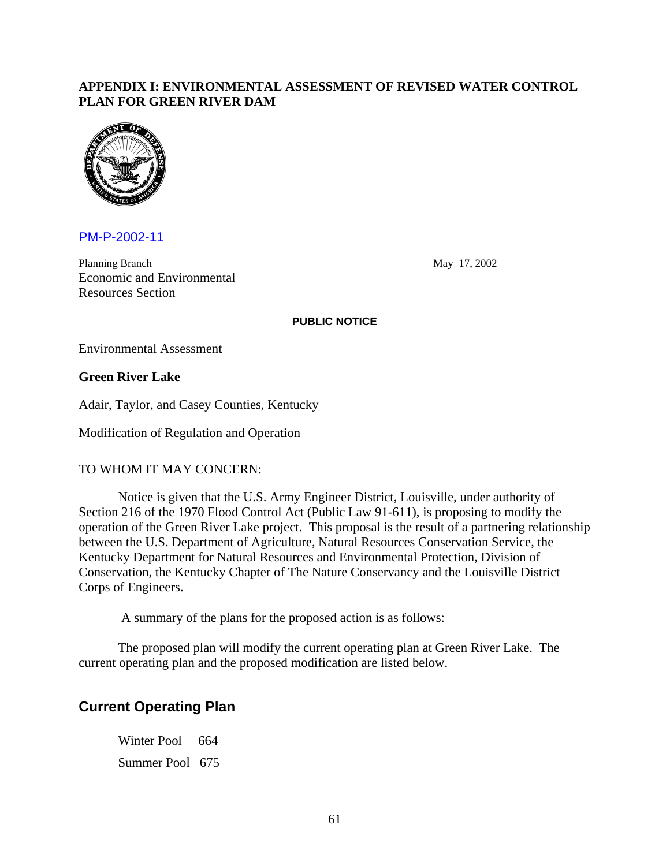### **APPENDIX I: ENVIRONMENTAL ASSESSMENT OF REVISED WATER CONTROL PLAN FOR GREEN RIVER DAM**



PM-P-2002-11

Planning Branch May 17, 2002 Economic and Environmental Resources Section

#### **PUBLIC NOTICE**

Environmental Assessment

#### **Green River Lake**

Adair, Taylor, and Casey Counties, Kentucky

Modification of Regulation and Operation

#### TO WHOM IT MAY CONCERN:

Notice is given that the U.S. Army Engineer District, Louisville, under authority of Section 216 of the 1970 Flood Control Act (Public Law 91-611), is proposing to modify the operation of the Green River Lake project. This proposal is the result of a partnering relationship between the U.S. Department of Agriculture, Natural Resources Conservation Service, the Kentucky Department for Natural Resources and Environmental Protection, Division of Conservation, the Kentucky Chapter of The Nature Conservancy and the Louisville District Corps of Engineers.

A summary of the plans for the proposed action is as follows:

The proposed plan will modify the current operating plan at Green River Lake. The current operating plan and the proposed modification are listed below.

# **Current Operating Plan**

Winter Pool 664 Summer Pool 675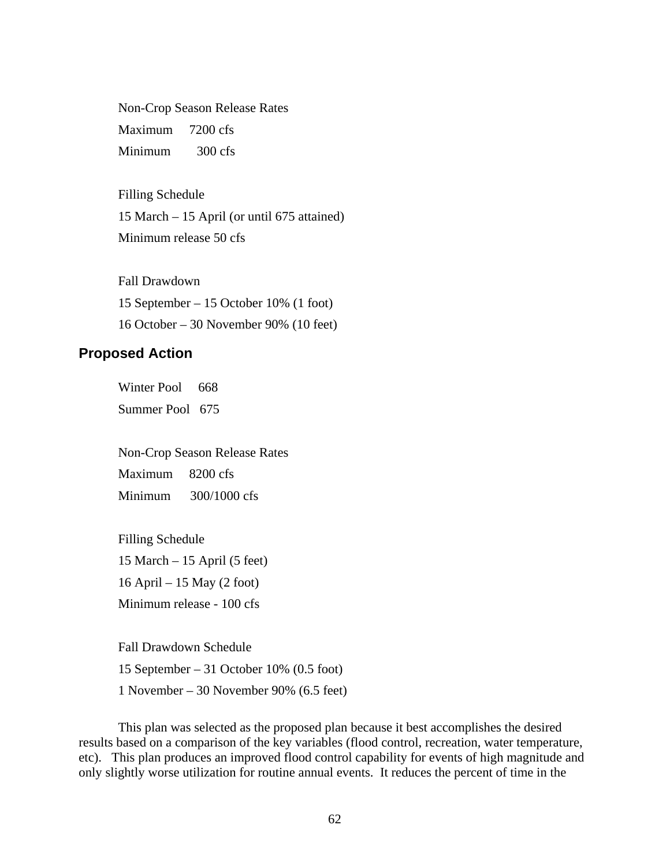Non-Crop Season Release Rates Maximum 7200 cfs Minimum 300 cfs

 Filling Schedule 15 March – 15 April (or until 675 attained) Minimum release 50 cfs

 Fall Drawdown 15 September – 15 October 10% (1 foot) 16 October – 30 November 90% (10 feet)

## **Proposed Action**

Winter Pool 668 Summer Pool 675

Non-Crop Season Release Rates

Maximum 8200 cfs

Minimum 300/1000 cfs

 Filling Schedule 15 March – 15 April (5 feet) 16 April – 15 May (2 foot) Minimum release - 100 cfs

 Fall Drawdown Schedule 15 September – 31 October 10% (0.5 foot) 1 November – 30 November 90% (6.5 feet)

This plan was selected as the proposed plan because it best accomplishes the desired results based on a comparison of the key variables (flood control, recreation, water temperature, etc). This plan produces an improved flood control capability for events of high magnitude and only slightly worse utilization for routine annual events. It reduces the percent of time in the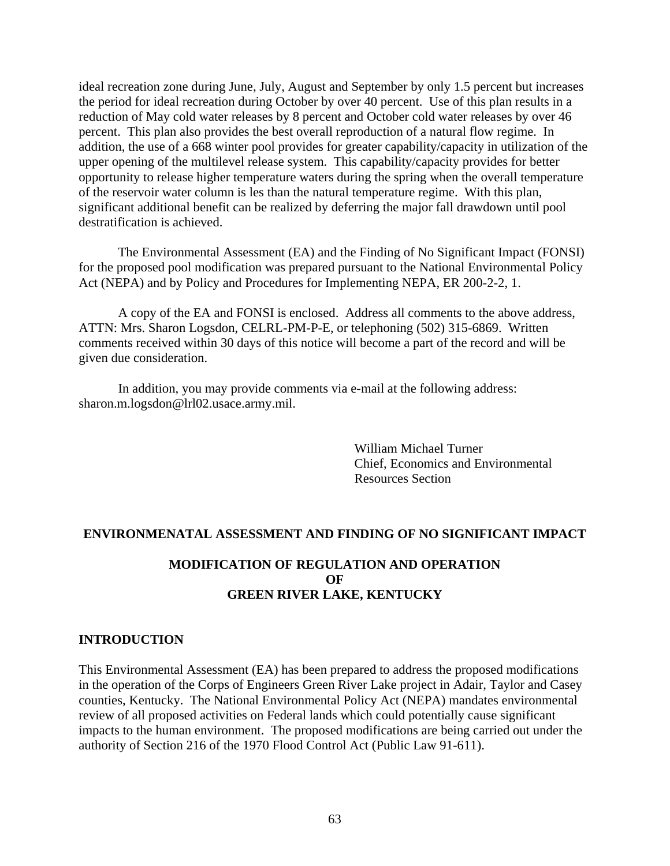ideal recreation zone during June, July, August and September by only 1.5 percent but increases the period for ideal recreation during October by over 40 percent. Use of this plan results in a reduction of May cold water releases by 8 percent and October cold water releases by over 46 percent. This plan also provides the best overall reproduction of a natural flow regime. In addition, the use of a 668 winter pool provides for greater capability/capacity in utilization of the upper opening of the multilevel release system. This capability/capacity provides for better opportunity to release higher temperature waters during the spring when the overall temperature of the reservoir water column is les than the natural temperature regime. With this plan, significant additional benefit can be realized by deferring the major fall drawdown until pool destratification is achieved.

The Environmental Assessment (EA) and the Finding of No Significant Impact (FONSI) for the proposed pool modification was prepared pursuant to the National Environmental Policy Act (NEPA) and by Policy and Procedures for Implementing NEPA, ER 200-2-2, 1.

A copy of the EA and FONSI is enclosed. Address all comments to the above address, ATTN: Mrs. Sharon Logsdon, CELRL-PM-P-E, or telephoning (502) 315-6869. Written comments received within 30 days of this notice will become a part of the record and will be given due consideration.

In addition, you may provide comments via e-mail at the following address: sharon.m.logsdon@lrl02.usace.army.mil.

> William Michael Turner Chief, Economics and Environmental Resources Section

#### **ENVIRONMENATAL ASSESSMENT AND FINDING OF NO SIGNIFICANT IMPACT**

## **MODIFICATION OF REGULATION AND OPERATION OF GREEN RIVER LAKE, KENTUCKY**

#### **INTRODUCTION**

This Environmental Assessment (EA) has been prepared to address the proposed modifications in the operation of the Corps of Engineers Green River Lake project in Adair, Taylor and Casey counties, Kentucky. The National Environmental Policy Act (NEPA) mandates environmental review of all proposed activities on Federal lands which could potentially cause significant impacts to the human environment. The proposed modifications are being carried out under the authority of Section 216 of the 1970 Flood Control Act (Public Law 91-611).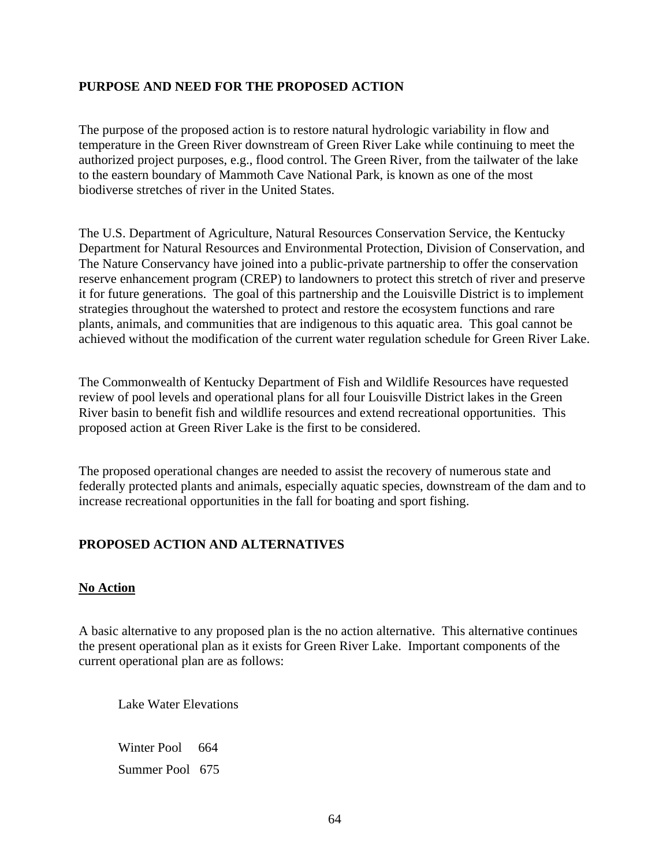## **PURPOSE AND NEED FOR THE PROPOSED ACTION**

The purpose of the proposed action is to restore natural hydrologic variability in flow and temperature in the Green River downstream of Green River Lake while continuing to meet the authorized project purposes, e.g., flood control. The Green River, from the tailwater of the lake to the eastern boundary of Mammoth Cave National Park, is known as one of the most biodiverse stretches of river in the United States.

The U.S. Department of Agriculture, Natural Resources Conservation Service, the Kentucky Department for Natural Resources and Environmental Protection, Division of Conservation, and The Nature Conservancy have joined into a public-private partnership to offer the conservation reserve enhancement program (CREP) to landowners to protect this stretch of river and preserve it for future generations. The goal of this partnership and the Louisville District is to implement strategies throughout the watershed to protect and restore the ecosystem functions and rare plants, animals, and communities that are indigenous to this aquatic area. This goal cannot be achieved without the modification of the current water regulation schedule for Green River Lake.

The Commonwealth of Kentucky Department of Fish and Wildlife Resources have requested review of pool levels and operational plans for all four Louisville District lakes in the Green River basin to benefit fish and wildlife resources and extend recreational opportunities. This proposed action at Green River Lake is the first to be considered.

The proposed operational changes are needed to assist the recovery of numerous state and federally protected plants and animals, especially aquatic species, downstream of the dam and to increase recreational opportunities in the fall for boating and sport fishing.

# **PROPOSED ACTION AND ALTERNATIVES**

#### **No Action**

A basic alternative to any proposed plan is the no action alternative. This alternative continues the present operational plan as it exists for Green River Lake. Important components of the current operational plan are as follows:

Lake Water Elevations

Winter Pool 664 Summer Pool 675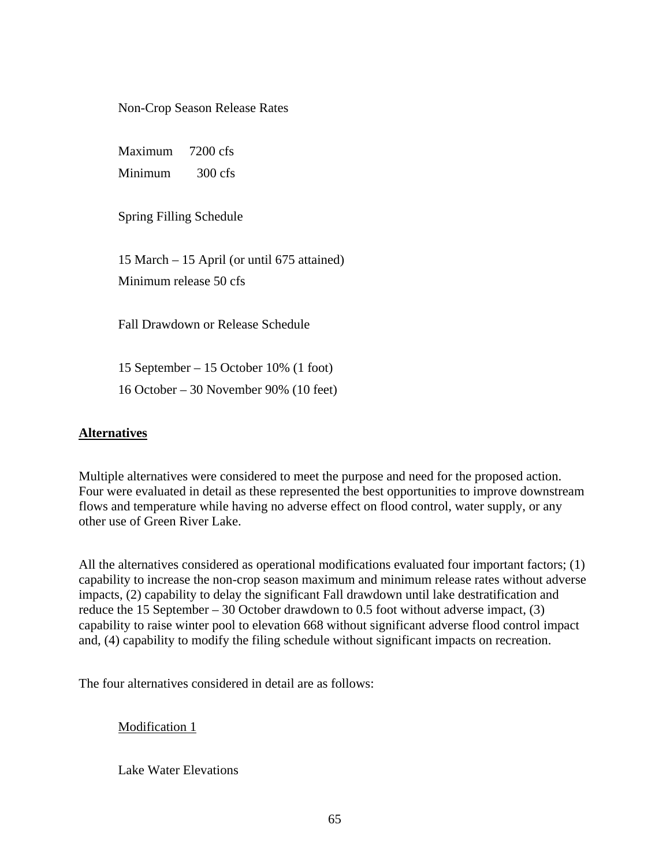Non-Crop Season Release Rates

 Maximum 7200 cfs Minimum 300 cfs

Spring Filling Schedule

 15 March – 15 April (or until 675 attained) Minimum release 50 cfs

Fall Drawdown or Release Schedule

 15 September – 15 October 10% (1 foot) 16 October – 30 November 90% (10 feet)

### **Alternatives**

Multiple alternatives were considered to meet the purpose and need for the proposed action. Four were evaluated in detail as these represented the best opportunities to improve downstream flows and temperature while having no adverse effect on flood control, water supply, or any other use of Green River Lake.

All the alternatives considered as operational modifications evaluated four important factors; (1) capability to increase the non-crop season maximum and minimum release rates without adverse impacts, (2) capability to delay the significant Fall drawdown until lake destratification and reduce the 15 September – 30 October drawdown to 0.5 foot without adverse impact, (3) capability to raise winter pool to elevation 668 without significant adverse flood control impact and, (4) capability to modify the filing schedule without significant impacts on recreation.

The four alternatives considered in detail are as follows:

## Modification 1

Lake Water Elevations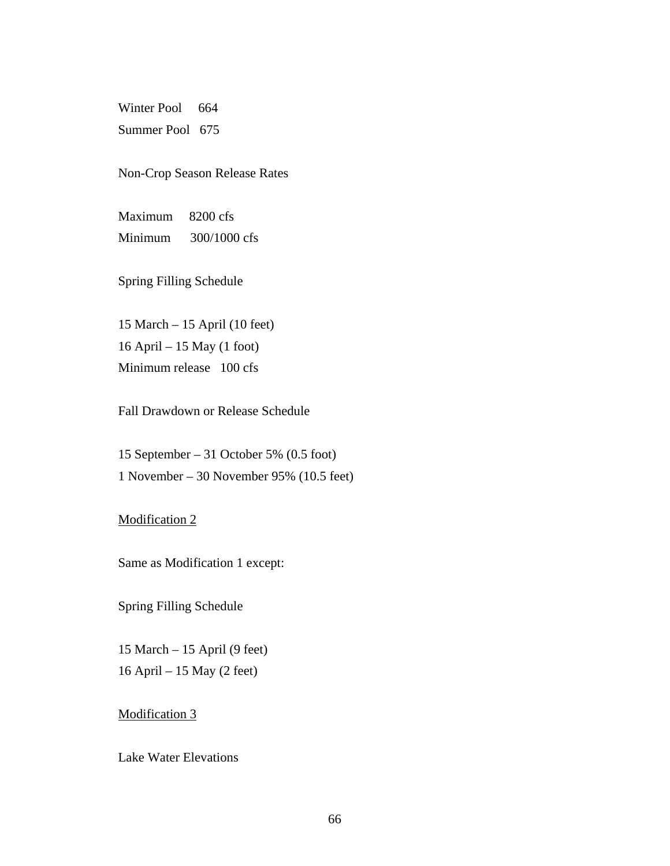Winter Pool 664 Summer Pool 675

Non-Crop Season Release Rates

 Maximum 8200 cfs Minimum 300/1000 cfs

Spring Filling Schedule

 15 March – 15 April (10 feet) 16 April – 15 May (1 foot) Minimum release 100 cfs

Fall Drawdown or Release Schedule

 15 September – 31 October 5% (0.5 foot) 1 November – 30 November 95% (10.5 feet)

Modification 2

Same as Modification 1 except:

Spring Filling Schedule

 15 March – 15 April (9 feet) 16 April – 15 May (2 feet)

Modification 3

Lake Water Elevations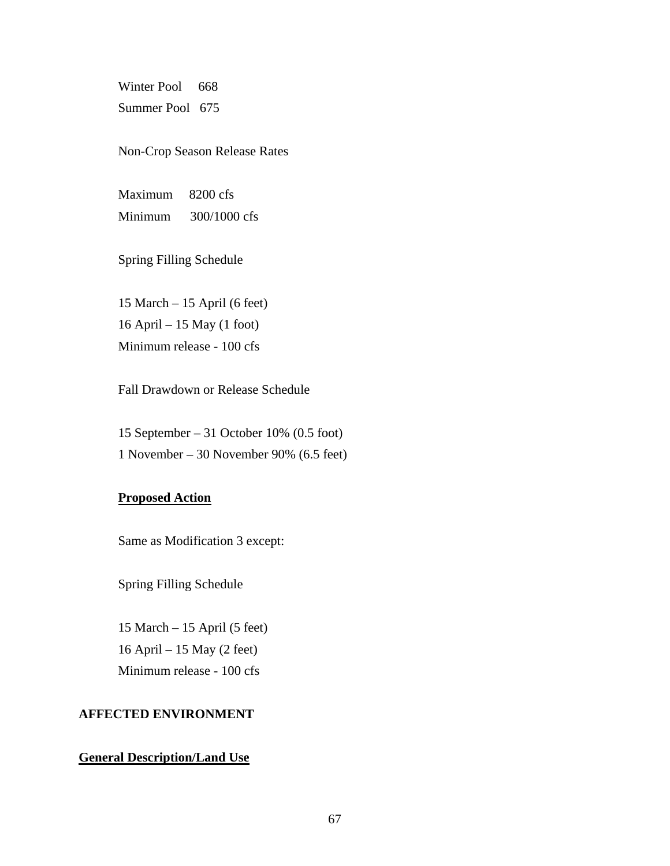Winter Pool 668 Summer Pool 675

Non-Crop Season Release Rates

 Maximum 8200 cfs Minimum 300/1000 cfs

Spring Filling Schedule

 15 March – 15 April (6 feet) 16 April – 15 May (1 foot) Minimum release - 100 cfs

Fall Drawdown or Release Schedule

 15 September – 31 October 10% (0.5 foot) 1 November – 30 November 90% (6.5 feet)

#### **Proposed Action**

Same as Modification 3 except:

Spring Filling Schedule

 15 March – 15 April (5 feet) 16 April – 15 May (2 feet) Minimum release - 100 cfs

#### **AFFECTED ENVIRONMENT**

#### **General Description/Land Use**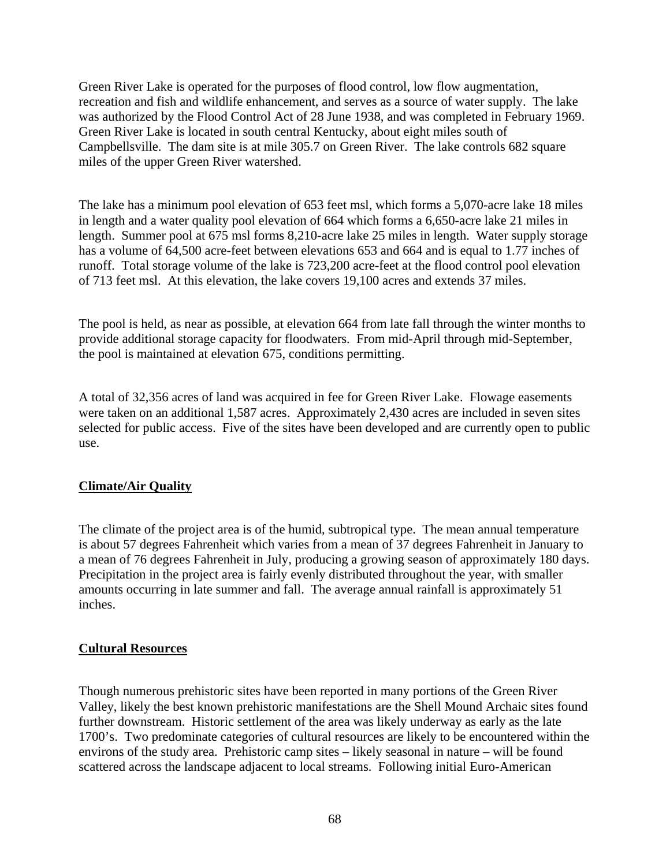Green River Lake is operated for the purposes of flood control, low flow augmentation, recreation and fish and wildlife enhancement, and serves as a source of water supply. The lake was authorized by the Flood Control Act of 28 June 1938, and was completed in February 1969. Green River Lake is located in south central Kentucky, about eight miles south of Campbellsville. The dam site is at mile 305.7 on Green River. The lake controls 682 square miles of the upper Green River watershed.

The lake has a minimum pool elevation of 653 feet msl, which forms a 5,070-acre lake 18 miles in length and a water quality pool elevation of 664 which forms a 6,650-acre lake 21 miles in length. Summer pool at 675 msl forms 8,210-acre lake 25 miles in length. Water supply storage has a volume of 64,500 acre-feet between elevations 653 and 664 and is equal to 1.77 inches of runoff. Total storage volume of the lake is 723,200 acre-feet at the flood control pool elevation of 713 feet msl. At this elevation, the lake covers 19,100 acres and extends 37 miles.

The pool is held, as near as possible, at elevation 664 from late fall through the winter months to provide additional storage capacity for floodwaters. From mid-April through mid-September, the pool is maintained at elevation 675, conditions permitting.

A total of 32,356 acres of land was acquired in fee for Green River Lake. Flowage easements were taken on an additional 1,587 acres. Approximately 2,430 acres are included in seven sites selected for public access. Five of the sites have been developed and are currently open to public use.

## **Climate/Air Quality**

The climate of the project area is of the humid, subtropical type. The mean annual temperature is about 57 degrees Fahrenheit which varies from a mean of 37 degrees Fahrenheit in January to a mean of 76 degrees Fahrenheit in July, producing a growing season of approximately 180 days. Precipitation in the project area is fairly evenly distributed throughout the year, with smaller amounts occurring in late summer and fall. The average annual rainfall is approximately 51 inches.

## **Cultural Resources**

Though numerous prehistoric sites have been reported in many portions of the Green River Valley, likely the best known prehistoric manifestations are the Shell Mound Archaic sites found further downstream. Historic settlement of the area was likely underway as early as the late 1700's. Two predominate categories of cultural resources are likely to be encountered within the environs of the study area. Prehistoric camp sites – likely seasonal in nature – will be found scattered across the landscape adjacent to local streams. Following initial Euro-American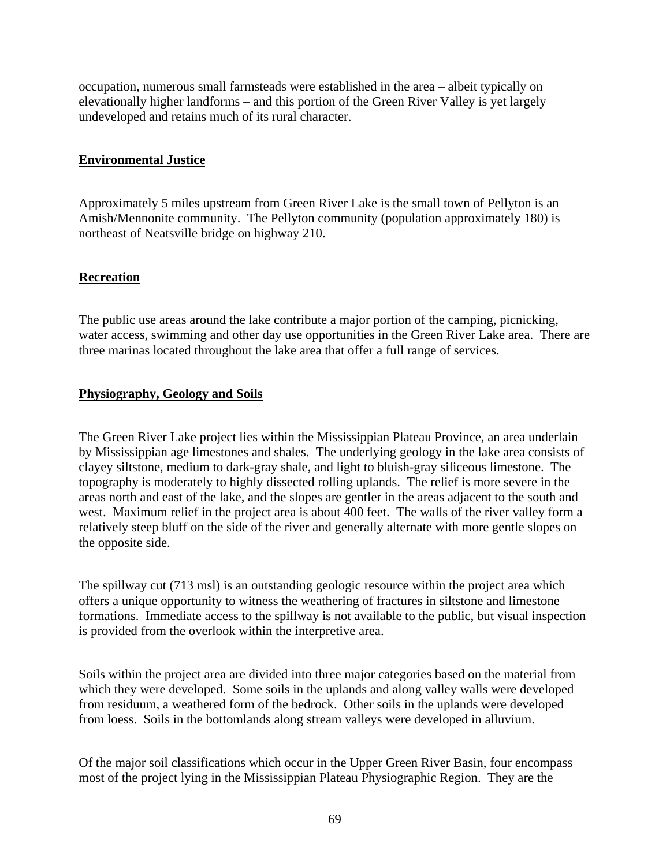occupation, numerous small farmsteads were established in the area – albeit typically on elevationally higher landforms – and this portion of the Green River Valley is yet largely undeveloped and retains much of its rural character.

## **Environmental Justice**

Approximately 5 miles upstream from Green River Lake is the small town of Pellyton is an Amish/Mennonite community. The Pellyton community (population approximately 180) is northeast of Neatsville bridge on highway 210.

## **Recreation**

The public use areas around the lake contribute a major portion of the camping, picnicking, water access, swimming and other day use opportunities in the Green River Lake area. There are three marinas located throughout the lake area that offer a full range of services.

# **Physiography, Geology and Soils**

The Green River Lake project lies within the Mississippian Plateau Province, an area underlain by Mississippian age limestones and shales. The underlying geology in the lake area consists of clayey siltstone, medium to dark-gray shale, and light to bluish-gray siliceous limestone. The topography is moderately to highly dissected rolling uplands. The relief is more severe in the areas north and east of the lake, and the slopes are gentler in the areas adjacent to the south and west. Maximum relief in the project area is about 400 feet. The walls of the river valley form a relatively steep bluff on the side of the river and generally alternate with more gentle slopes on the opposite side.

The spillway cut (713 msl) is an outstanding geologic resource within the project area which offers a unique opportunity to witness the weathering of fractures in siltstone and limestone formations. Immediate access to the spillway is not available to the public, but visual inspection is provided from the overlook within the interpretive area.

Soils within the project area are divided into three major categories based on the material from which they were developed. Some soils in the uplands and along valley walls were developed from residuum, a weathered form of the bedrock. Other soils in the uplands were developed from loess. Soils in the bottomlands along stream valleys were developed in alluvium.

Of the major soil classifications which occur in the Upper Green River Basin, four encompass most of the project lying in the Mississippian Plateau Physiographic Region. They are the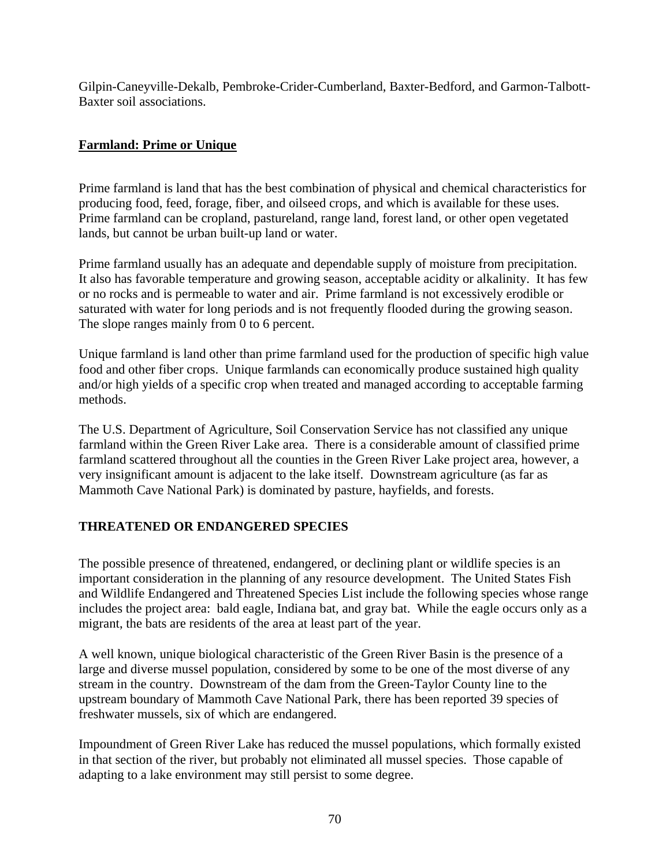Gilpin-Caneyville-Dekalb, Pembroke-Crider-Cumberland, Baxter-Bedford, and Garmon-Talbott-Baxter soil associations.

## **Farmland: Prime or Unique**

Prime farmland is land that has the best combination of physical and chemical characteristics for producing food, feed, forage, fiber, and oilseed crops, and which is available for these uses. Prime farmland can be cropland, pastureland, range land, forest land, or other open vegetated lands, but cannot be urban built-up land or water.

Prime farmland usually has an adequate and dependable supply of moisture from precipitation. It also has favorable temperature and growing season, acceptable acidity or alkalinity. It has few or no rocks and is permeable to water and air. Prime farmland is not excessively erodible or saturated with water for long periods and is not frequently flooded during the growing season. The slope ranges mainly from 0 to 6 percent.

Unique farmland is land other than prime farmland used for the production of specific high value food and other fiber crops. Unique farmlands can economically produce sustained high quality and/or high yields of a specific crop when treated and managed according to acceptable farming methods.

The U.S. Department of Agriculture, Soil Conservation Service has not classified any unique farmland within the Green River Lake area. There is a considerable amount of classified prime farmland scattered throughout all the counties in the Green River Lake project area, however, a very insignificant amount is adjacent to the lake itself. Downstream agriculture (as far as Mammoth Cave National Park) is dominated by pasture, hayfields, and forests.

## **THREATENED OR ENDANGERED SPECIES**

The possible presence of threatened, endangered, or declining plant or wildlife species is an important consideration in the planning of any resource development. The United States Fish and Wildlife Endangered and Threatened Species List include the following species whose range includes the project area: bald eagle, Indiana bat, and gray bat. While the eagle occurs only as a migrant, the bats are residents of the area at least part of the year.

A well known, unique biological characteristic of the Green River Basin is the presence of a large and diverse mussel population, considered by some to be one of the most diverse of any stream in the country. Downstream of the dam from the Green-Taylor County line to the upstream boundary of Mammoth Cave National Park, there has been reported 39 species of freshwater mussels, six of which are endangered.

Impoundment of Green River Lake has reduced the mussel populations, which formally existed in that section of the river, but probably not eliminated all mussel species. Those capable of adapting to a lake environment may still persist to some degree.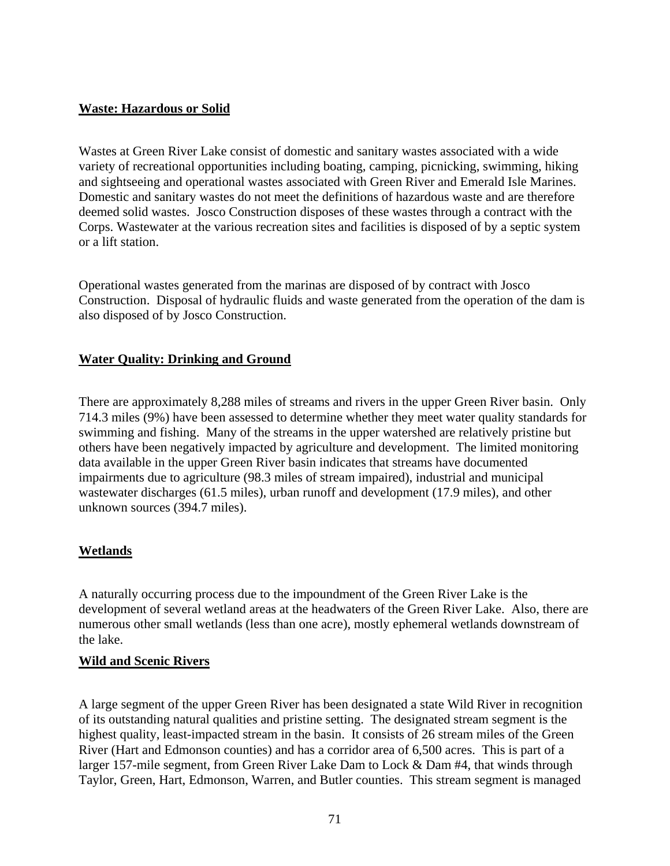#### **Waste: Hazardous or Solid**

Wastes at Green River Lake consist of domestic and sanitary wastes associated with a wide variety of recreational opportunities including boating, camping, picnicking, swimming, hiking and sightseeing and operational wastes associated with Green River and Emerald Isle Marines. Domestic and sanitary wastes do not meet the definitions of hazardous waste and are therefore deemed solid wastes. Josco Construction disposes of these wastes through a contract with the Corps. Wastewater at the various recreation sites and facilities is disposed of by a septic system or a lift station.

Operational wastes generated from the marinas are disposed of by contract with Josco Construction. Disposal of hydraulic fluids and waste generated from the operation of the dam is also disposed of by Josco Construction.

#### **Water Quality: Drinking and Ground**

There are approximately 8,288 miles of streams and rivers in the upper Green River basin. Only 714.3 miles (9%) have been assessed to determine whether they meet water quality standards for swimming and fishing. Many of the streams in the upper watershed are relatively pristine but others have been negatively impacted by agriculture and development. The limited monitoring data available in the upper Green River basin indicates that streams have documented impairments due to agriculture (98.3 miles of stream impaired), industrial and municipal wastewater discharges (61.5 miles), urban runoff and development (17.9 miles), and other unknown sources (394.7 miles).

## **Wetlands**

A naturally occurring process due to the impoundment of the Green River Lake is the development of several wetland areas at the headwaters of the Green River Lake. Also, there are numerous other small wetlands (less than one acre), mostly ephemeral wetlands downstream of the lake.

#### **Wild and Scenic Rivers**

A large segment of the upper Green River has been designated a state Wild River in recognition of its outstanding natural qualities and pristine setting. The designated stream segment is the highest quality, least-impacted stream in the basin. It consists of 26 stream miles of the Green River (Hart and Edmonson counties) and has a corridor area of 6,500 acres. This is part of a larger 157-mile segment, from Green River Lake Dam to Lock & Dam #4, that winds through Taylor, Green, Hart, Edmonson, Warren, and Butler counties. This stream segment is managed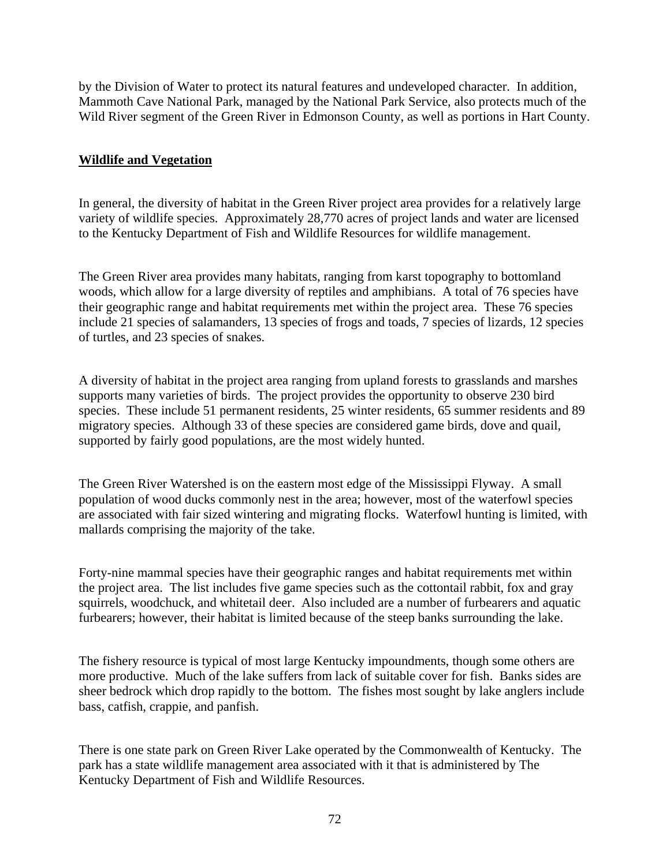by the Division of Water to protect its natural features and undeveloped character. In addition, Mammoth Cave National Park, managed by the National Park Service, also protects much of the Wild River segment of the Green River in Edmonson County, as well as portions in Hart County.

#### **Wildlife and Vegetation**

In general, the diversity of habitat in the Green River project area provides for a relatively large variety of wildlife species. Approximately 28,770 acres of project lands and water are licensed to the Kentucky Department of Fish and Wildlife Resources for wildlife management.

The Green River area provides many habitats, ranging from karst topography to bottomland woods, which allow for a large diversity of reptiles and amphibians. A total of 76 species have their geographic range and habitat requirements met within the project area. These 76 species include 21 species of salamanders, 13 species of frogs and toads, 7 species of lizards, 12 species of turtles, and 23 species of snakes.

A diversity of habitat in the project area ranging from upland forests to grasslands and marshes supports many varieties of birds. The project provides the opportunity to observe 230 bird species. These include 51 permanent residents, 25 winter residents, 65 summer residents and 89 migratory species. Although 33 of these species are considered game birds, dove and quail, supported by fairly good populations, are the most widely hunted.

The Green River Watershed is on the eastern most edge of the Mississippi Flyway. A small population of wood ducks commonly nest in the area; however, most of the waterfowl species are associated with fair sized wintering and migrating flocks. Waterfowl hunting is limited, with mallards comprising the majority of the take.

Forty-nine mammal species have their geographic ranges and habitat requirements met within the project area. The list includes five game species such as the cottontail rabbit, fox and gray squirrels, woodchuck, and whitetail deer. Also included are a number of furbearers and aquatic furbearers; however, their habitat is limited because of the steep banks surrounding the lake.

The fishery resource is typical of most large Kentucky impoundments, though some others are more productive. Much of the lake suffers from lack of suitable cover for fish. Banks sides are sheer bedrock which drop rapidly to the bottom. The fishes most sought by lake anglers include bass, catfish, crappie, and panfish.

There is one state park on Green River Lake operated by the Commonwealth of Kentucky. The park has a state wildlife management area associated with it that is administered by The Kentucky Department of Fish and Wildlife Resources.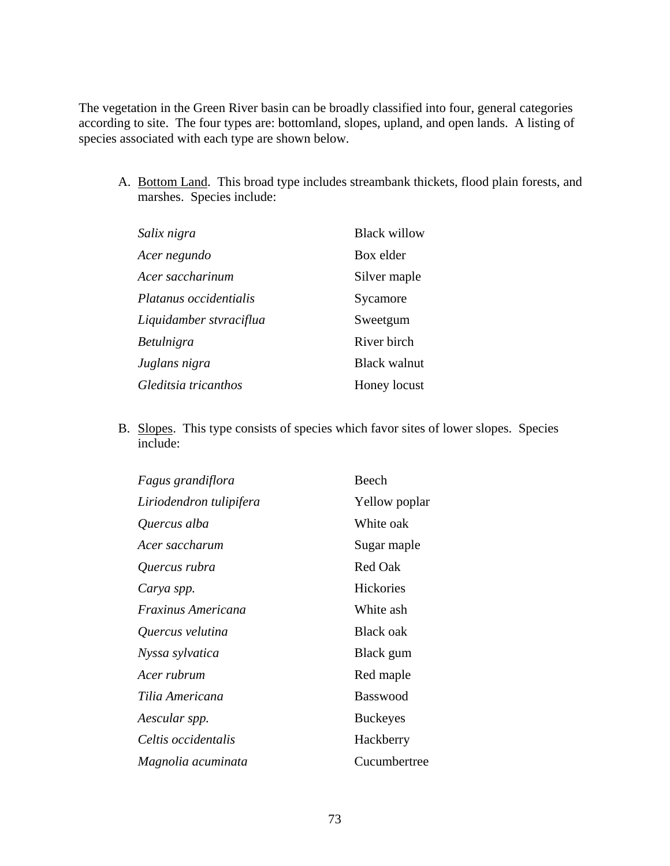The vegetation in the Green River basin can be broadly classified into four, general categories according to site. The four types are: bottomland, slopes, upland, and open lands. A listing of species associated with each type are shown below.

A. Bottom Land. This broad type includes streambank thickets, flood plain forests, and marshes. Species include:

| Salix nigra             | <b>Black willow</b> |
|-------------------------|---------------------|
| Acer negundo            | Box elder           |
| Acer saccharinum        | Silver maple        |
| Platanus occidentialis  | Sycamore            |
| Liquidamber stvraciflua | Sweetgum            |
| Betulnigra              | River birch         |
| Juglans nigra           | <b>Black walnut</b> |
| Gleditsia tricanthos    | Honey locust        |

B. Slopes. This type consists of species which favor sites of lower slopes. Species include:

| Fagus grandiflora         | Beech           |
|---------------------------|-----------------|
| Liriodendron tulipifera   | Yellow poplar   |
| Quercus alba              | White oak       |
| Acer saccharum            | Sugar maple     |
| Quercus rubra             | Red Oak         |
| Carya spp.                | Hickories       |
| <i>Fraxinus Americana</i> | White ash       |
| Quercus velutina          | Black oak       |
| Nyssa sylvatica           | Black gum       |
| Acer rubrum               | Red maple       |
| Tilia Americana           | <b>Basswood</b> |
| Aescular spp.             | <b>Buckeyes</b> |
| Celtis occidentalis       | Hackberry       |
| Magnolia acuminata        | Cucumbertree    |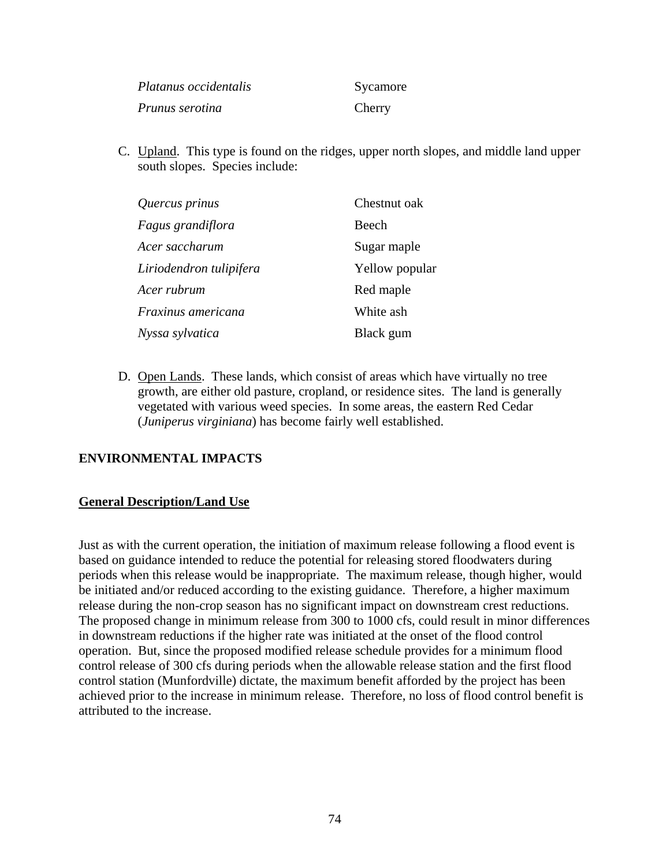| Platanus occidentalis  | Sycamore |
|------------------------|----------|
| <i>Prunus serotina</i> | Cherry   |

C. Upland. This type is found on the ridges, upper north slopes, and middle land upper south slopes. Species include:

| Quercus prinus          | Chestnut oak   |
|-------------------------|----------------|
| Fagus grandiflora       | Beech          |
| Acer saccharum          | Sugar maple    |
| Liriodendron tulipifera | Yellow popular |
| Acer rubrum             | Red maple      |
| Fraxinus americana      | White ash      |
| Nyssa sylvatica         | Black gum      |

D. Open Lands. These lands, which consist of areas which have virtually no tree growth, are either old pasture, cropland, or residence sites. The land is generally vegetated with various weed species. In some areas, the eastern Red Cedar (*Juniperus virginiana*) has become fairly well established.

## **ENVIRONMENTAL IMPACTS**

#### **General Description/Land Use**

Just as with the current operation, the initiation of maximum release following a flood event is based on guidance intended to reduce the potential for releasing stored floodwaters during periods when this release would be inappropriate. The maximum release, though higher, would be initiated and/or reduced according to the existing guidance. Therefore, a higher maximum release during the non-crop season has no significant impact on downstream crest reductions. The proposed change in minimum release from 300 to 1000 cfs, could result in minor differences in downstream reductions if the higher rate was initiated at the onset of the flood control operation. But, since the proposed modified release schedule provides for a minimum flood control release of 300 cfs during periods when the allowable release station and the first flood control station (Munfordville) dictate, the maximum benefit afforded by the project has been achieved prior to the increase in minimum release. Therefore, no loss of flood control benefit is attributed to the increase.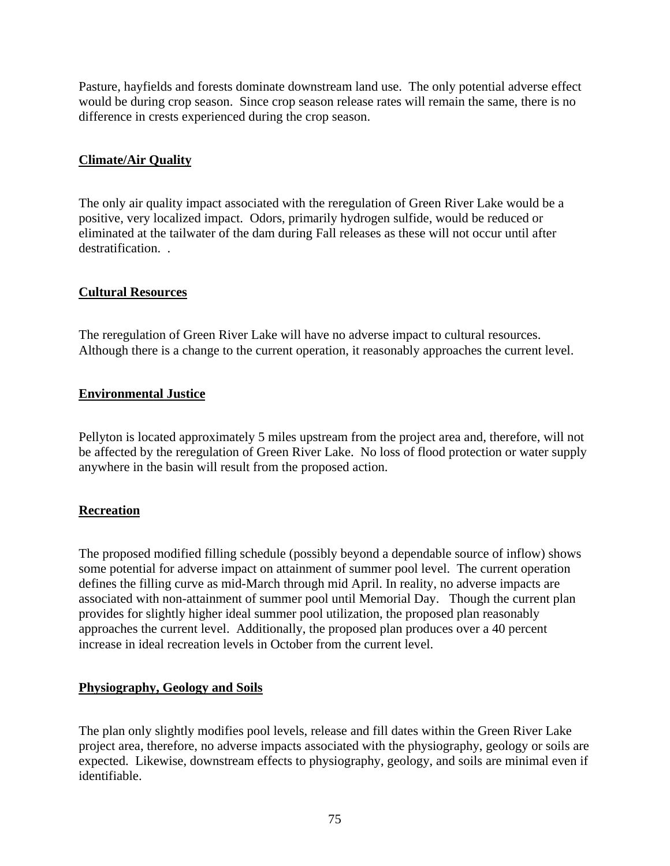Pasture, hayfields and forests dominate downstream land use. The only potential adverse effect would be during crop season. Since crop season release rates will remain the same, there is no difference in crests experienced during the crop season.

## **Climate/Air Quality**

The only air quality impact associated with the reregulation of Green River Lake would be a positive, very localized impact. Odors, primarily hydrogen sulfide, would be reduced or eliminated at the tailwater of the dam during Fall releases as these will not occur until after destratification...

## **Cultural Resources**

The reregulation of Green River Lake will have no adverse impact to cultural resources. Although there is a change to the current operation, it reasonably approaches the current level.

# **Environmental Justice**

Pellyton is located approximately 5 miles upstream from the project area and, therefore, will not be affected by the reregulation of Green River Lake. No loss of flood protection or water supply anywhere in the basin will result from the proposed action.

## **Recreation**

The proposed modified filling schedule (possibly beyond a dependable source of inflow) shows some potential for adverse impact on attainment of summer pool level. The current operation defines the filling curve as mid-March through mid April. In reality, no adverse impacts are associated with non-attainment of summer pool until Memorial Day. Though the current plan provides for slightly higher ideal summer pool utilization, the proposed plan reasonably approaches the current level. Additionally, the proposed plan produces over a 40 percent increase in ideal recreation levels in October from the current level.

## **Physiography, Geology and Soils**

The plan only slightly modifies pool levels, release and fill dates within the Green River Lake project area, therefore, no adverse impacts associated with the physiography, geology or soils are expected. Likewise, downstream effects to physiography, geology, and soils are minimal even if identifiable.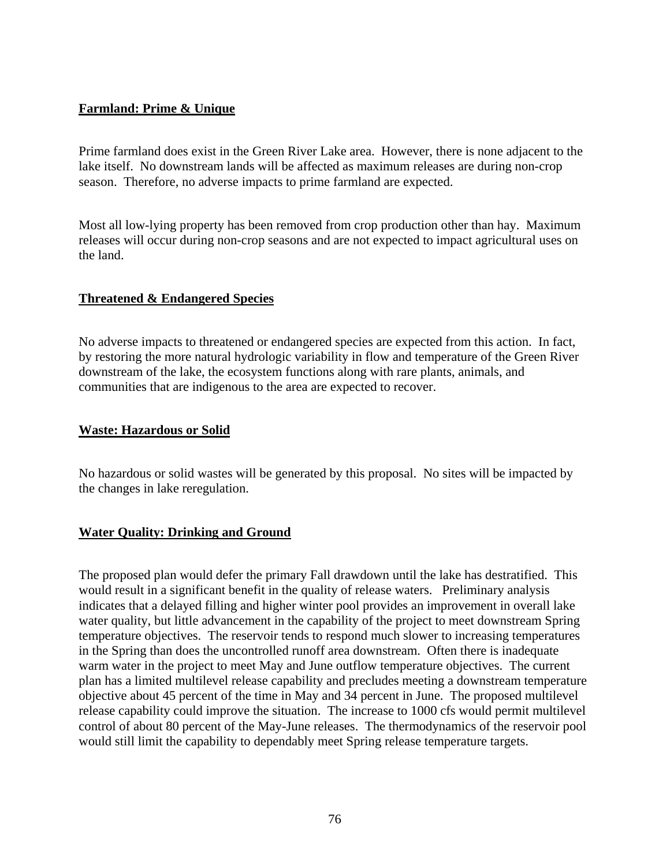## **Farmland: Prime & Unique**

Prime farmland does exist in the Green River Lake area. However, there is none adjacent to the lake itself. No downstream lands will be affected as maximum releases are during non-crop season. Therefore, no adverse impacts to prime farmland are expected.

Most all low-lying property has been removed from crop production other than hay. Maximum releases will occur during non-crop seasons and are not expected to impact agricultural uses on the land.

#### **Threatened & Endangered Species**

No adverse impacts to threatened or endangered species are expected from this action. In fact, by restoring the more natural hydrologic variability in flow and temperature of the Green River downstream of the lake, the ecosystem functions along with rare plants, animals, and communities that are indigenous to the area are expected to recover.

#### **Waste: Hazardous or Solid**

No hazardous or solid wastes will be generated by this proposal. No sites will be impacted by the changes in lake reregulation.

## **Water Quality: Drinking and Ground**

The proposed plan would defer the primary Fall drawdown until the lake has destratified. This would result in a significant benefit in the quality of release waters. Preliminary analysis indicates that a delayed filling and higher winter pool provides an improvement in overall lake water quality, but little advancement in the capability of the project to meet downstream Spring temperature objectives. The reservoir tends to respond much slower to increasing temperatures in the Spring than does the uncontrolled runoff area downstream. Often there is inadequate warm water in the project to meet May and June outflow temperature objectives. The current plan has a limited multilevel release capability and precludes meeting a downstream temperature objective about 45 percent of the time in May and 34 percent in June. The proposed multilevel release capability could improve the situation. The increase to 1000 cfs would permit multilevel control of about 80 percent of the May-June releases. The thermodynamics of the reservoir pool would still limit the capability to dependably meet Spring release temperature targets.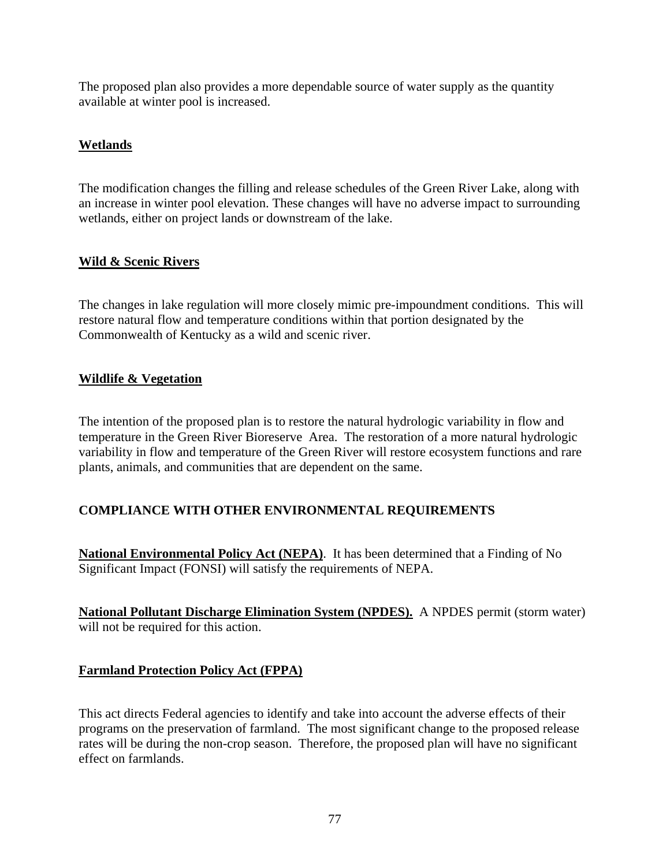The proposed plan also provides a more dependable source of water supply as the quantity available at winter pool is increased.

# **Wetlands**

The modification changes the filling and release schedules of the Green River Lake, along with an increase in winter pool elevation. These changes will have no adverse impact to surrounding wetlands, either on project lands or downstream of the lake.

# **Wild & Scenic Rivers**

The changes in lake regulation will more closely mimic pre-impoundment conditions. This will restore natural flow and temperature conditions within that portion designated by the Commonwealth of Kentucky as a wild and scenic river.

## **Wildlife & Vegetation**

The intention of the proposed plan is to restore the natural hydrologic variability in flow and temperature in the Green River Bioreserve Area. The restoration of a more natural hydrologic variability in flow and temperature of the Green River will restore ecosystem functions and rare plants, animals, and communities that are dependent on the same.

# **COMPLIANCE WITH OTHER ENVIRONMENTAL REQUIREMENTS**

**National Environmental Policy Act (NEPA)**. It has been determined that a Finding of No Significant Impact (FONSI) will satisfy the requirements of NEPA.

**National Pollutant Discharge Elimination System (NPDES).** A NPDES permit (storm water) will not be required for this action.

## **Farmland Protection Policy Act (FPPA)**

This act directs Federal agencies to identify and take into account the adverse effects of their programs on the preservation of farmland. The most significant change to the proposed release rates will be during the non-crop season. Therefore, the proposed plan will have no significant effect on farmlands.